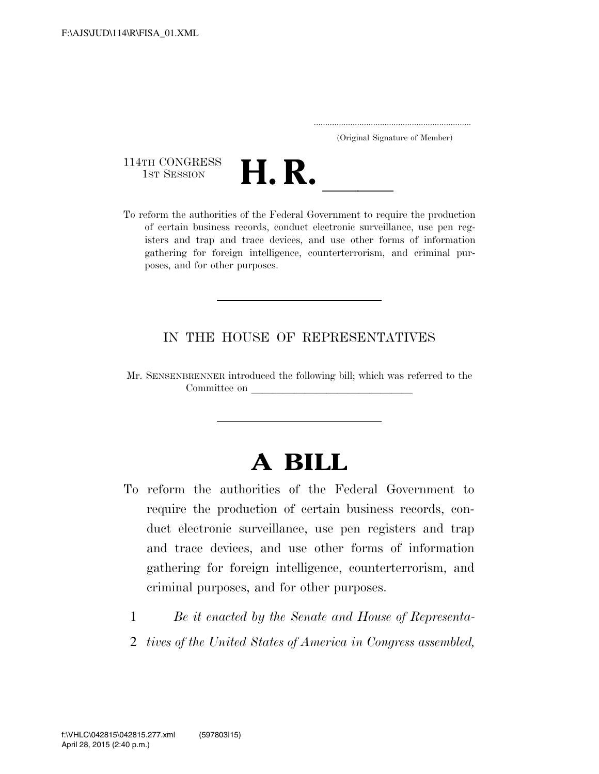..................................................................... (Original Signature of Member)

114TH CONGRESS<br>1st Session



114TH CONGRESS<br>
1st SESSION<br>
To reform the authorities of the Federal Government to require the production of certain business records, conduct electronic surveillance, use pen registers and trap and trace devices, and use other forms of information gathering for foreign intelligence, counterterrorism, and criminal purposes, and for other purposes.

#### IN THE HOUSE OF REPRESENTATIVES

Mr. SENSENBRENNER introduced the following bill; which was referred to the Committee on

## **A BILL**

- To reform the authorities of the Federal Government to require the production of certain business records, conduct electronic surveillance, use pen registers and trap and trace devices, and use other forms of information gathering for foreign intelligence, counterterrorism, and criminal purposes, and for other purposes.
	- 1 *Be it enacted by the Senate and House of Representa-*
	- 2 *tives of the United States of America in Congress assembled,*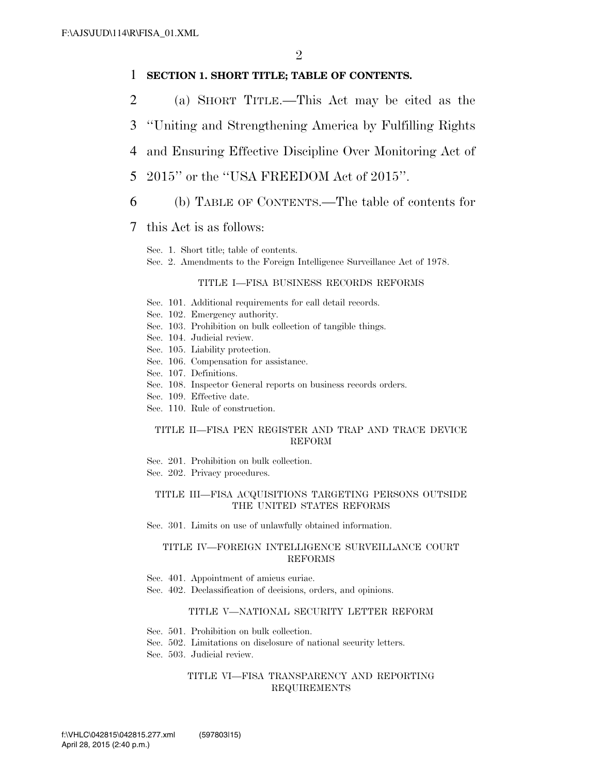#### 1 **SECTION 1. SHORT TITLE; TABLE OF CONTENTS.**

- 2 (a) SHORT TITLE.—This Act may be cited as the
- 3 ''Uniting and Strengthening America by Fulfilling Rights
- 4 and Ensuring Effective Discipline Over Monitoring Act of
- 5 2015'' or the ''USA FREEDOM Act of 2015''.
- 6 (b) TABLE OF CONTENTS.—The table of contents for

#### 7 this Act is as follows:

- Sec. 1. Short title; table of contents.
- Sec. 2. Amendments to the Foreign Intelligence Surveillance Act of 1978.

#### TITLE I—FISA BUSINESS RECORDS REFORMS

- Sec. 101. Additional requirements for call detail records.
- Sec. 102. Emergency authority.
- Sec. 103. Prohibition on bulk collection of tangible things.
- Sec. 104. Judicial review.
- Sec. 105. Liability protection.
- Sec. 106. Compensation for assistance.
- Sec. 107. Definitions.
- Sec. 108. Inspector General reports on business records orders.
- Sec. 109. Effective date.
- Sec. 110. Rule of construction.

#### TITLE II—FISA PEN REGISTER AND TRAP AND TRACE DEVICE REFORM

- Sec. 201. Prohibition on bulk collection.
- Sec. 202. Privacy procedures.

#### TITLE III—FISA ACQUISITIONS TARGETING PERSONS OUTSIDE THE UNITED STATES REFORMS

Sec. 301. Limits on use of unlawfully obtained information.

#### TITLE IV—FOREIGN INTELLIGENCE SURVEILLANCE COURT REFORMS

- Sec. 401. Appointment of amicus curiae.
- Sec. 402. Declassification of decisions, orders, and opinions.

#### TITLE V—NATIONAL SECURITY LETTER REFORM

- Sec. 501. Prohibition on bulk collection.
- Sec. 502. Limitations on disclosure of national security letters.
- Sec. 503. Judicial review.

#### TITLE VI—FISA TRANSPARENCY AND REPORTING REQUIREMENTS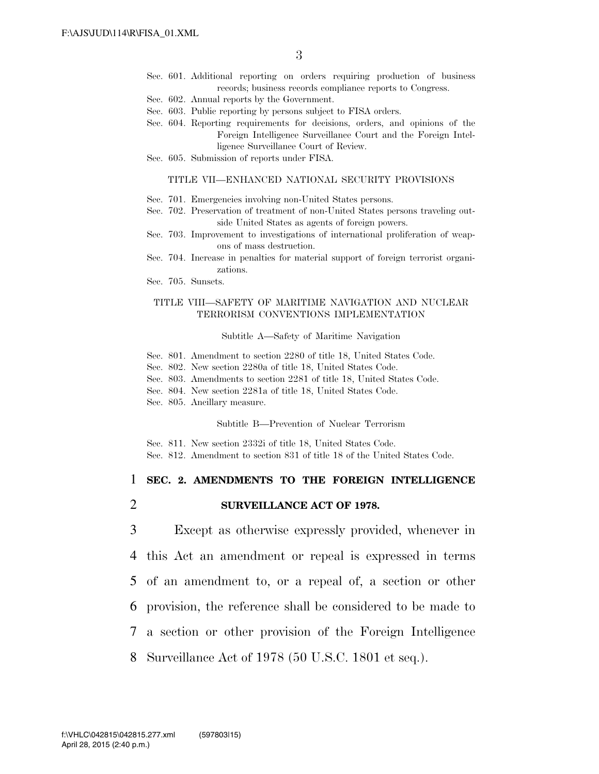- Sec. 601. Additional reporting on orders requiring production of business records; business records compliance reports to Congress.
- Sec. 602. Annual reports by the Government.
- Sec. 603. Public reporting by persons subject to FISA orders.
- Sec. 604. Reporting requirements for decisions, orders, and opinions of the Foreign Intelligence Surveillance Court and the Foreign Intelligence Surveillance Court of Review.
- Sec. 605. Submission of reports under FISA.

#### TITLE VII—ENHANCED NATIONAL SECURITY PROVISIONS

- Sec. 701. Emergencies involving non-United States persons.
- Sec. 702. Preservation of treatment of non-United States persons traveling outside United States as agents of foreign powers.
- Sec. 703. Improvement to investigations of international proliferation of weapons of mass destruction.
- Sec. 704. Increase in penalties for material support of foreign terrorist organizations.
- Sec. 705. Sunsets.

#### TITLE VIII—SAFETY OF MARITIME NAVIGATION AND NUCLEAR TERRORISM CONVENTIONS IMPLEMENTATION

#### Subtitle A—Safety of Maritime Navigation

- Sec. 801. Amendment to section 2280 of title 18, United States Code.
- Sec. 802. New section 2280a of title 18, United States Code.
- Sec. 803. Amendments to section 2281 of title 18, United States Code.
- Sec. 804. New section 2281a of title 18, United States Code.
- Sec. 805. Ancillary measure.

Subtitle B—Prevention of Nuclear Terrorism

Sec. 811. New section 2332i of title 18, United States Code. Sec. 812. Amendment to section 831 of title 18 of the United States Code.

#### 1 **SEC. 2. AMENDMENTS TO THE FOREIGN INTELLIGENCE**

2 **SURVEILLANCE ACT OF 1978.** 

 Except as otherwise expressly provided, whenever in this Act an amendment or repeal is expressed in terms of an amendment to, or a repeal of, a section or other provision, the reference shall be considered to be made to a section or other provision of the Foreign Intelligence Surveillance Act of 1978 (50 U.S.C. 1801 et seq.).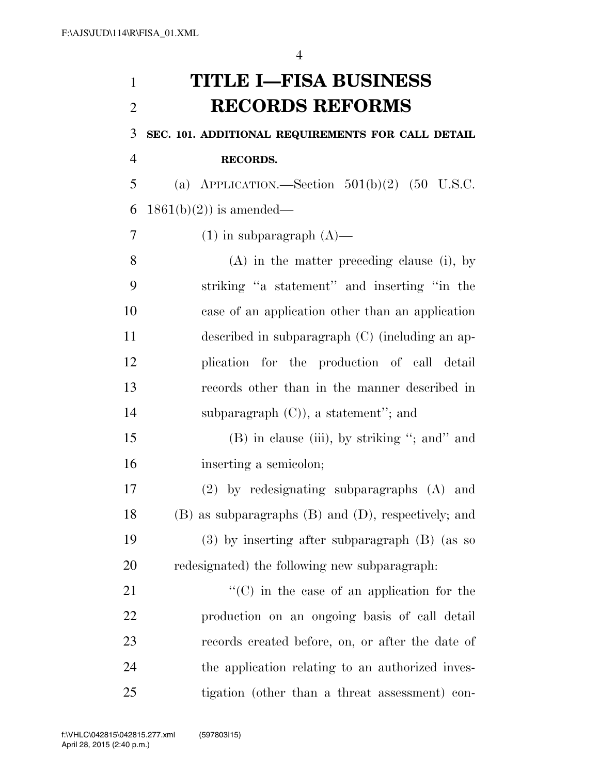# **TITLE I—FISA BUSINESS RECORDS REFORMS SEC. 101. ADDITIONAL REQUIREMENTS FOR CALL DETAIL RECORDS.**

 (a) APPLICATION.—Section 501(b)(2) (50 U.S.C. 6 1861(b)(2)) is amended—

7 (1) in subparagraph  $(A)$ —

 (A) in the matter preceding clause (i), by striking ''a statement'' and inserting ''in the case of an application other than an application described in subparagraph (C) (including an ap- plication for the production of call detail records other than in the manner described in subparagraph (C)), a statement''; and

15 (B) in clause (iii), by striking "; and" and inserting a semicolon;

 (2) by redesignating subparagraphs (A) and (B) as subparagraphs (B) and (D), respectively; and (3) by inserting after subparagraph (B) (as so redesignated) the following new subparagraph:

 $\langle ^{\prime}(C) \rangle$  in the case of an application for the production on an ongoing basis of call detail records created before, on, or after the date of the application relating to an authorized inves-tigation (other than a threat assessment) con-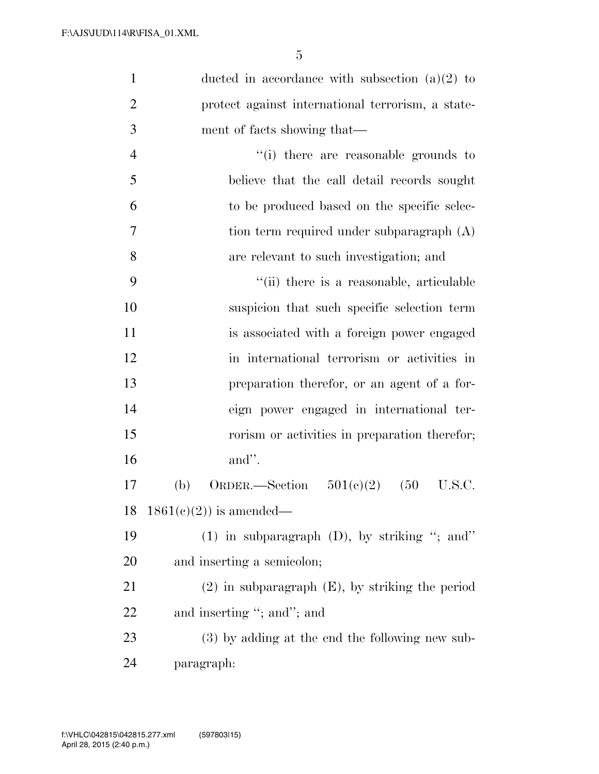| $\mathbf{1}$   | ducted in accordance with subsection $(a)(2)$ to     |
|----------------|------------------------------------------------------|
| $\overline{2}$ | protect against international terrorism, a state-    |
| 3              | ment of facts showing that—                          |
| $\overline{4}$ | "(i) there are reasonable grounds to                 |
| 5              | believe that the call detail records sought          |
| 6              | to be produced based on the specific selec-          |
| $\tau$         | tion term required under subparagraph (A)            |
| 8              | are relevant to such investigation; and              |
| 9              | "(ii) there is a reasonable, articulable             |
| 10             | suspicion that such specific selection term          |
| 11             | is associated with a foreign power engaged           |
| 12             | in international terrorism or activities in          |
| 13             | preparation therefor, or an agent of a for-          |
| 14             | eign power engaged in international ter-             |
| 15             | rorism or activities in preparation therefor;        |
| 16             | and".                                                |
| 17             | (b)<br>ORDER.—Section $501(e)(2)$<br>(50)<br>U.S.C.  |
|                | 18 $1861(c)(2)$ is amended—                          |
| 19             | (1) in subparagraph $(D)$ , by striking "; and"      |
| 20             | and inserting a semicolon;                           |
| 21             | $(2)$ in subparagraph $(E)$ , by striking the period |
| 22             | and inserting "; and"; and                           |
| 23             | $(3)$ by adding at the end the following new sub-    |
| 24             | paragraph:                                           |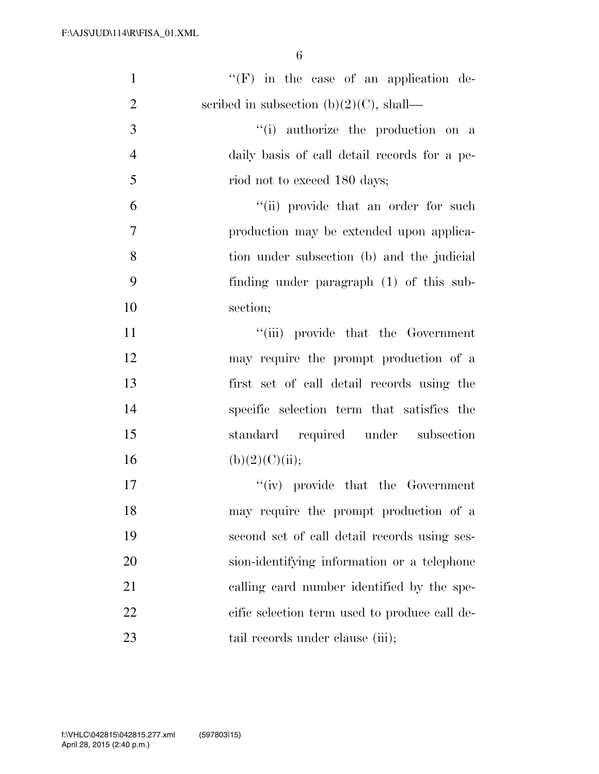| $\mathbf{1}$   | $\lq\lq(F)$ in the case of an application de- |
|----------------|-----------------------------------------------|
| $\overline{2}$ | scribed in subsection $(b)(2)(C)$ , shall—    |
| 3              | "(i) authorize the production on a            |
| $\overline{4}$ | daily basis of call detail records for a pe-  |
| 5              | riod not to exceed 180 days;                  |
| 6              | "(ii) provide that an order for such          |
| 7              | production may be extended upon applica-      |
| 8              | tion under subsection (b) and the judicial    |
| 9              | finding under paragraph (1) of this sub-      |
| 10             | section;                                      |
| 11             | "(iii) provide that the Government            |
| 12             | may require the prompt production of a        |
| 13             | first set of call detail records using the    |
| 14             | specific selection term that satisfies the    |
| 15             | standard required under subsection            |
| 16             | (b)(2)(C)(ii);                                |
| 17             | $``(iv)$ provide that the Government          |
| 18             | may require the prompt production of a        |
| 19             | second set of call detail records using ses-  |
| 20             | sion-identifying information or a telephone   |
| 21             | calling card number identified by the spe-    |
| 22             | cific selection term used to produce call de- |
| 23             | tail records under clause (iii);              |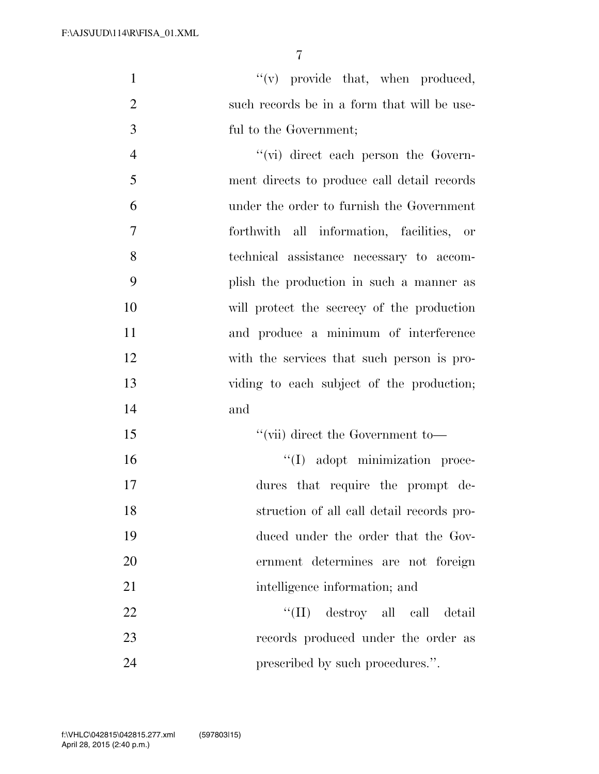$\mathcal{L}(v)$  provide that, when produced, 2 such records be in a form that will be use-ful to the Government;

 ''(vi) direct each person the Govern- ment directs to produce call detail records under the order to furnish the Government forthwith all information, facilities, or technical assistance necessary to accom- plish the production in such a manner as will protect the secrecy of the production and produce a minimum of interference with the services that such person is pro- viding to each subject of the production; and

15 ''(vii) direct the Government to- $\text{``(I)} \text{ adopt minimization process}$  dures that require the prompt de-struction of all call detail records pro-

 duced under the order that the Gov- ernment determines are not foreign 21 intelligence information; and

22 ''(II) destroy all call detail records produced under the order as **prescribed by such procedures.**".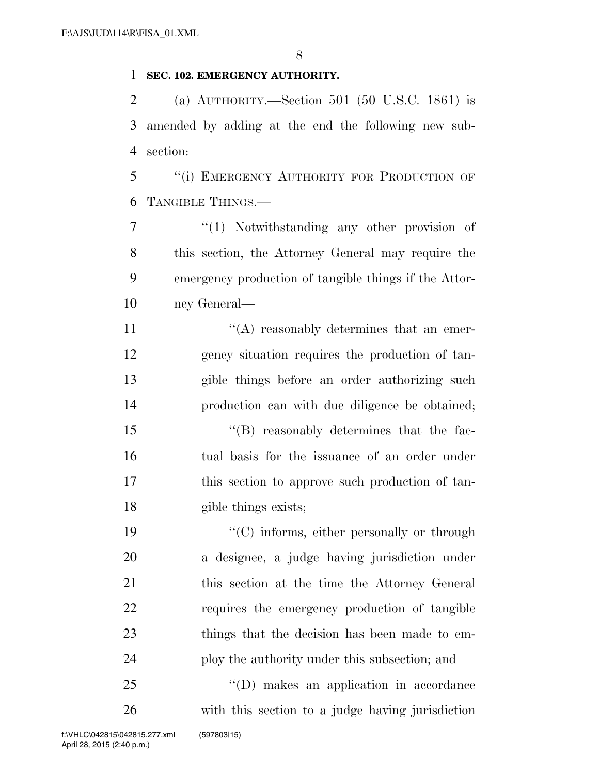#### **SEC. 102. EMERGENCY AUTHORITY.**

 (a) AUTHORITY.—Section 501 (50 U.S.C. 1861) is amended by adding at the end the following new sub-section:

 ''(i) EMERGENCY AUTHORITY FOR PRODUCTION OF TANGIBLE THINGS.—

 $\frac{1}{1}$  Notwithstanding any other provision of this section, the Attorney General may require the emergency production of tangible things if the Attor-ney General—

 $((A)$  reasonably determines that an emer- gency situation requires the production of tan- gible things before an order authorizing such production can with due diligence be obtained;

 ''(B) reasonably determines that the fac- tual basis for the issuance of an order under this section to approve such production of tan-18 gible things exists;

 $\cdot$  (C) informs, either personally or through a designee, a judge having jurisdiction under this section at the time the Attorney General requires the emergency production of tangible things that the decision has been made to em-ploy the authority under this subsection; and

 ''(D) makes an application in accordance with this section to a judge having jurisdiction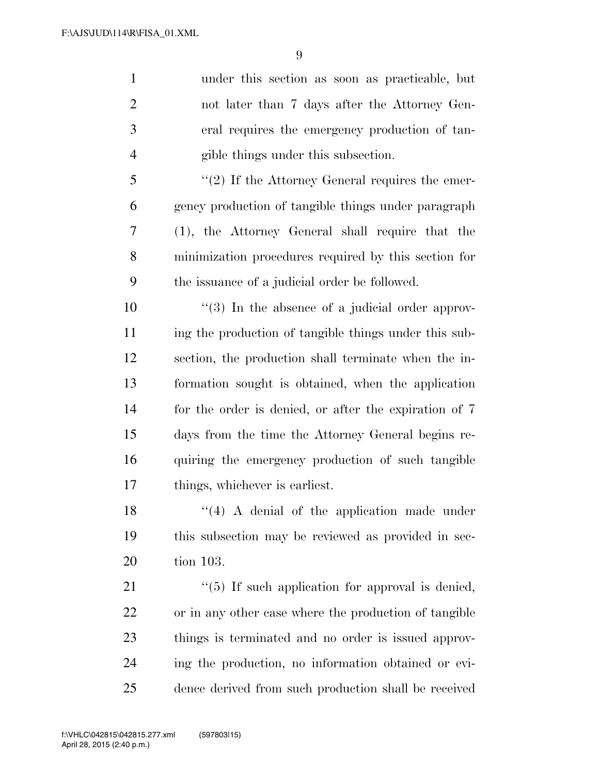under this section as soon as practicable, but not later than 7 days after the Attorney Gen- eral requires the emergency production of tan- gible things under this subsection. 5 "(2) If the Attorney General requires the emer- gency production of tangible things under paragraph (1), the Attorney General shall require that the minimization procedures required by this section for the issuance of a judicial order be followed. ''(3) In the absence of a judicial order approv-

11 ing the production of tangible things under this sub- section, the production shall terminate when the in- formation sought is obtained, when the application for the order is denied, or after the expiration of 7 days from the time the Attorney General begins re- quiring the emergency production of such tangible things, whichever is earliest.

 $\mathbf{18}$  ''(4) A denial of the application made under this subsection may be reviewed as provided in sec-tion 103.

21 ''(5) If such application for approval is denied, or in any other case where the production of tangible things is terminated and no order is issued approv- ing the production, no information obtained or evi-dence derived from such production shall be received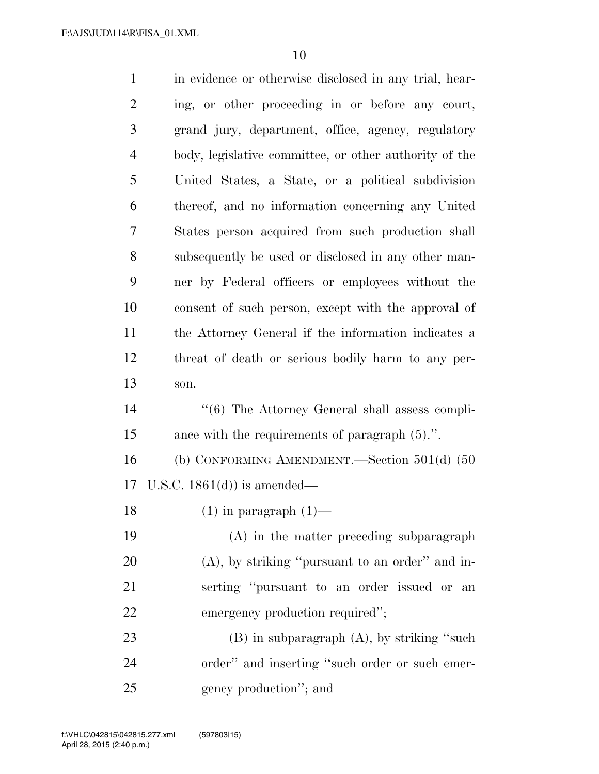| $\mathbf{1}$   | in evidence or otherwise disclosed in any trial, hear- |
|----------------|--------------------------------------------------------|
| $\overline{2}$ | ing, or other proceeding in or before any court,       |
| 3              | grand jury, department, office, agency, regulatory     |
| $\overline{4}$ | body, legislative committee, or other authority of the |
| 5              | United States, a State, or a political subdivision     |
| 6              | thereof, and no information concerning any United      |
| 7              | States person acquired from such production shall      |
| 8              | subsequently be used or disclosed in any other man-    |
| 9              | ner by Federal officers or employees without the       |
| 10             | consent of such person, except with the approval of    |
| 11             | the Attorney General if the information indicates a    |
| 12             | threat of death or serious bodily harm to any per-     |
| 13             | son.                                                   |
| 14             | "(6) The Attorney General shall assess compli-         |
| 15             | ance with the requirements of paragraph $(5)$ .".      |
| 16             | (b) CONFORMING AMENDMENT.—Section $501(d)$ (50         |
| 17             | U.S.C. $1861(d)$ is amended—                           |
| 18             | $(1)$ in paragraph $(1)$ —                             |
| 19             | (A) in the matter preceding subparagraph               |
| 20             | $(A)$ , by striking "pursuant to an order" and in-     |
| 21             | serting "pursuant to an order issued or<br>an          |
| 22             | emergency production required";                        |
| 23             | $(B)$ in subparagraph $(A)$ , by striking "such        |
| 24             | order" and inserting "such order or such emer-         |
| 25             | gency production"; and                                 |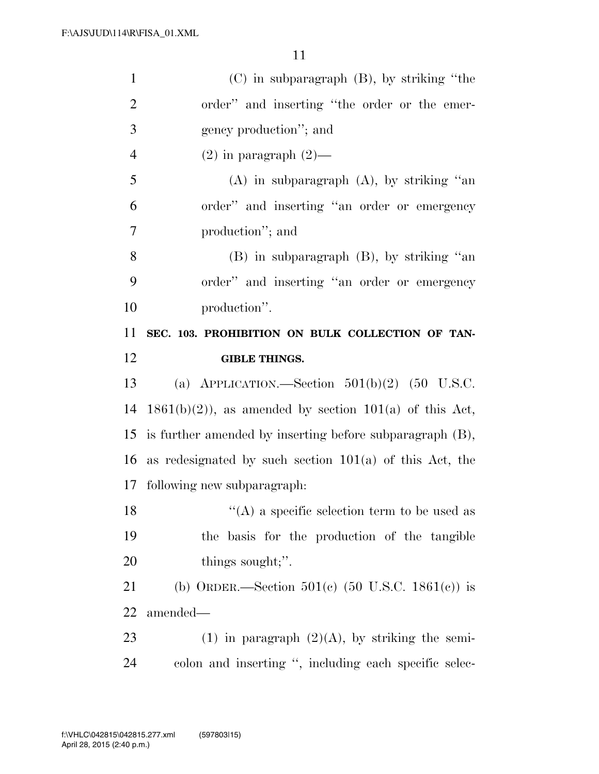| $\mathbf{1}$         | $(C)$ in subparagraph $(B)$ , by striking "the             |
|----------------------|------------------------------------------------------------|
| $\overline{2}$       | order" and inserting "the order or the emer-               |
| 3                    | gency production"; and                                     |
| $\overline{4}$       | $(2)$ in paragraph $(2)$ —                                 |
| 5                    | $(A)$ in subparagraph $(A)$ , by striking "an              |
| 6                    | order" and inserting "an order or emergency                |
| 7                    | production"; and                                           |
| 8                    | $(B)$ in subparagraph $(B)$ , by striking "an              |
| 9                    | order" and inserting "an order or emergency                |
| 10                   | production".                                               |
| 11                   | SEC. 103. PROHIBITION ON BULK COLLECTION OF TAN-           |
| 12                   | <b>GIBLE THINGS.</b>                                       |
|                      |                                                            |
|                      | (a) APPLICATION.—Section $501(b)(2)$ (50 U.S.C.            |
| 13<br>14             | $1861(b)(2)$ , as amended by section $101(a)$ of this Act, |
|                      | is further amended by inserting before subparagraph (B),   |
|                      | as redesignated by such section $101(a)$ of this Act, the  |
|                      | following new subparagraph:                                |
| 15<br>16<br>17<br>18 | "(A) a specific selection term to be used as               |
|                      | the basis for the production of the tangible               |
| 19<br>20             | things sought;".                                           |
| 21                   | (b) ORDER.—Section $501(c)$ (50 U.S.C. 1861(c)) is         |
| 22                   | amended—                                                   |
| 23                   | $(1)$ in paragraph $(2)(A)$ , by striking the semi-        |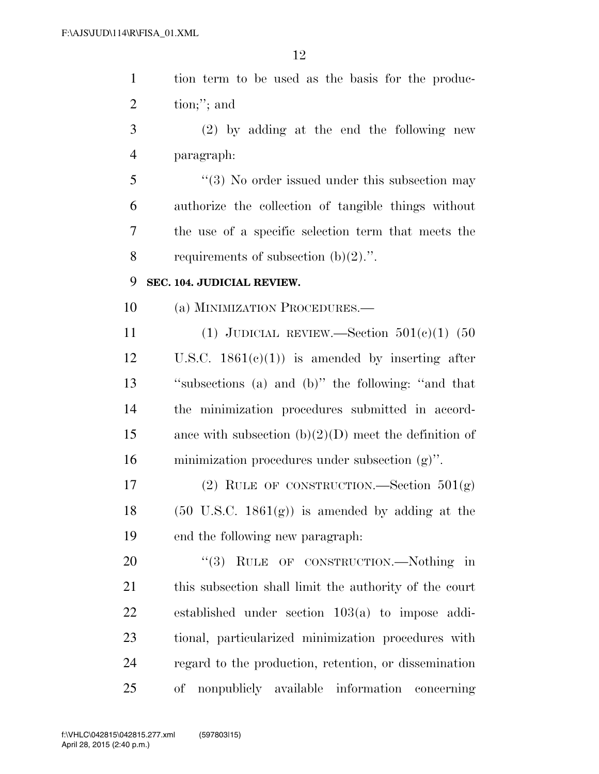| $\mathbf{1}$   | tion term to be used as the basis for the produc-          |
|----------------|------------------------------------------------------------|
| $\overline{2}$ | $\text{tion};$ "; and                                      |
| 3              | $(2)$ by adding at the end the following new               |
| $\overline{4}$ | paragraph:                                                 |
| 5              | "(3) No order issued under this subsection may             |
| 6              | authorize the collection of tangible things without        |
| 7              | the use of a specific selection term that meets the        |
| 8              | requirements of subsection $(b)(2)$ .".                    |
| 9              | SEC. 104. JUDICIAL REVIEW.                                 |
| 10             | (a) MINIMIZATION PROCEDURES.—                              |
| 11             | (1) JUDICIAL REVIEW.—Section $501(e)(1)$ (50               |
| 12             | U.S.C. $1861(e)(1)$ is amended by inserting after          |
| 13             | "subsections (a) and (b)" the following: "and that         |
| 14             | the minimization procedures submitted in accord-           |
| 15             | ance with subsection $(b)(2)(D)$ meet the definition of    |
| 16             | minimization procedures under subsection $(g)$ ".          |
| 17             | (2) RULE OF CONSTRUCTION.—Section $501(g)$                 |
| 18             | $(50 \text{ U.S.C. } 1861(g))$ is amended by adding at the |
| 19             | end the following new paragraph:                           |
| 20             | "(3) RULE OF CONSTRUCTION.—Nothing in                      |
| 21             | this subsection shall limit the authority of the court     |
| 22             | established under section $103(a)$ to impose addi-         |
| 23             | tional, particularized minimization procedures with        |
| 24             | regard to the production, retention, or dissemination      |
| 25             | nonpublicly available information concerning<br>of         |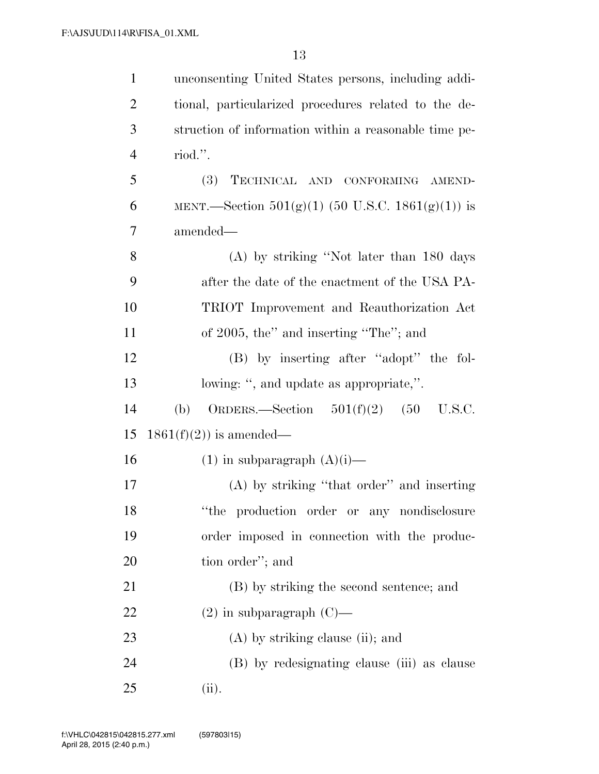| $\mathbf{1}$   | unconsenting United States persons, including addi-   |
|----------------|-------------------------------------------------------|
| $\overline{2}$ | tional, particularized procedures related to the de-  |
| 3              | struction of information within a reasonable time pe- |
| $\overline{4}$ | riod.".                                               |
| 5              | (3)<br>TECHNICAL AND CONFORMING AMEND-                |
| 6              | MENT.—Section $501(g)(1)$ (50 U.S.C. 1861(g)(1)) is   |
| 7              | amended—                                              |
| 8              | $(A)$ by striking "Not later than 180 days            |
| 9              | after the date of the enactment of the USA PA-        |
| 10             | TRIOT Improvement and Reauthorization Act             |
| 11             | of 2005, the" and inserting "The"; and                |
| 12             | (B) by inserting after "adopt" the fol-               |
| 13             | lowing: ", and update as appropriate,".               |
| 14             | ORDERS.—Section $501(f)(2)$ (50 U.S.C.<br>(b)         |
| 15             | $1861(f)(2)$ is amended—                              |
| 16             | $(1)$ in subparagraph $(A)(i)$ —                      |
| 17             | (A) by striking "that order" and inserting            |
| 18             | "the production order or any nondisclosure            |
| 19             | order imposed in connection with the produc-          |
| 20             | tion order"; and                                      |
| 21             | (B) by striking the second sentence; and              |
| 22             | $(2)$ in subparagraph $(C)$ —                         |
| 23             | $(A)$ by striking clause (ii); and                    |
| 24             | (B) by redesignating clause (iii) as clause           |
| 25             | (ii).                                                 |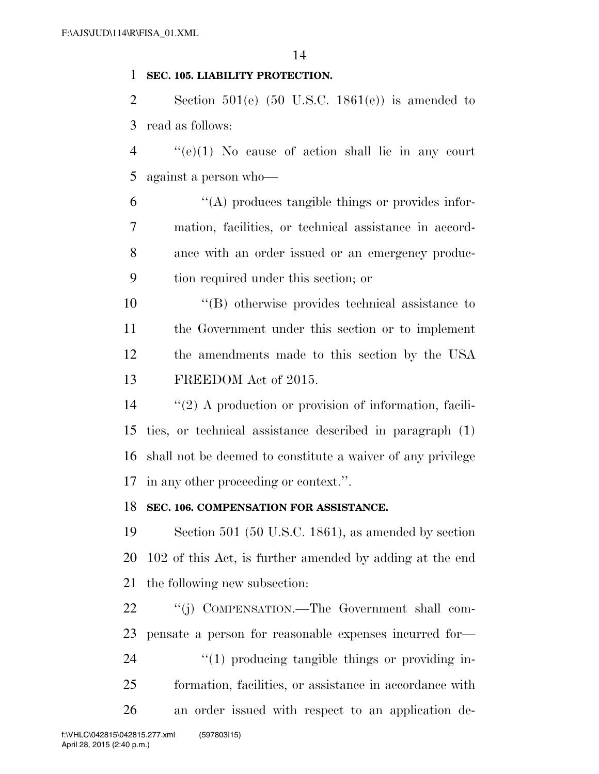#### **SEC. 105. LIABILITY PROTECTION.**

2 Section 501(e)  $(50 \text{ U.S.C. } 1861(e))$  is amended to read as follows:

 ''(e)(1) No cause of action shall lie in any court against a person who—

 ''(A) produces tangible things or provides infor- mation, facilities, or technical assistance in accord- ance with an order issued or an emergency produc-tion required under this section; or

 ''(B) otherwise provides technical assistance to the Government under this section or to implement the amendments made to this section by the USA FREEDOM Act of 2015.

 ''(2) A production or provision of information, facili- ties, or technical assistance described in paragraph (1) shall not be deemed to constitute a waiver of any privilege in any other proceeding or context.''.

#### **SEC. 106. COMPENSATION FOR ASSISTANCE.**

 Section 501 (50 U.S.C. 1861), as amended by section 102 of this Act, is further amended by adding at the end the following new subsection:

22 "(j) COMPENSATION.—The Government shall com- pensate a person for reasonable expenses incurred for—  $\frac{1}{2}$  (1) producing tangible things or providing in- formation, facilities, or assistance in accordance with an order issued with respect to an application de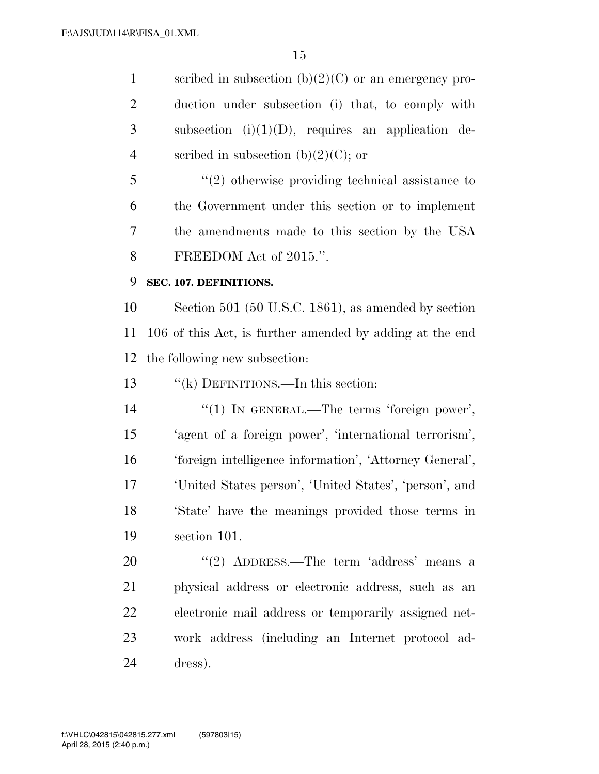1 scribed in subsection  $(b)(2)(C)$  or an emergency pro- duction under subsection (i) that, to comply with subsection (i)(1)(D), requires an application de-4 scribed in subsection  $(b)(2)(C)$ ; or

 ''(2) otherwise providing technical assistance to the Government under this section or to implement the amendments made to this section by the USA FREEDOM Act of 2015.''.

#### **SEC. 107. DEFINITIONS.**

 Section 501 (50 U.S.C. 1861), as amended by section 106 of this Act, is further amended by adding at the end the following new subsection:

13 "(k) DEFINITIONS.—In this section:

 $\frac{1}{2}$  (1) In GENERAL.—The terms 'foreign power', 'agent of a foreign power', 'international terrorism', 'foreign intelligence information', 'Attorney General', 'United States person', 'United States', 'person', and 'State' have the meanings provided those terms in section 101.

20 "(2) ADDRESS.—The term 'address' means a physical address or electronic address, such as an electronic mail address or temporarily assigned net- work address (including an Internet protocol ad-dress).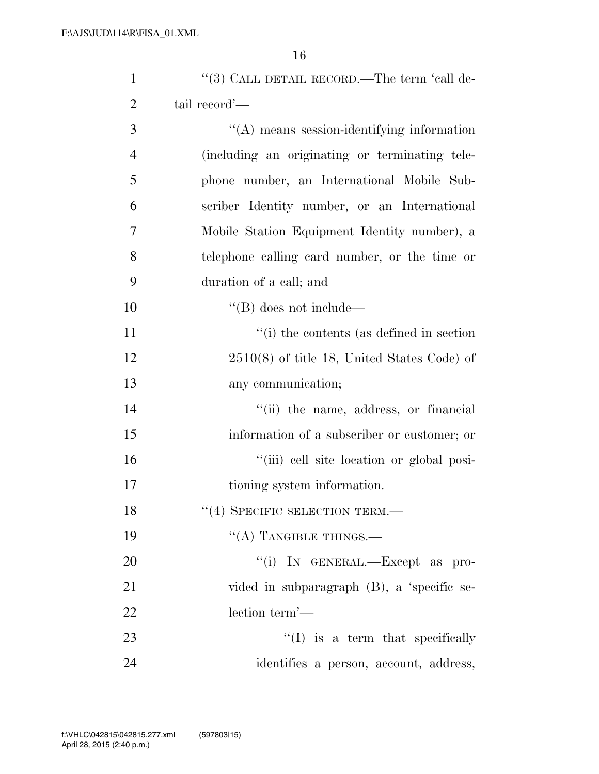| $\mathbf{1}$   | "(3) CALL DETAIL RECORD.—The term 'call de-    |
|----------------|------------------------------------------------|
| $\overline{2}$ | tail record'—                                  |
| 3              | "(A) means session-identifying information     |
| $\overline{4}$ | (including an originating or terminating tele- |
| 5              | phone number, an International Mobile Sub-     |
| 6              | scriber Identity number, or an International   |
| 7              | Mobile Station Equipment Identity number), a   |
| 8              | telephone calling card number, or the time or  |
| 9              | duration of a call; and                        |
| 10             | $\lq\lq (B)$ does not include—                 |
| 11             | "(i) the contents (as defined in section)"     |
| 12             | $2510(8)$ of title 18, United States Code) of  |
| 13             | any communication;                             |
| 14             | "(ii) the name, address, or financial          |
| 15             | information of a subscriber or customer; or    |
| 16             | "(iii) cell site location or global posi-      |
| 17             | tioning system information.                    |
| 18             | "(4) SPECIFIC SELECTION TERM.-                 |
| 19             | $\lq\lq$ (A) TANGIBLE THINGS.—                 |
| 20             | "(i) IN GENERAL.—Except as pro-                |
| 21             | vided in subparagraph (B), a 'specific se-     |
| 22             | lection term'—                                 |
| 23             | $\lq (I)$ is a term that specifically          |
| 24             | identifies a person, account, address,         |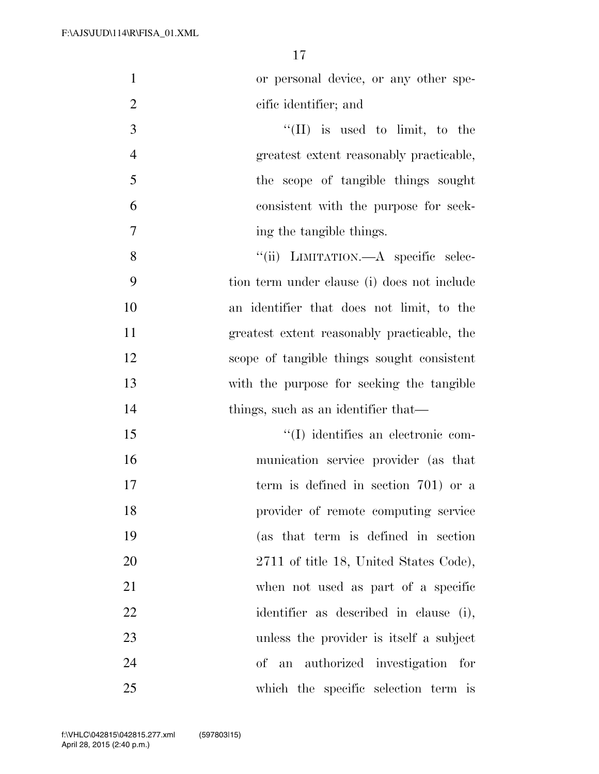| $\mathbf{1}$<br>or personal device, or any other spe-     |
|-----------------------------------------------------------|
| $\mathbf{2}$<br>cific identifier; and                     |
| $\mathfrak{Z}$<br>"(II) is used to limit, to the          |
| $\overline{4}$<br>greatest extent reasonably practicable, |
| 5<br>the scope of tangible things sought                  |
| 6<br>consistent with the purpose for seek-                |
| $\tau$<br>ing the tangible things.                        |
| 8<br>"(ii) LIMITATION.—A specific selec-                  |
| 9<br>tion term under clause (i) does not include          |
| 10<br>an identifier that does not limit, to the           |
| 11<br>greatest extent reasonably practicable, the         |
| 12<br>scope of tangible things sought consistent          |
| 13<br>with the purpose for seeking the tangible           |
| 14<br>things, such as an identifier that—                 |
| 15<br>"(I) identifies an electronic com-                  |
| 16<br>munication service provider (as that                |
| 17<br>term is defined in section 701) or a                |
| 18<br>provider of remote computing service                |
| 19<br>(as that term is defined in section                 |
| 20<br>2711 of title 18, United States Code),              |
| 21<br>when not used as part of a specific                 |
| 22<br>identifier as described in clause (i),              |
| 23<br>unless the provider is itself a subject             |
| 24<br>of an authorized investigation for                  |
| 25<br>which the specific selection term is                |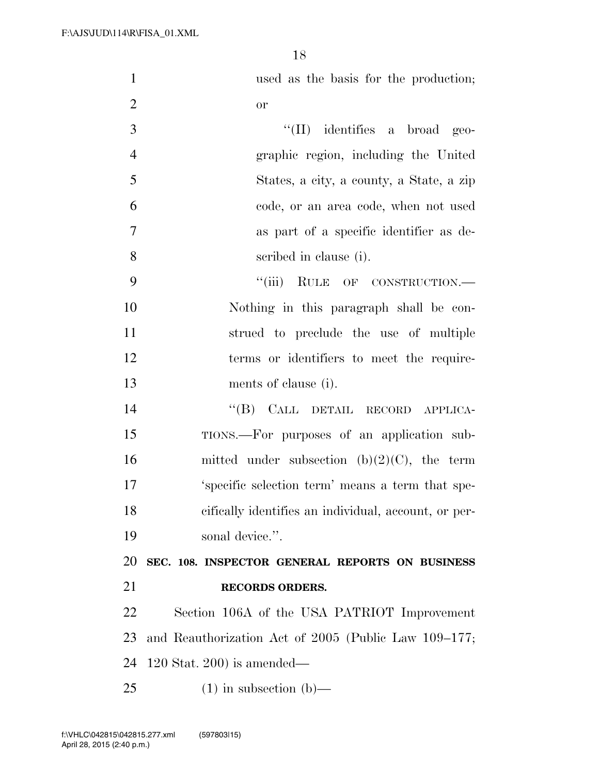used as the basis for the production;

| $\overline{c}$ | or                                                   |
|----------------|------------------------------------------------------|
| 3              | $\lq\lq$ (II) identifies a broad geo-                |
| $\overline{4}$ | graphic region, including the United                 |
| 5              | States, a city, a county, a State, a zip             |
| 6              | code, or an area code, when not used                 |
| $\tau$         | as part of a specific identifier as de-              |
| 8              | scribed in clause (i).                               |
| 9              | ``(iii)<br>RULE OF CONSTRUCTION.                     |
| 10             | Nothing in this paragraph shall be con-              |
| 11             | strued to preclude the use of multiple               |
| 12             | terms or identifiers to meet the require-            |
| 13             | ments of clause (i).                                 |
| 14             | "(B) CALL DETAIL RECORD APPLICA-                     |
| 15             | TIONS.—For purposes of an application sub-           |
| 16             | mitted under subsection (b) $(2)(C)$ , the term      |
| 17             | 'specific selection term' means a term that spe-     |
| 18             | cifically identifies an individual, account, or per- |
| 19             | sonal device."                                       |
| 20             | SEC. 108. INSPECTOR GENERAL REPORTS ON BUSINESS      |
| 21             | <b>RECORDS ORDERS.</b>                               |
| 22             | Section 106A of the USA PATRIOT Improvement          |
| 23             | and Reauthorization Act of 2005 (Public Law 109–177; |
| 24             | $120$ Stat. $200$ is amended—                        |
| 25             | $(1)$ in subsection $(b)$ —                          |
|                |                                                      |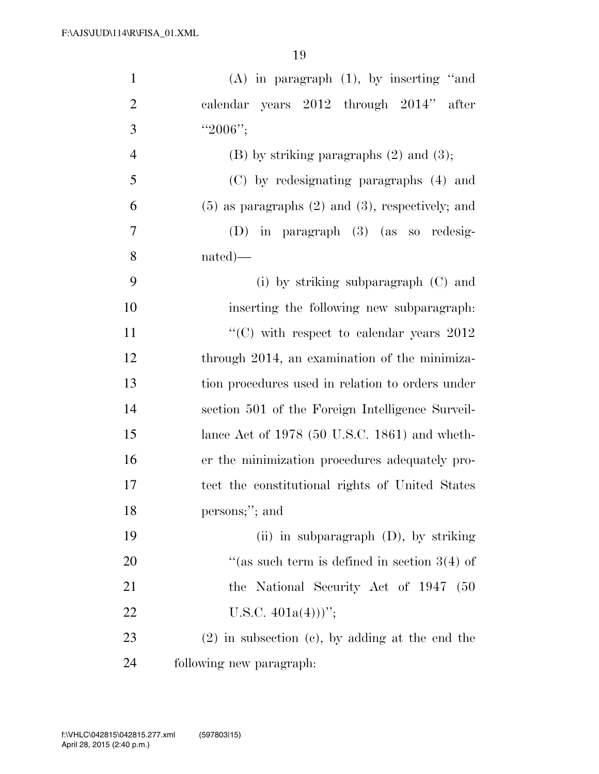| $\mathbf{1}$   | $(A)$ in paragraph $(1)$ , by inserting "and            |
|----------------|---------------------------------------------------------|
| $\overline{2}$ | calendar years 2012 through 2014" after                 |
| 3              | " $2006$ ";                                             |
| $\overline{4}$ | $(B)$ by striking paragraphs $(2)$ and $(3)$ ;          |
| 5              | (C) by redesignating paragraphs (4) and                 |
| 6              | $(5)$ as paragraphs $(2)$ and $(3)$ , respectively; and |
| 7              | (D) in paragraph (3) (as so redesig-                    |
| 8              | $nated)$ —                                              |
| 9              | (i) by striking subparagraph $(C)$ and                  |
| 10             | inserting the following new subparagraph.               |
| 11             | "(C) with respect to calendar years $2012$              |
| 12             | through 2014, an examination of the minimiza-           |
| 13             | tion procedures used in relation to orders under        |
| 14             | section 501 of the Foreign Intelligence Surveil-        |
| 15             | lance Act of $1978$ (50 U.S.C. 1861) and wheth-         |
| 16             | er the minimization procedures adequately pro-          |
| 17             | tect the constitutional rights of United States         |
| 18             | persons;"; and                                          |
| 19             | (ii) in subparagraph $(D)$ , by striking                |
| 20             | "(as such term is defined in section $3(4)$ of          |
| 21             | the National Security Act of 1947<br>- (50              |
| 22             | U.S.C. $401a(4))$ ";                                    |
| 23             | $(2)$ in subsection $(e)$ , by adding at the end the    |
| 24             | following new paragraph:                                |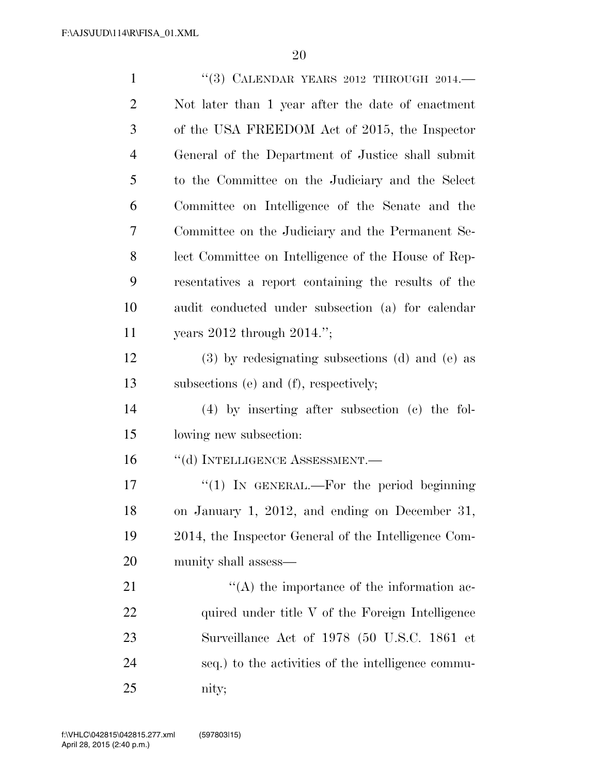| $\mathbf{1}$   | "(3) CALENDAR YEARS 2012 THROUGH 2014.—               |
|----------------|-------------------------------------------------------|
| $\overline{2}$ | Not later than 1 year after the date of enactment     |
| 3              | of the USA FREEDOM Act of 2015, the Inspector         |
| $\overline{4}$ | General of the Department of Justice shall submit     |
| 5              | to the Committee on the Judiciary and the Select      |
| 6              | Committee on Intelligence of the Senate and the       |
| 7              | Committee on the Judiciary and the Permanent Se-      |
| 8              | lect Committee on Intelligence of the House of Rep-   |
| 9              | resentatives a report containing the results of the   |
| 10             | audit conducted under subsection (a) for calendar     |
| 11             | years $2012$ through $2014$ .";                       |
| 12             | $(3)$ by redesignating subsections $(d)$ and $(e)$ as |
| 13             | subsections (e) and (f), respectively;                |
| 14             | $(4)$ by inserting after subsection $(e)$ the fol-    |
| 15             | lowing new subsection:                                |
| 16             | "(d) INTELLIGENCE ASSESSMENT.-                        |
| 17             | "(1) IN GENERAL.—For the period beginning             |
| 18             | on January 1, 2012, and ending on December 31,        |
| 19             | 2014, the Inspector General of the Intelligence Com-  |
| 20             | munity shall assess—                                  |
| 21             | $\lq\lq$ the importance of the information ac-        |
| 22             | quired under title V of the Foreign Intelligence      |
| 23             | Surveillance Act of 1978 (50 U.S.C. 1861 et           |
| 24             | seq.) to the activities of the intelligence commu-    |
| 25             | nity;                                                 |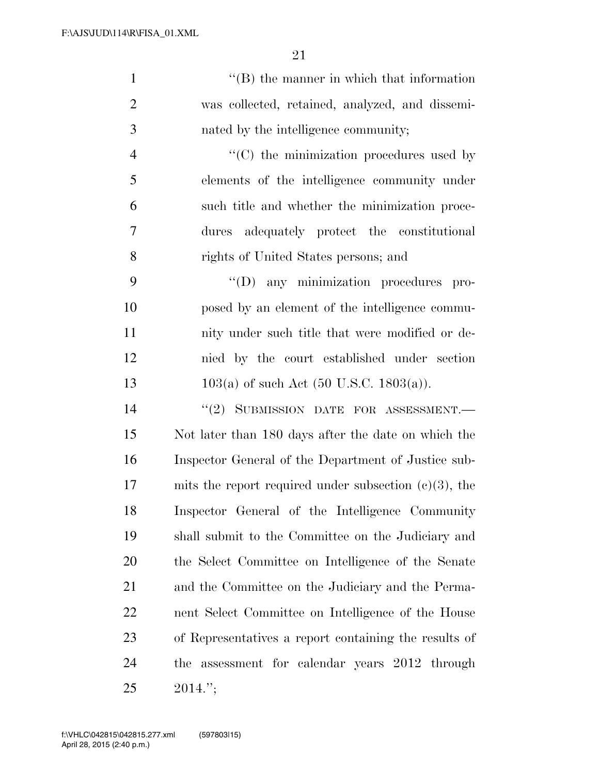1 ''(B) the manner in which that information was collected, retained, analyzed, and dissemi- nated by the intelligence community;  $\langle ^{\prime}(C) \rangle$  the minimization procedures used by elements of the intelligence community under such title and whether the minimization proce- dures adequately protect the constitutional rights of United States persons; and

 $"({\rm D})$  any minimization procedures pro- posed by an element of the intelligence commu- nity under such title that were modified or de- nied by the court established under section 13 103(a) of such Act (50 U.S.C. 1803(a)).

 $(2)$  SUBMISSION DATE FOR ASSESSMENT. Not later than 180 days after the date on which the Inspector General of the Department of Justice sub- mits the report required under subsection (c)(3), the Inspector General of the Intelligence Community shall submit to the Committee on the Judiciary and the Select Committee on Intelligence of the Senate and the Committee on the Judiciary and the Perma- nent Select Committee on Intelligence of the House of Representatives a report containing the results of the assessment for calendar years 2012 through 2014.'';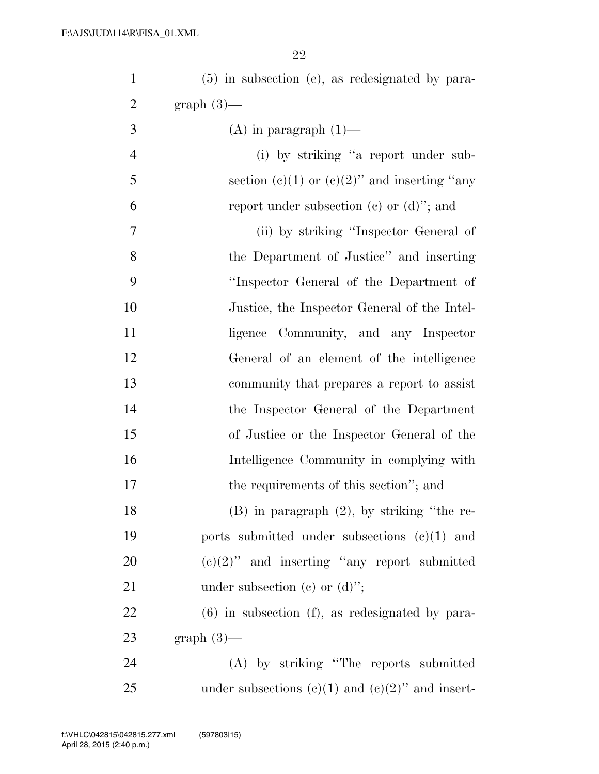| $\mathbf{1}$     | $(5)$ in subsection (e), as redesignated by para-    |
|------------------|------------------------------------------------------|
| $\overline{2}$   | graph $(3)$ —                                        |
| 3                | $(A)$ in paragraph $(1)$ —                           |
| $\overline{4}$   | (i) by striking "a report under sub-                 |
| 5                | section (c)(1) or (c)(2)" and inserting "any         |
| 6                | report under subsection (c) or $(d)$ "; and          |
| $\boldsymbol{7}$ | (ii) by striking "Inspector General of               |
| 8                | the Department of Justice" and inserting             |
| 9                | "Inspector General of the Department of              |
| 10               | Justice, the Inspector General of the Intel-         |
| 11               | Community, and any Inspector<br>ligence              |
| 12               | General of an element of the intelligence            |
| 13               | community that prepares a report to assist           |
| 14               | the Inspector General of the Department              |
| 15               | of Justice or the Inspector General of the           |
| 16               | Intelligence Community in complying with             |
| 17               | the requirements of this section"; and               |
| 18               | $(B)$ in paragraph $(2)$ , by striking "the re-      |
| 19               | ports submitted under subsections $(e)(1)$ and       |
| 20               | $(e)(2)$ " and inserting "any report submitted"      |
| 21               | under subsection (c) or $(d)$ ";                     |
| 22               | $(6)$ in subsection $(f)$ , as redesignated by para- |
| 23               | $graph(3)$ —                                         |
| 24               | (A) by striking "The reports submitted               |
| 25               | under subsections (c)(1) and (c)(2)" and insert-     |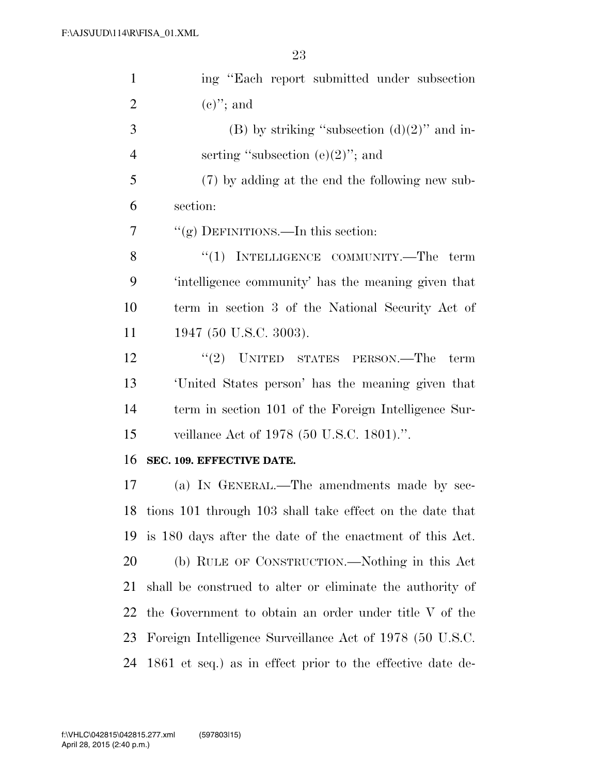| $\mathbf{1}$   | ing "Each report submitted under subsection                 |
|----------------|-------------------------------------------------------------|
| $\overline{2}$ | $(e)$ "; and                                                |
| 3              | (B) by striking "subsection $(d)(2)$ " and in-              |
| $\overline{4}$ | serting "subsection $(e)(2)$ "; and                         |
| 5              | (7) by adding at the end the following new sub-             |
| 6              | section:                                                    |
| 7              | "(g) DEFINITIONS.—In this section:                          |
| 8              | "(1) INTELLIGENCE COMMUNITY.—The term                       |
| 9              | 'intelligence community' has the meaning given that         |
| 10             | term in section 3 of the National Security Act of           |
| 11             | 1947 (50 U.S.C. 3003).                                      |
| 12             | $"(2)$ UNITED STATES PERSON.—The<br>term                    |
| 13             | United States person' has the meaning given that            |
| 14             | term in section 101 of the Foreign Intelligence Sur-        |
| 15             | veillance Act of 1978 (50 U.S.C. 1801).".                   |
| 16             | SEC. 109. EFFECTIVE DATE.                                   |
| 17             | (a) IN GENERAL.—The amendments made by sec-                 |
|                | 18 tions 101 through 103 shall take effect on the date that |
| 19             | is 180 days after the date of the enactment of this Act.    |
| 20             | (b) RULE OF CONSTRUCTION.—Nothing in this Act               |
| 21             | shall be construed to alter or eliminate the authority of   |
| 22             | the Government to obtain an order under title V of the      |
| 23             | Foreign Intelligence Surveillance Act of 1978 (50 U.S.C.    |
| 24             | 1861 et seq.) as in effect prior to the effective date de-  |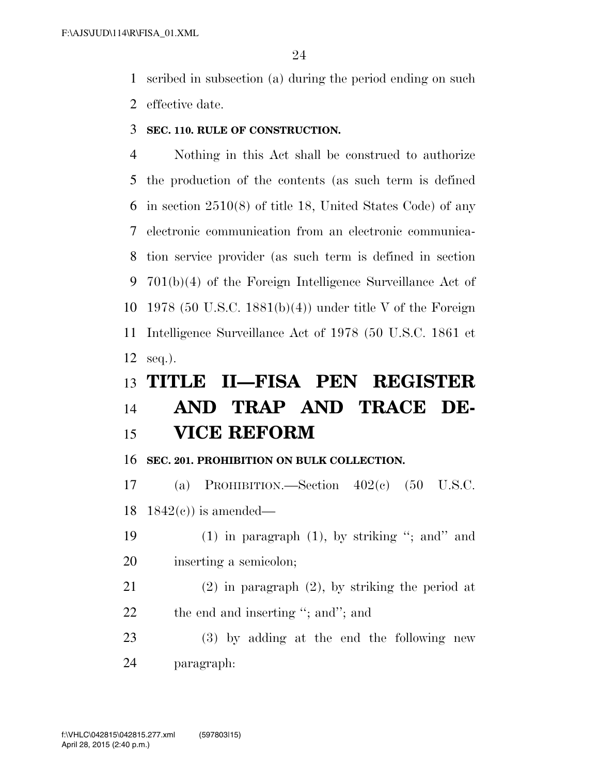scribed in subsection (a) during the period ending on such effective date.

**SEC. 110. RULE OF CONSTRUCTION.** 

 Nothing in this Act shall be construed to authorize the production of the contents (as such term is defined in section 2510(8) of title 18, United States Code) of any electronic communication from an electronic communica- tion service provider (as such term is defined in section 701(b)(4) of the Foreign Intelligence Surveillance Act of 1978 (50 U.S.C. 1881(b)(4)) under title V of the Foreign Intelligence Surveillance Act of 1978 (50 U.S.C. 1861 et seq.).

### **TITLE II—FISA PEN REGISTER AND TRAP AND TRACE DE-VICE REFORM**

**SEC. 201. PROHIBITION ON BULK COLLECTION.** 

 (a) PROHIBITION.—Section 402(c) (50 U.S.C. 18  $1842(c)$  is amended—

- (1) in paragraph (1), by striking ''; and'' and inserting a semicolon;
- (2) in paragraph (2), by striking the period at 22 the end and inserting "; and"; and

 (3) by adding at the end the following new paragraph: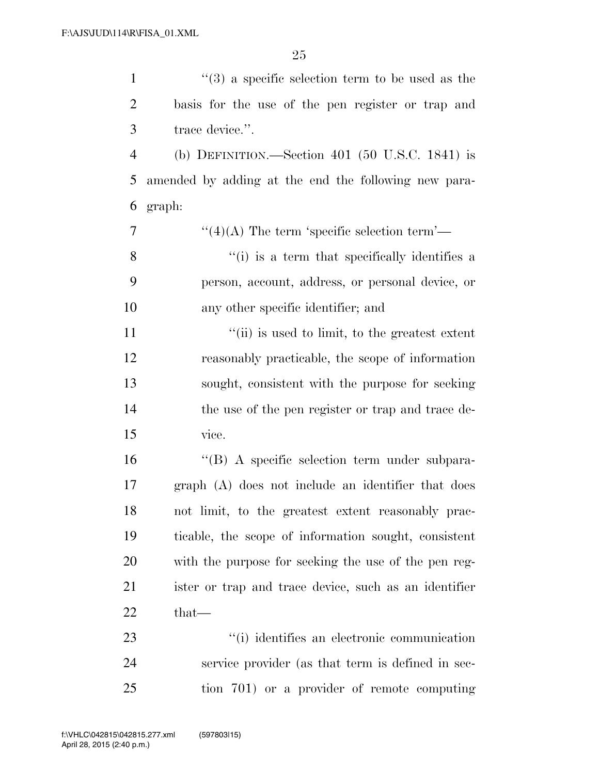| $\mathbf{1}$   | $(3)$ a specific selection term to be used as the     |
|----------------|-------------------------------------------------------|
| $\overline{2}$ | basis for the use of the pen register or trap and     |
| 3              | trace device.".                                       |
| $\overline{4}$ | (b) DEFINITION.—Section $401$ (50 U.S.C. 1841) is     |
| 5              | amended by adding at the end the following new para-  |
| 6              | graph:                                                |
| 7              | $\lq(4)$ (A) The term 'specific selection term'—      |
| 8              | "(i) is a term that specifically identifies a         |
| 9              | person, account, address, or personal device, or      |
| 10             | any other specific identifier; and                    |
| 11             | "(ii) is used to limit, to the greatest extent        |
| 12             | reasonably practicable, the scope of information      |
| 13             | sought, consistent with the purpose for seeking       |
| 14             | the use of the pen register or trap and trace de-     |
| 15             | vice.                                                 |
| 16             | "(B) A specific selection term under subpara-         |
| 17             | graph (A) does not include an identifier that does    |
| 18             | not limit, to the greatest extent reasonably prac-    |
| 19             | ticable, the scope of information sought, consistent  |
| 20             | with the purpose for seeking the use of the pen reg-  |
| 21             | ister or trap and trace device, such as an identifier |
| 22             | that-                                                 |
| 23             | "(i) identifies an electronic communication           |
| 24             | service provider (as that term is defined in sec-     |
| 25             | tion 701) or a provider of remote computing           |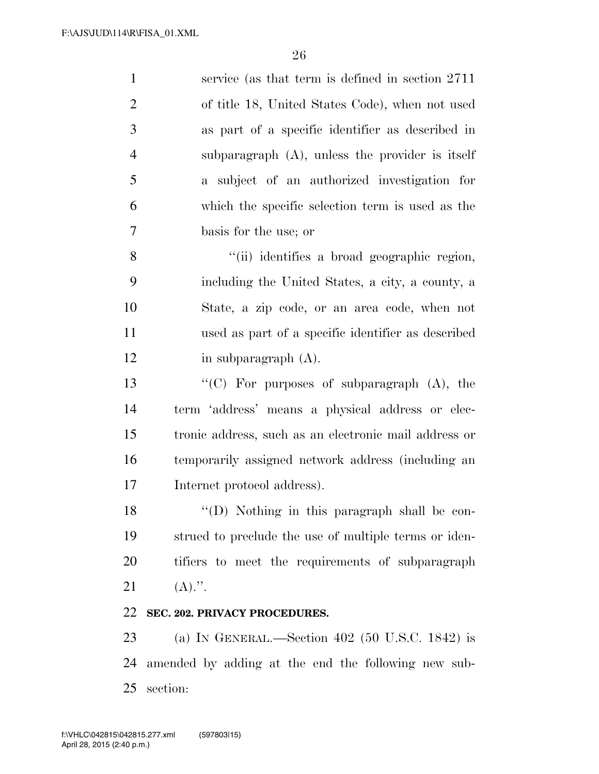| $\mathbf{1}$   | service (as that term is defined in section $2711$ )  |
|----------------|-------------------------------------------------------|
| $\overline{2}$ | of title 18, United States Code), when not used       |
| 3              | as part of a specific identifier as described in      |
| $\overline{4}$ | subparagraph $(A)$ , unless the provider is itself    |
| 5              | a subject of an authorized investigation for          |
| 6              | which the specific selection term is used as the      |
| 7              | basis for the use; or                                 |
| 8              | "(ii) identifies a broad geographic region,           |
| 9              | including the United States, a city, a county, a      |
| 10             | State, a zip code, or an area code, when not          |
| 11             | used as part of a specific identifier as described    |
| 12             | in subparagraph $(A)$ .                               |
| 13             | "(C) For purposes of subparagraph $(A)$ , the         |
| 14             | term 'address' means a physical address or elec-      |
| 15             | tronic address, such as an electronic mail address or |
| 16             | temporarily assigned network address (including an    |
| 17             | Internet protocol address).                           |
| 18             | "(D) Nothing in this paragraph shall be con-          |
| 19             | strued to preclude the use of multiple terms or iden- |
| 20             | tifiers to meet the requirements of subparagraph      |
| 21             | $(A).$ ".                                             |
| 22             | SEC. 202. PRIVACY PROCEDURES.                         |

 (a) IN GENERAL.—Section 402 (50 U.S.C. 1842) is amended by adding at the end the following new sub-section: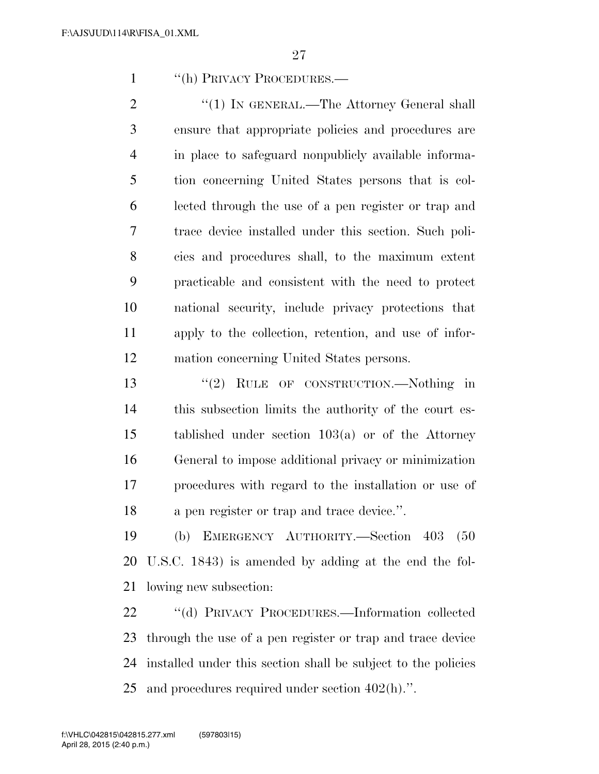''(h) PRIVACY PROCEDURES.—

2 "(1) IN GENERAL.—The Attorney General shall ensure that appropriate policies and procedures are in place to safeguard nonpublicly available informa- tion concerning United States persons that is col- lected through the use of a pen register or trap and trace device installed under this section. Such poli- cies and procedures shall, to the maximum extent practicable and consistent with the need to protect national security, include privacy protections that apply to the collection, retention, and use of infor-mation concerning United States persons.

13 "(2) RULE OF CONSTRUCTION.—Nothing in this subsection limits the authority of the court es- tablished under section 103(a) or of the Attorney General to impose additional privacy or minimization procedures with regard to the installation or use of a pen register or trap and trace device.''.

 (b) EMERGENCY AUTHORITY.—Section 403 (50 U.S.C. 1843) is amended by adding at the end the fol-lowing new subsection:

 ''(d) PRIVACY PROCEDURES.—Information collected through the use of a pen register or trap and trace device installed under this section shall be subject to the policies and procedures required under section 402(h).''.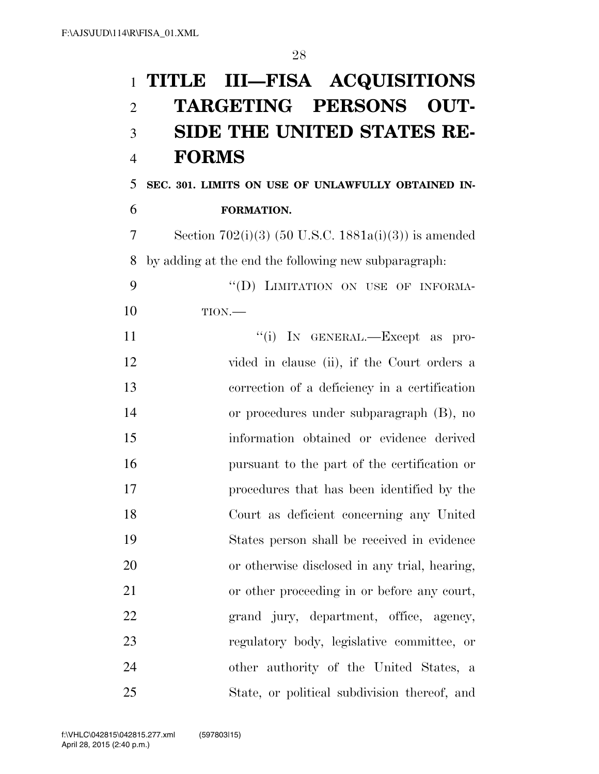# **TITLE III—FISA ACQUISITIONS TARGETING PERSONS OUT- SIDE THE UNITED STATES RE- FORMS SEC. 301. LIMITS ON USE OF UNLAWFULLY OBTAINED IN- FORMATION.**  7 Section  $702(i)(3)$  (50 U.S.C. 1881a(i)(3)) is amended by adding at the end the following new subparagraph: 9 "(D) LIMITATION ON USE OF INFORMA- TION.— 11  $''(i)$  In GENERAL.—Except as pro- vided in clause (ii), if the Court orders a correction of a deficiency in a certification or procedures under subparagraph (B), no information obtained or evidence derived pursuant to the part of the certification or procedures that has been identified by the

 Court as deficient concerning any United States person shall be received in evidence or otherwise disclosed in any trial, hearing, or other proceeding in or before any court, grand jury, department, office, agency, regulatory body, legislative committee, or other authority of the United States, a State, or political subdivision thereof, and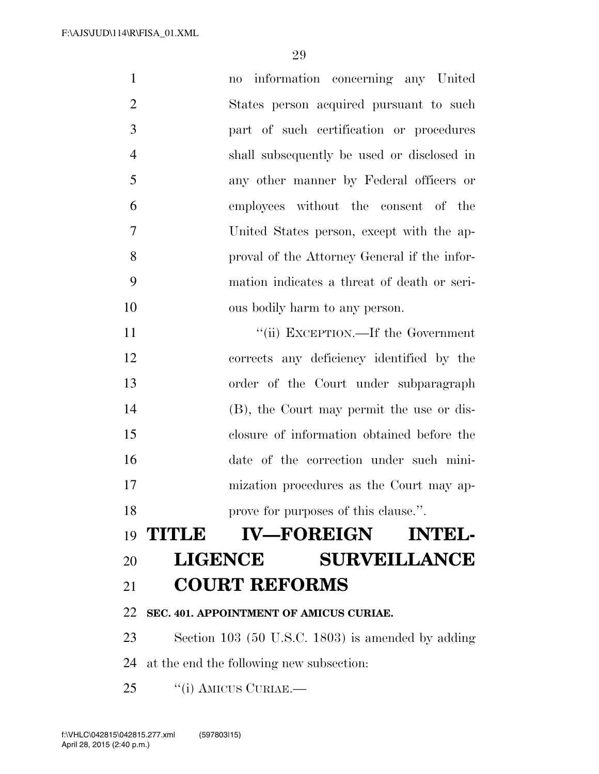| $\mathbf{1}$   | no information concerning any United              |
|----------------|---------------------------------------------------|
| $\overline{2}$ | States person acquired pursuant to such           |
| 3              | part of such certification or procedures          |
| $\overline{4}$ | shall subsequently be used or disclosed in        |
| 5              | any other manner by Federal officers or           |
| 6              | employees without the consent of the              |
| 7              | United States person, except with the ap-         |
| 8              | proval of the Attorney General if the infor-      |
| 9              | mation indicates a threat of death or seri-       |
| 10             | ous bodily harm to any person.                    |
| 11             | "(ii) EXCEPTION.—If the Government                |
| 12             | corrects any deficiency identified by the         |
| 13             | order of the Court under subparagraph             |
| 14             | (B), the Court may permit the use or dis-         |
| 15             | closure of information obtained before the        |
| 16             | date of the correction under such mini-           |
| 17             | mization procedures as the Court may ap-          |
| 18             | prove for purposes of this clause.".              |
|                | 19 TITLE IV-FOREIGN INTEL-                        |
| 20             | <b>LIGENCE</b><br><b>SURVEILLANCE</b>             |
| 21             | <b>COURT REFORMS</b>                              |
| 22             | SEC. 401. APPOINTMENT OF AMICUS CURIAE.           |
| 23             | Section 103 (50 U.S.C. 1803) is amended by adding |
| 24             | at the end the following new subsection:          |
| 25             | "(i) AMICUS CURIAE.—                              |
|                |                                                   |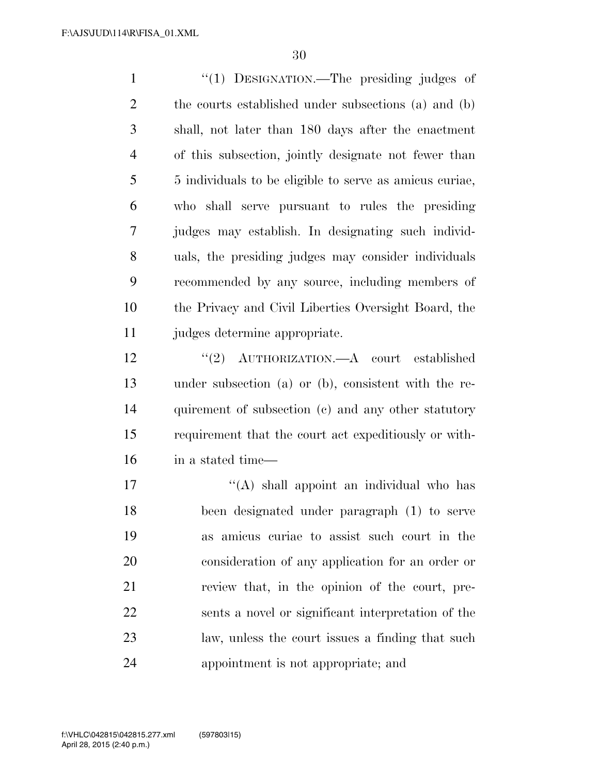1 "(1) DESIGNATION.—The presiding judges of the courts established under subsections (a) and (b) shall, not later than 180 days after the enactment of this subsection, jointly designate not fewer than 5 individuals to be eligible to serve as amicus curiae, who shall serve pursuant to rules the presiding judges may establish. In designating such individ- uals, the presiding judges may consider individuals recommended by any source, including members of the Privacy and Civil Liberties Oversight Board, the judges determine appropriate.

 ''(2) AUTHORIZATION.—A court established under subsection (a) or (b), consistent with the re- quirement of subsection (c) and any other statutory requirement that the court act expeditiously or with-in a stated time—

 $\mathcal{L}(\mathbf{A})$  shall appoint an individual who has been designated under paragraph (1) to serve as amicus curiae to assist such court in the consideration of any application for an order or review that, in the opinion of the court, pre- sents a novel or significant interpretation of the law, unless the court issues a finding that such appointment is not appropriate; and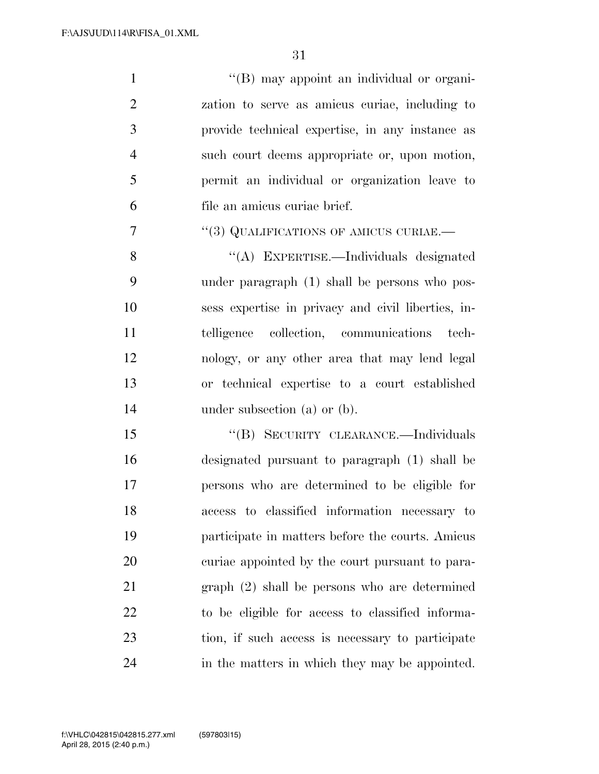1 ''(B) may appoint an individual or organi- zation to serve as amicus curiae, including to provide technical expertise, in any instance as such court deems appropriate or, upon motion, permit an individual or organization leave to file an amicus curiae brief. ''(3) QUALIFICATIONS OF AMICUS CURIAE.— ''(A) EXPERTISE.—Individuals designated under paragraph (1) shall be persons who pos-

 sess expertise in privacy and civil liberties, in- telligence collection, communications tech- nology, or any other area that may lend legal or technical expertise to a court established 14 under subsection (a) or (b).

15 "(B) SECURITY CLEARANCE.—Individuals designated pursuant to paragraph (1) shall be persons who are determined to be eligible for access to classified information necessary to participate in matters before the courts. Amicus curiae appointed by the court pursuant to para- graph (2) shall be persons who are determined to be eligible for access to classified informa- tion, if such access is necessary to participate in the matters in which they may be appointed.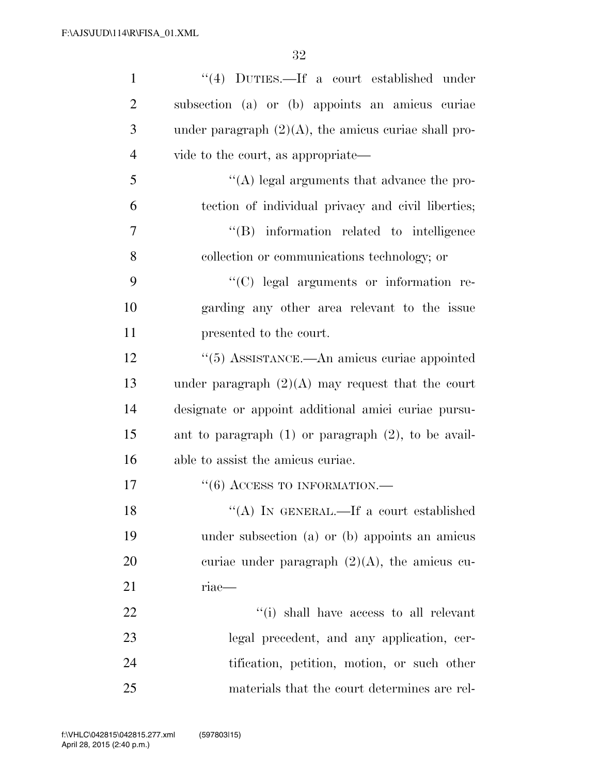| $\mathbf{1}$   | $\lq(4)$ DUTIES.—If a court established under            |
|----------------|----------------------------------------------------------|
| $\overline{2}$ | subsection (a) or (b) appoints an amicus curiae          |
| 3              | under paragraph $(2)(A)$ , the amicus curiae shall pro-  |
| $\overline{4}$ | vide to the court, as appropriate—                       |
| 5              | $\lq\lq$ legal arguments that advance the pro-           |
| 6              | tection of individual privacy and civil liberties;       |
| $\overline{7}$ | "(B) information related to intelligence                 |
| 8              | collection or communications technology; or              |
| 9              | "(C) legal arguments or information re-                  |
| 10             | garding any other area relevant to the issue             |
| 11             | presented to the court.                                  |
| 12             | $\cdot\cdot$ (5) ASSISTANCE.—An amicus curiae appointed  |
| 13             | under paragraph $(2)(A)$ may request that the court      |
| 14             | designate or appoint additional amici curiae pursu-      |
| 15             | ant to paragraph $(1)$ or paragraph $(2)$ , to be avail- |
| 16             | able to assist the amicus curiae.                        |
| 17             | $``(6)$ ACCESS TO INFORMATION.—                          |
| 18             | "(A) IN GENERAL.—If a court established                  |
| 19             | under subsection (a) or (b) appoints an amicus           |
| 20             | curiae under paragraph $(2)(A)$ , the amicus cu-         |
| 21             | riae-                                                    |
| 22             | "(i) shall have access to all relevant                   |
| 23             | legal precedent, and any application, cer-               |
| 24             | tification, petition, motion, or such other              |
| 25             | materials that the court determines are rel-             |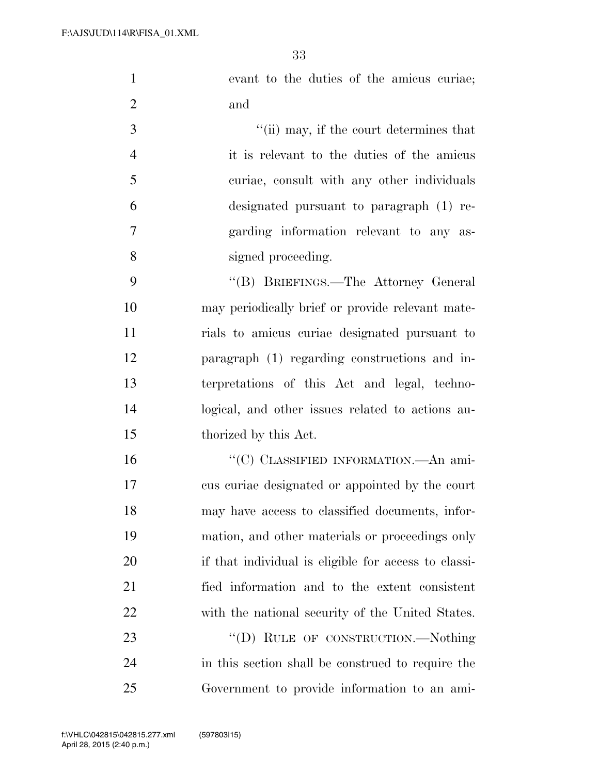| evant to the duties of the amicus curiae;       |
|-------------------------------------------------|
| and                                             |
| $\lq\lq$ (ii) may, if the court determines that |

 it is relevant to the duties of the amicus curiae, consult with any other individuals designated pursuant to paragraph (1) re- garding information relevant to any as-signed proceeding.

 ''(B) BRIEFINGS.—The Attorney General may periodically brief or provide relevant mate- rials to amicus curiae designated pursuant to paragraph (1) regarding constructions and in- terpretations of this Act and legal, techno- logical, and other issues related to actions au-thorized by this Act.

16 "(C) CLASSIFIED INFORMATION.—An ami- cus curiae designated or appointed by the court may have access to classified documents, infor- mation, and other materials or proceedings only if that individual is eligible for access to classi- fied information and to the extent consistent with the national security of the United States.

23 "(D) RULE OF CONSTRUCTION.—Nothing in this section shall be construed to require the Government to provide information to an ami-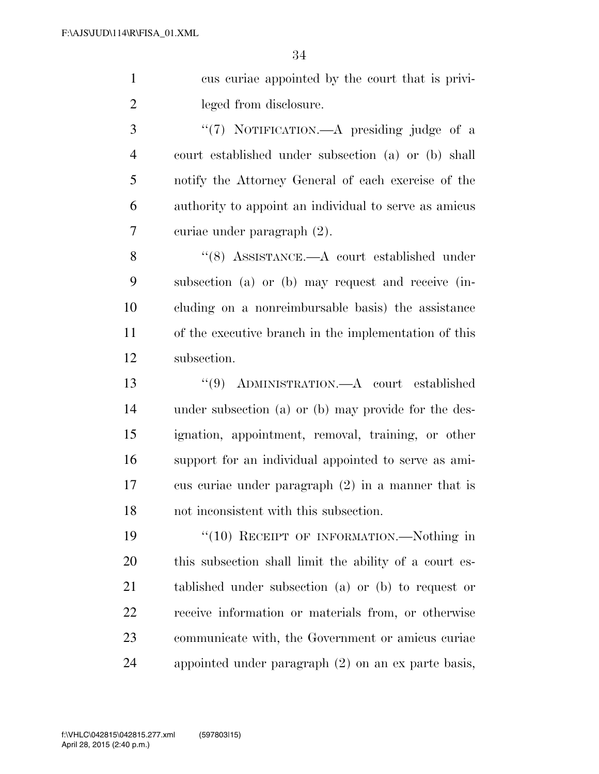cus curiae appointed by the court that is privi-leged from disclosure.

3 "(7) NOTIFICATION.—A presiding judge of a court established under subsection (a) or (b) shall notify the Attorney General of each exercise of the authority to appoint an individual to serve as amicus curiae under paragraph (2).

 ''(8) ASSISTANCE.—A court established under subsection (a) or (b) may request and receive (in- cluding on a nonreimbursable basis) the assistance of the executive branch in the implementation of this subsection.

 ''(9) ADMINISTRATION.—A court established under subsection (a) or (b) may provide for the des- ignation, appointment, removal, training, or other support for an individual appointed to serve as ami- cus curiae under paragraph (2) in a manner that is not inconsistent with this subsection.

19 "(10) RECEIPT OF INFORMATION.—Nothing in this subsection shall limit the ability of a court es- tablished under subsection (a) or (b) to request or receive information or materials from, or otherwise communicate with, the Government or amicus curiae appointed under paragraph (2) on an ex parte basis,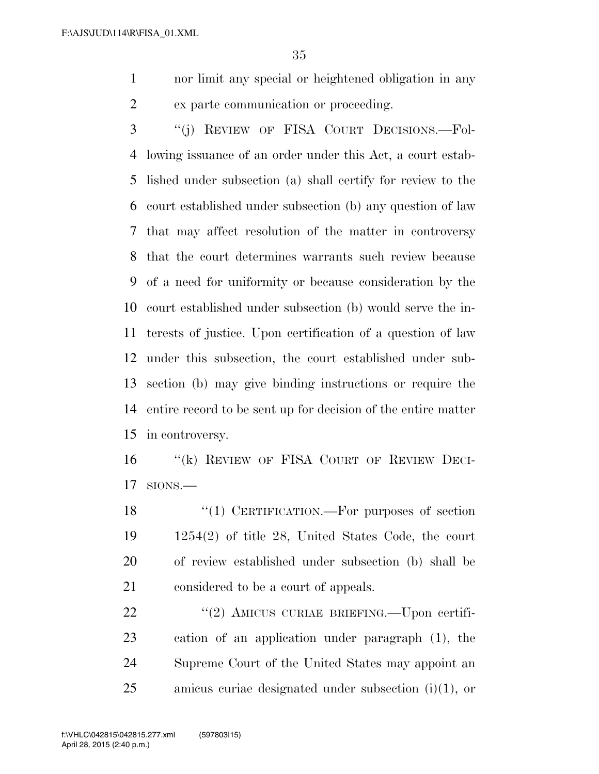nor limit any special or heightened obligation in any ex parte communication or proceeding.

 ''(j) REVIEW OF FISA COURT DECISIONS.—Fol- lowing issuance of an order under this Act, a court estab- lished under subsection (a) shall certify for review to the court established under subsection (b) any question of law that may affect resolution of the matter in controversy that the court determines warrants such review because of a need for uniformity or because consideration by the court established under subsection (b) would serve the in- terests of justice. Upon certification of a question of law under this subsection, the court established under sub- section (b) may give binding instructions or require the entire record to be sent up for decision of the entire matter in controversy.

16 "(k) REVIEW OF FISA COURT OF REVIEW DECI-SIONS.—

18 "(1) CERTIFICATION.—For purposes of section 1254(2) of title 28, United States Code, the court of review established under subsection (b) shall be considered to be a court of appeals.

22 "(2) AMICUS CURIAE BRIEFING.—Upon certifi- cation of an application under paragraph (1), the Supreme Court of the United States may appoint an amicus curiae designated under subsection (i)(1), or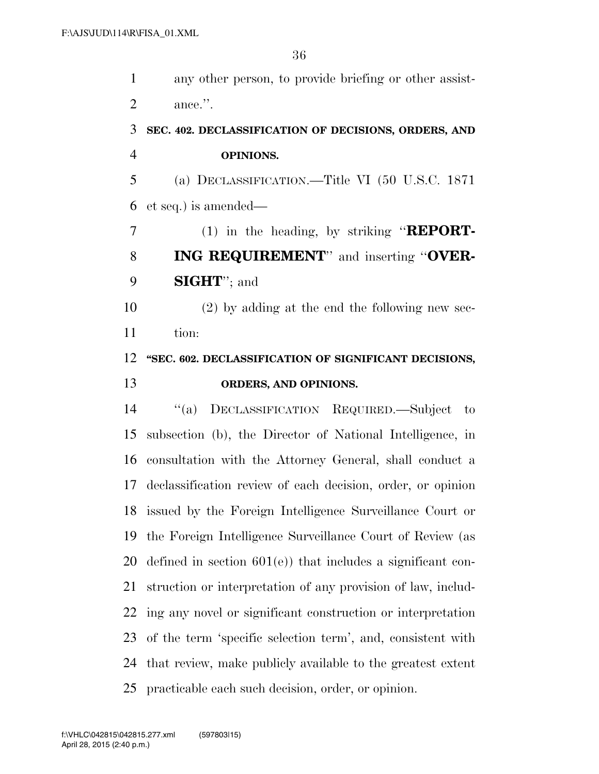| $\mathbf{1}$   | any other person, to provide briefing or other assist-       |
|----------------|--------------------------------------------------------------|
| $\overline{2}$ | ance.".                                                      |
| 3              | SEC. 402. DECLASSIFICATION OF DECISIONS, ORDERS, AND         |
| $\overline{4}$ | OPINIONS.                                                    |
| 5              | (a) DECLASSIFICATION.—Title VI (50 U.S.C. 1871               |
| 6              | et seq.) is amended—                                         |
| 7              | $(1)$ in the heading, by striking " <b>REPORT</b> -          |
| 8              | <b>ING REQUIREMENT</b> " and inserting "OVER-                |
| 9              | <b>SIGHT</b> "; and                                          |
| 10             | $(2)$ by adding at the end the following new sec-            |
| 11             | tion:                                                        |
| 12             | "SEC. 602. DECLASSIFICATION OF SIGNIFICANT DECISIONS,        |
| 13             | ORDERS, AND OPINIONS.                                        |
| 14             | DECLASSIFICATION REQUIRED.-Subject<br>$\lq( a )$<br>to       |
| 15             | subsection (b), the Director of National Intelligence, in    |
| 16             | consultation with the Attorney General, shall conduct a      |
| 17             | declassification review of each decision, order, or opinion  |
| 18             | issued by the Foreign Intelligence Surveillance Court or     |
| 19             | the Foreign Intelligence Surveillance Court of Review (as    |
| 20             |                                                              |
|                | defined in section $601(e)$ that includes a significant con- |
| 21             | struction or interpretation of any provision of law, includ- |
| 22             | ing any novel or significant construction or interpretation  |
| 23             | of the term 'specific selection term', and, consistent with  |
| 24             | that review, make publicly available to the greatest extent  |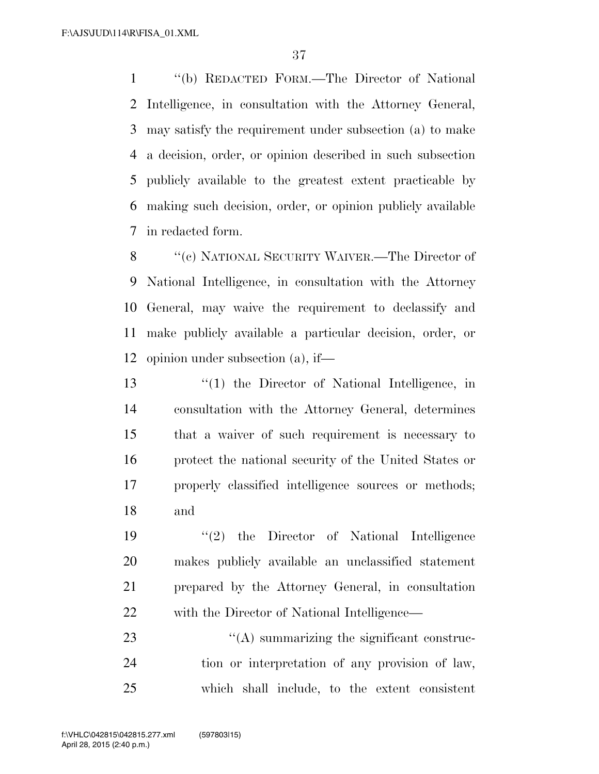''(b) REDACTED FORM.—The Director of National Intelligence, in consultation with the Attorney General, may satisfy the requirement under subsection (a) to make a decision, order, or opinion described in such subsection publicly available to the greatest extent practicable by making such decision, order, or opinion publicly available in redacted form.

 ''(c) NATIONAL SECURITY WAIVER.—The Director of National Intelligence, in consultation with the Attorney General, may waive the requirement to declassify and make publicly available a particular decision, order, or opinion under subsection (a), if—

 ''(1) the Director of National Intelligence, in consultation with the Attorney General, determines that a waiver of such requirement is necessary to protect the national security of the United States or properly classified intelligence sources or methods; and

 ''(2) the Director of National Intelligence makes publicly available an unclassified statement prepared by the Attorney General, in consultation with the Director of National Intelligence—

23  $\cdot$  (A) summarizing the significant construc- tion or interpretation of any provision of law, which shall include, to the extent consistent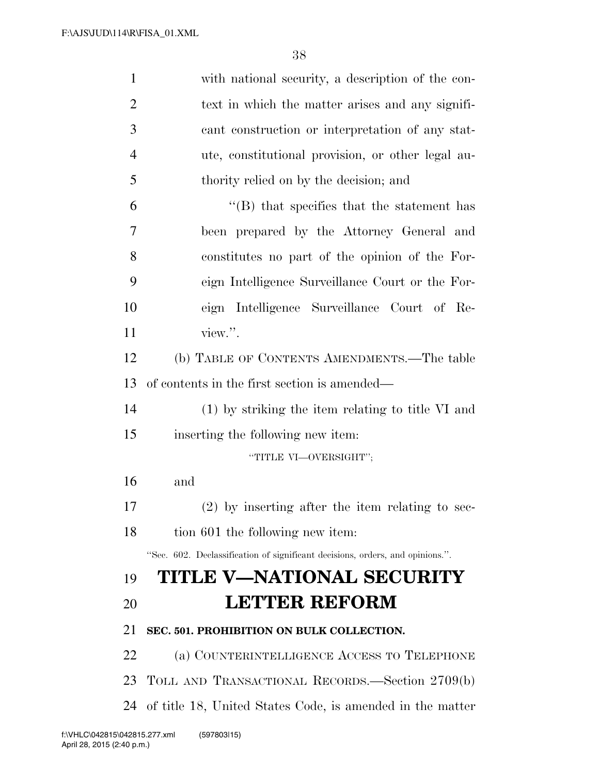| $\mathbf{1}$   | with national security, a description of the con-                             |
|----------------|-------------------------------------------------------------------------------|
| $\overline{2}$ | text in which the matter arises and any signifi-                              |
| 3              | cant construction or interpretation of any stat-                              |
| $\overline{4}$ | ute, constitutional provision, or other legal au-                             |
| 5              | thority relied on by the decision; and                                        |
| 6              | $\lq\lq$ that specifies that the statement has                                |
| 7              | been prepared by the Attorney General and                                     |
| 8              | constitutes no part of the opinion of the For-                                |
| 9              | eign Intelligence Surveillance Court or the For-                              |
| 10             | eign Intelligence Surveillance Court of Re-                                   |
| 11             | view.".                                                                       |
| 12             | (b) TABLE OF CONTENTS AMENDMENTS.—The table                                   |
| 13             | of contents in the first section is amended—                                  |
| 14             | $(1)$ by striking the item relating to title VI and                           |
| 15             | inserting the following new item:                                             |
|                | "TITLE VI-OVERSIGHT";                                                         |
| 16             | and                                                                           |
| 17             | $(2)$ by inserting after the item relating to sec-                            |
| 18             | tion 601 the following new item:                                              |
|                | "Sec. 602. Declassification of significant decisions, orders, and opinions.". |
| 19             | TITLE V—NATIONAL SECURITY                                                     |
| 20             | <b>LETTER REFORM</b>                                                          |
| 21             | SEC. 501. PROHIBITION ON BULK COLLECTION.                                     |
| 22             | (a) COUNTERINTELLIGENCE ACCESS TO TELEPHONE                                   |
| 23             | TOLL AND TRANSACTIONAL RECORDS.—Section 2709(b)                               |
| 24             | of title 18, United States Code, is amended in the matter                     |
|                | 042815.277.xml (597803115)                                                    |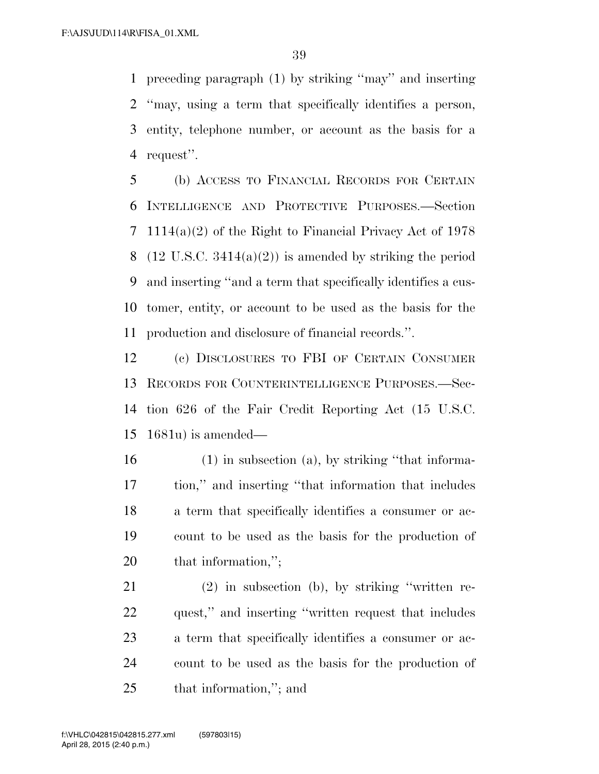preceding paragraph (1) by striking ''may'' and inserting ''may, using a term that specifically identifies a person, entity, telephone number, or account as the basis for a request''.

 (b) ACCESS TO FINANCIAL RECORDS FOR CERTAIN INTELLIGENCE AND PROTECTIVE PURPOSES.—Section 1114(a)(2) of the Right to Financial Privacy Act of 1978 8 (12 U.S.C.  $3414(a)(2)$ ) is amended by striking the period and inserting ''and a term that specifically identifies a cus- tomer, entity, or account to be used as the basis for the production and disclosure of financial records.''.

 (c) DISCLOSURES TO FBI OF CERTAIN CONSUMER RECORDS FOR COUNTERINTELLIGENCE PURPOSES.—Sec- tion 626 of the Fair Credit Reporting Act (15 U.S.C. 1681u) is amended—

 (1) in subsection (a), by striking ''that informa- tion,'' and inserting ''that information that includes a term that specifically identifies a consumer or ac- count to be used as the basis for the production of 20 that information,";

 (2) in subsection (b), by striking ''written re- quest,'' and inserting ''written request that includes a term that specifically identifies a consumer or ac- count to be used as the basis for the production of that information,''; and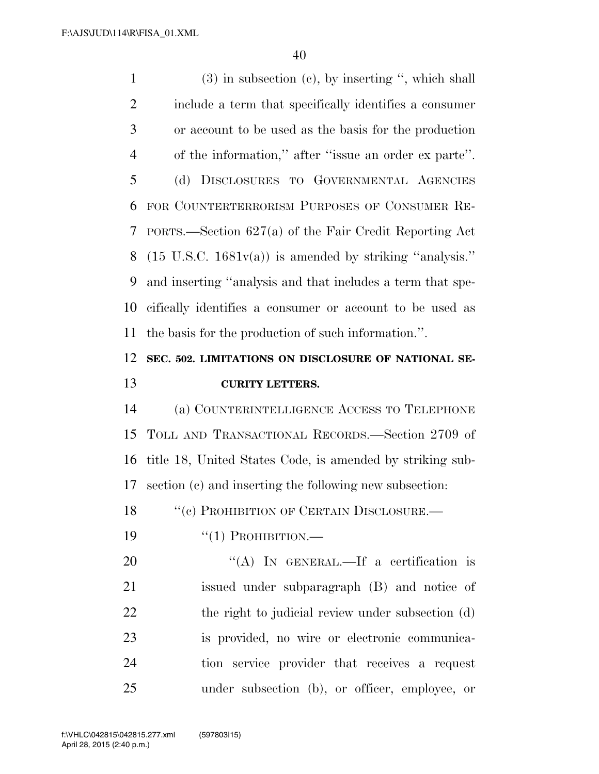(3) in subsection (c), by inserting '', which shall include a term that specifically identifies a consumer or account to be used as the basis for the production of the information,'' after ''issue an order ex parte''. (d) DISCLOSURES TO GOVERNMENTAL AGENCIES FOR COUNTERTERRORISM PURPOSES OF CONSUMER RE- PORTS.—Section 627(a) of the Fair Credit Reporting Act 8 (15 U.S.C.  $1681v(a)$ ) is amended by striking "analysis." and inserting ''analysis and that includes a term that spe- cifically identifies a consumer or account to be used as the basis for the production of such information.''. **SEC. 502. LIMITATIONS ON DISCLOSURE OF NATIONAL SE-**

## **CURITY LETTERS.**

 (a) COUNTERINTELLIGENCE ACCESS TO TELEPHONE TOLL AND TRANSACTIONAL RECORDS.—Section 2709 of title 18, United States Code, is amended by striking sub-section (c) and inserting the following new subsection:

18 "(c) PROHIBITION OF CERTAIN DISCLOSURE.—

''(1) PROHIBITION.—

20 "(A) IN GENERAL.—If a certification is issued under subparagraph (B) and notice of 22 the right to judicial review under subsection (d) is provided, no wire or electronic communica- tion service provider that receives a request under subsection (b), or officer, employee, or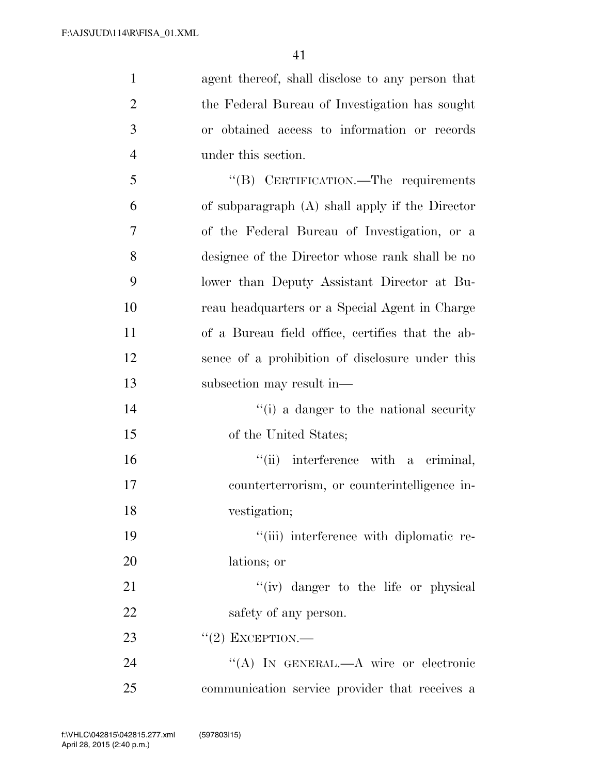| $\mathbf{1}$   | agent thereof, shall disclose to any person that |
|----------------|--------------------------------------------------|
| $\overline{2}$ | the Federal Bureau of Investigation has sought   |
| 3              | or obtained access to information or records     |
| $\overline{4}$ | under this section.                              |
| 5              | "(B) CERTIFICATION.—The requirements             |
| 6              | of subparagraph (A) shall apply if the Director  |
| 7              | of the Federal Bureau of Investigation, or a     |
| 8              | designee of the Director whose rank shall be no  |
| 9              | lower than Deputy Assistant Director at Bu-      |
| 10             | reau headquarters or a Special Agent in Charge   |
| 11             | of a Bureau field office, certifies that the ab- |
| 12             | sence of a prohibition of disclosure under this  |
| 13             | subsection may result in—                        |
| 14             | "(i) a danger to the national security           |
| 15             | of the United States;                            |
| 16             | "(ii) interference with a criminal,              |
| 17             | counterterrorism, or counterintelligence in-     |
| 18             | vestigation;                                     |
| 19             | "(iii) interference with diplomatic re-          |
| 20             | lations; or                                      |
| 21             | "(iv) danger to the life or physical             |
| 22             | safety of any person.                            |
| 23             | $``(2)$ EXCEPTION.—                              |
| 24             | "(A) IN GENERAL.—A wire or electronic            |
| 25             | communication service provider that receives a   |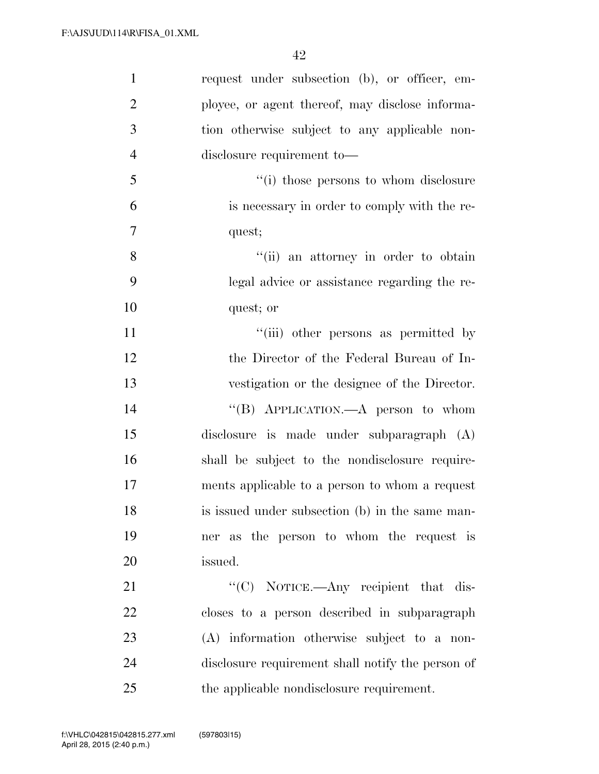| $\mathbf{1}$   | request under subsection (b), or officer, em-     |
|----------------|---------------------------------------------------|
| $\overline{2}$ | ployee, or agent thereof, may disclose informa-   |
| 3              | tion otherwise subject to any applicable non-     |
| $\overline{4}$ | disclosure requirement to-                        |
| 5              | "(i) those persons to whom disclosure             |
| 6              | is necessary in order to comply with the re-      |
| $\overline{7}$ | quest;                                            |
| 8              | "(ii) an attorney in order to obtain              |
| 9              | legal advice or assistance regarding the re-      |
| 10             | quest; or                                         |
| 11             | "(iii) other persons as permitted by              |
| 12             | the Director of the Federal Bureau of In-         |
| 13             | vestigation or the designee of the Director.      |
| 14             | "(B) APPLICATION.—A person to whom                |
| 15             | disclosure is made under subparagraph (A)         |
| 16             | shall be subject to the nondisclosure require-    |
| 17             | ments applicable to a person to whom a request    |
| 18             | is issued under subsection (b) in the same man-   |
| 19             | ner as the person to whom the request is          |
| 20             | issued.                                           |
| 21             | "(C) NOTICE.—Any recipient that dis-              |
| 22             | closes to a person described in subparagraph      |
| 23             | (A) information otherwise subject to a non-       |
| 24             | disclosure requirement shall notify the person of |
| 25             | the applicable nondisclosure requirement.         |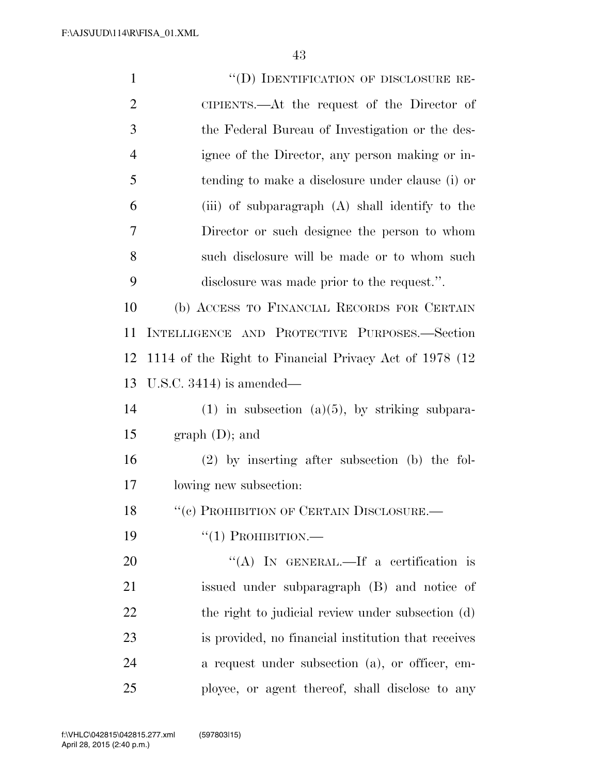| $\mathbf{1}$   | "(D) IDENTIFICATION OF DISCLOSURE RE-                   |
|----------------|---------------------------------------------------------|
| $\overline{c}$ | CIPIENTS.—At the request of the Director of             |
| 3              | the Federal Bureau of Investigation or the des-         |
| $\overline{4}$ | ignee of the Director, any person making or in-         |
| 5              | tending to make a disclosure under clause (i) or        |
| 6              | (iii) of subparagraph (A) shall identify to the         |
| $\overline{7}$ | Director or such designee the person to whom            |
| 8              | such disclosure will be made or to whom such            |
| 9              | disclosure was made prior to the request.".             |
| 10             | (b) ACCESS TO FINANCIAL RECORDS FOR CERTAIN             |
| 11             | INTELLIGENCE AND PROTECTIVE PURPOSES.-Section           |
| 12             | 1114 of the Right to Financial Privacy Act of 1978 (12) |
| 13             | U.S.C. $3414$ ) is amended—                             |
| 14             | $(1)$ in subsection $(a)(5)$ , by striking subpara-     |
| 15             | graph (D); and                                          |
| 16             | $(2)$ by inserting after subsection (b) the fol-        |
| 17             | lowing new subsection:                                  |
| 18             | $``(e)$ PROHIBITION OF CERTAIN DISCLOSURE.—             |
| 19             | $``(1)$ PROHIBITION.—                                   |
| 20             | "(A) IN GENERAL.—If a certification is                  |
| 21             | issued under subparagraph (B) and notice of             |
| 22             | the right to judicial review under subsection (d)       |
| 23             | is provided, no financial institution that receives     |
| 24             | a request under subsection (a), or officer, em-         |
| 25             | ployee, or agent thereof, shall disclose to any         |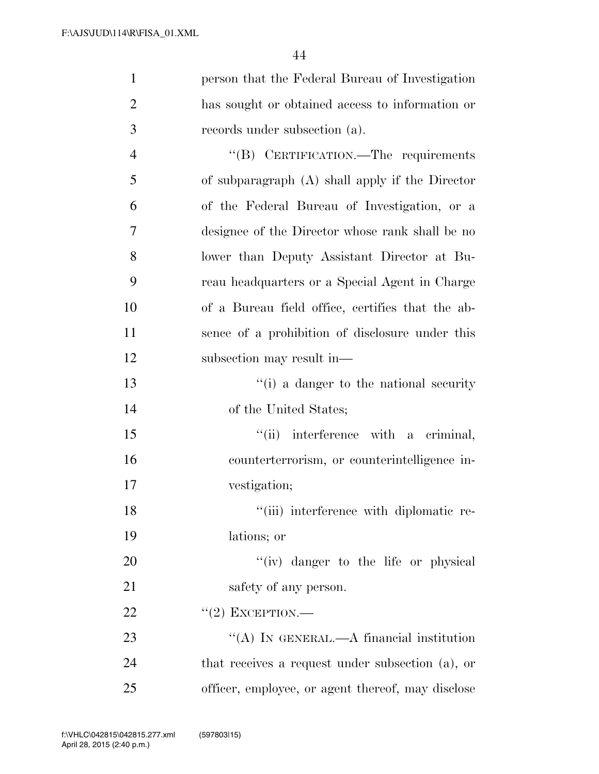| $\mathbf{1}$   | person that the Federal Bureau of Investigation   |
|----------------|---------------------------------------------------|
| $\overline{2}$ | has sought or obtained access to information or   |
| 3              | records under subsection (a).                     |
| $\overline{4}$ | "(B) CERTIFICATION.—The requirements              |
| 5              | of subparagraph $(A)$ shall apply if the Director |
| 6              | of the Federal Bureau of Investigation, or a      |
| 7              | designee of the Director whose rank shall be no   |
| 8              | lower than Deputy Assistant Director at Bu-       |
| 9              | reau headquarters or a Special Agent in Charge    |
| 10             | of a Bureau field office, certifies that the ab-  |
| 11             | sence of a prohibition of disclosure under this   |
| 12             | subsection may result in—                         |
| 13             | "(i) a danger to the national security            |
| 14             | of the United States;                             |
| 15             | "(ii) interference with a criminal,               |
| 16             | counterterrorism, or counterintelligence in-      |
| 17             | vestigation;                                      |
| 18             | "(iii) interference with diplomatic re-           |
| 19             | lations; or                                       |
| 20             | "(iv) danger to the life or physical              |
| 21             | safety of any person.                             |
| 22             | $"(2)$ EXCEPTION.—                                |
| 23             | "(A) IN GENERAL.—A financial institution          |
| 24             | that receives a request under subsection (a), or  |
| 25             | officer, employee, or agent thereof, may disclose |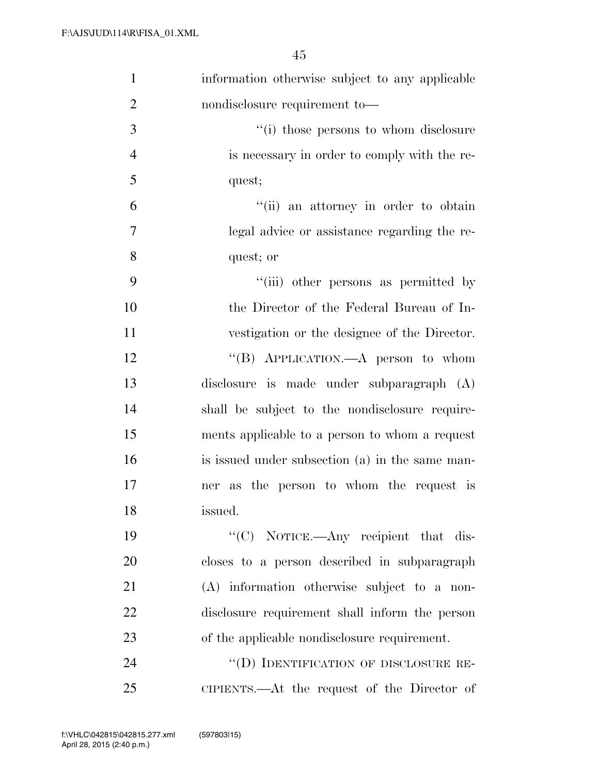| $\mathbf{1}$   | information otherwise subject to any applicable |
|----------------|-------------------------------------------------|
| $\overline{2}$ | nondisclosure requirement to-                   |
| 3              | "(i) those persons to whom disclosure           |
| $\overline{4}$ | is necessary in order to comply with the re-    |
| 5              | quest;                                          |
| 6              | "(ii) an attorney in order to obtain            |
| 7              | legal advice or assistance regarding the re-    |
| 8              | quest; or                                       |
| 9              | "(iii) other persons as permitted by            |
| 10             | the Director of the Federal Bureau of In-       |
| 11             | vestigation or the designee of the Director.    |
| 12             | "(B) APPLICATION.—A person to whom              |
| 13             | disclosure is made under subparagraph (A)       |
| 14             | shall be subject to the nondisclosure require-  |
| 15             | ments applicable to a person to whom a request  |
| 16             | is issued under subsection (a) in the same man- |
| 17             | ner as the person to whom the request is        |
| 18             | issued.                                         |
| 19             | "(C) NOTICE.—Any recipient that dis-            |
| 20             | closes to a person described in subparagraph    |
| 21             | (A) information otherwise subject to a non-     |
| 22             | disclosure requirement shall inform the person  |
| 23             | of the applicable nondisclosure requirement.    |
| 24             | "(D) IDENTIFICATION OF DISCLOSURE RE-           |
| 25             | CIPIENTS.—At the request of the Director of     |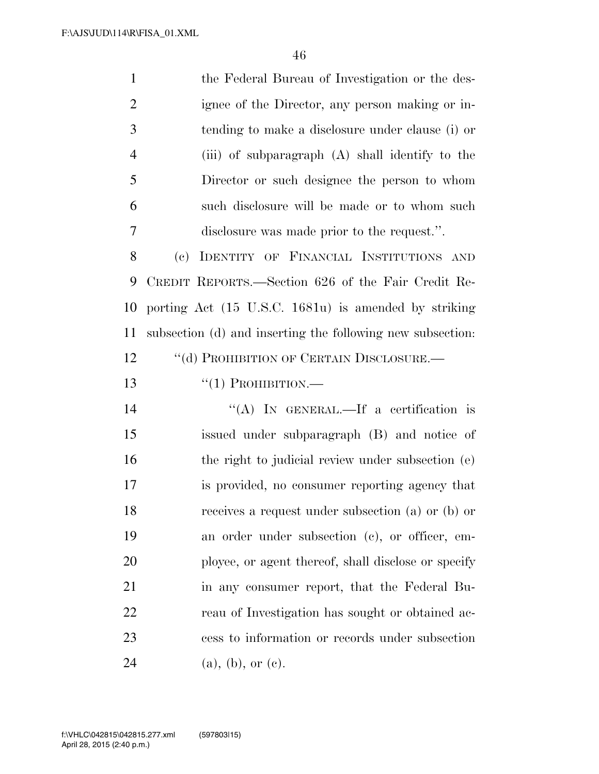the Federal Bureau of Investigation or the des- ignee of the Director, any person making or in- tending to make a disclosure under clause (i) or (iii) of subparagraph (A) shall identify to the Director or such designee the person to whom such disclosure will be made or to whom such disclosure was made prior to the request.''. (c) IDENTITY OF FINANCIAL INSTITUTIONS AND CREDIT REPORTS.—Section 626 of the Fair Credit Re- porting Act (15 U.S.C. 1681u) is amended by striking subsection (d) and inserting the following new subsection: 12 "(d) PROHIBITION OF CERTAIN DISCLOSURE.— ''(1) PROHIBITION.— 14 "(A) IN GENERAL.—If a certification is issued under subparagraph (B) and notice of

16 the right to judicial review under subsection (e) is provided, no consumer reporting agency that receives a request under subsection (a) or (b) or an order under subsection (c), or officer, em- ployee, or agent thereof, shall disclose or specify in any consumer report, that the Federal Bu- reau of Investigation has sought or obtained ac- cess to information or records under subsection 24 (a), (b), or (c).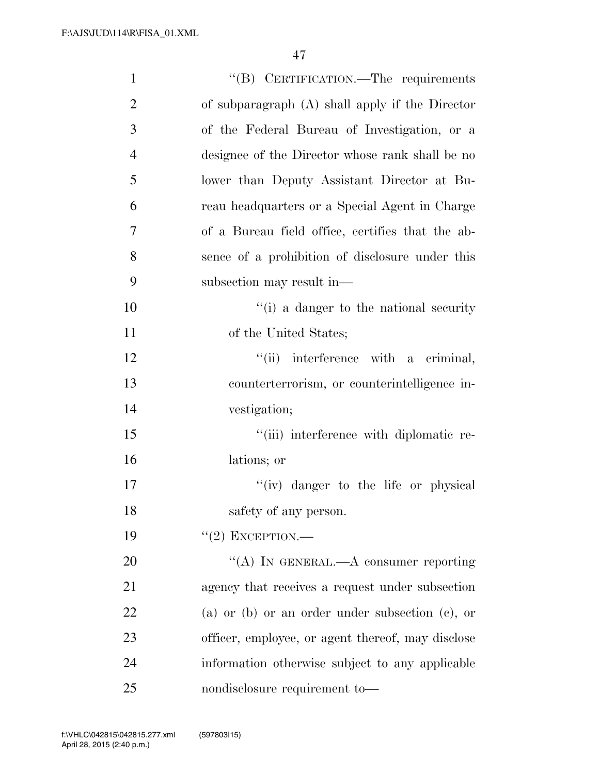| $\mathbf{1}$   | "(B) CERTIFICATION.—The requirements              |
|----------------|---------------------------------------------------|
| $\overline{2}$ | of subparagraph (A) shall apply if the Director   |
| 3              | of the Federal Bureau of Investigation, or a      |
| $\overline{4}$ | designee of the Director whose rank shall be no   |
| 5              | lower than Deputy Assistant Director at Bu-       |
| 6              | reau headquarters or a Special Agent in Charge    |
| 7              | of a Bureau field office, certifies that the ab-  |
| 8              | sence of a prohibition of disclosure under this   |
| 9              | subsection may result in—                         |
| 10             | "(i) a danger to the national security            |
| 11             | of the United States;                             |
| 12             | "(ii) interference with a criminal,               |
| 13             | counterterrorism, or counterintelligence in-      |
| 14             | vestigation;                                      |
| 15             | "(iii) interference with diplomatic re-           |
| 16             | lations; or                                       |
| 17             | "(iv) danger to the life or physical              |
| 18             | safety of any person.                             |
| 19             | $"(2)$ EXCEPTION.—                                |
| 20             | "(A) IN GENERAL.—A consumer reporting             |
| 21             | agency that receives a request under subsection   |
| 22             | (a) or (b) or an order under subsection (c), or   |
| 23             | officer, employee, or agent thereof, may disclose |
| 24             | information otherwise subject to any applicable   |
| 25             | nondisclosure requirement to-                     |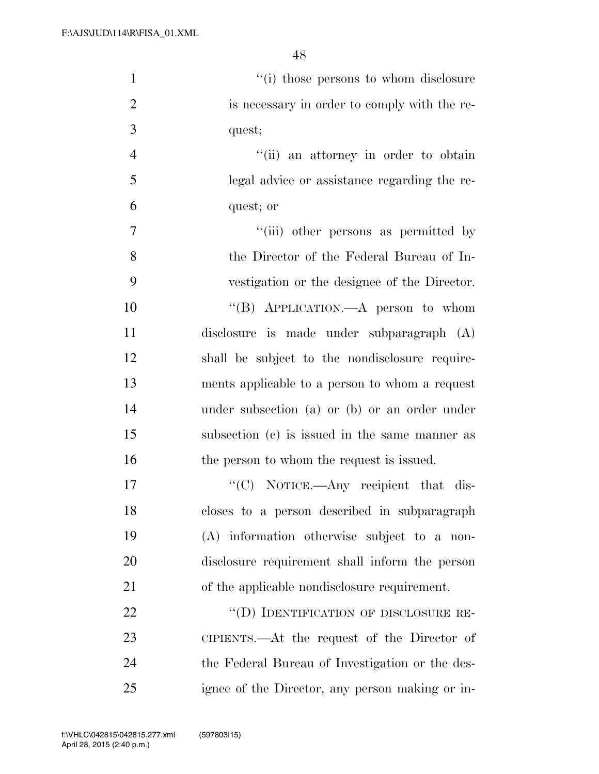| $\mathbf{1}$   | "(i) those persons to whom disclosure           |
|----------------|-------------------------------------------------|
| $\overline{2}$ | is necessary in order to comply with the re-    |
| 3              | quest;                                          |
| $\overline{4}$ | "(ii) an attorney in order to obtain            |
| 5              | legal advice or assistance regarding the re-    |
| 6              | quest; or                                       |
| $\overline{7}$ | "(iii) other persons as permitted by            |
| 8              | the Director of the Federal Bureau of In-       |
| 9              | vestigation or the designee of the Director.    |
| 10             | "(B) APPLICATION.—A person to whom              |
| 11             | disclosure is made under subparagraph (A)       |
| 12             | shall be subject to the nondisclosure require-  |
| 13             | ments applicable to a person to whom a request  |
| 14             | under subsection (a) or (b) or an order under   |
| 15             | subsection (c) is issued in the same manner as  |
| 16             | the person to whom the request is issued.       |
| 17             | " $(C)$ NOTICE.—Any recipient that dis-         |
| 18             | closes to a person described in subparagraph    |
| 19             | (A) information otherwise subject to a non-     |
| 20             | disclosure requirement shall inform the person  |
| 21             | of the applicable nondisclosure requirement.    |
| 22             | "(D) IDENTIFICATION OF DISCLOSURE RE-           |
| 23             | CIPIENTS.—At the request of the Director of     |
| 24             | the Federal Bureau of Investigation or the des- |
| 25             | ignee of the Director, any person making or in- |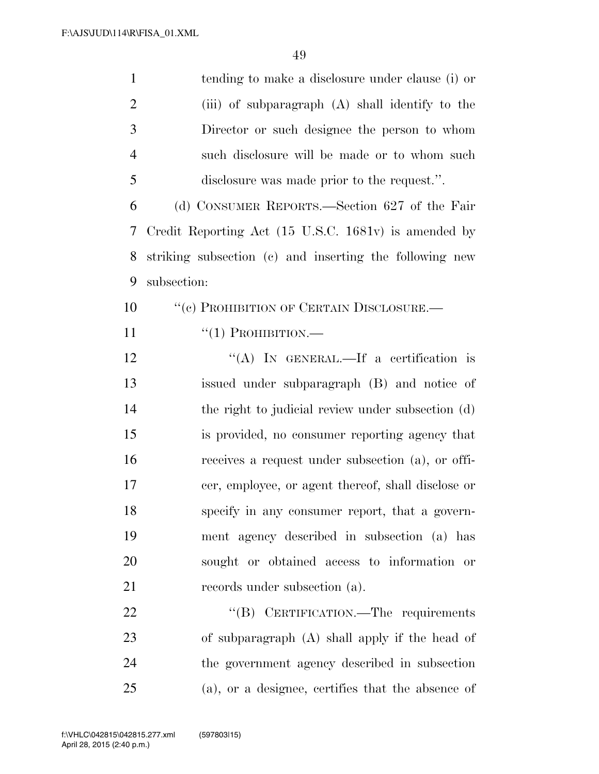| $\mathbf{1}$   | tending to make a disclosure under clause (i) or        |
|----------------|---------------------------------------------------------|
| $\overline{2}$ | (iii) of subparagraph (A) shall identify to the         |
| 3              | Director or such designee the person to whom            |
| $\overline{4}$ | such disclosure will be made or to whom such            |
| 5              | disclosure was made prior to the request.".             |
| 6              | (d) CONSUMER REPORTS.—Section 627 of the Fair           |
| 7              | Credit Reporting Act (15 U.S.C. 1681v) is amended by    |
| 8              | striking subsection (c) and inserting the following new |
| 9              | subsection:                                             |
| 10             | "(c) PROHIBITION OF CERTAIN DISCLOSURE.-                |
| 11             | $``(1)$ PROHIBITION.—                                   |
| 12             | "(A) IN GENERAL.—If a certification is                  |
| 13             | issued under subparagraph (B) and notice of             |
| 14             | the right to judicial review under subsection (d)       |
| 15             | is provided, no consumer reporting agency that          |
| 16             | receives a request under subsection (a), or offi-       |
| 17             | cer, employee, or agent thereof, shall disclose or      |
| 18             | specify in any consumer report, that a govern-          |
| 19             | ment agency described in subsection (a) has             |
| 20             | sought or obtained access to information or             |
| 21             | records under subsection (a).                           |
| 22             | "(B) CERTIFICATION.—The requirements                    |
| 23             | of subparagraph (A) shall apply if the head of          |
| 24             | the government agency described in subsection           |
| 25             | (a), or a designee, certifies that the absence of       |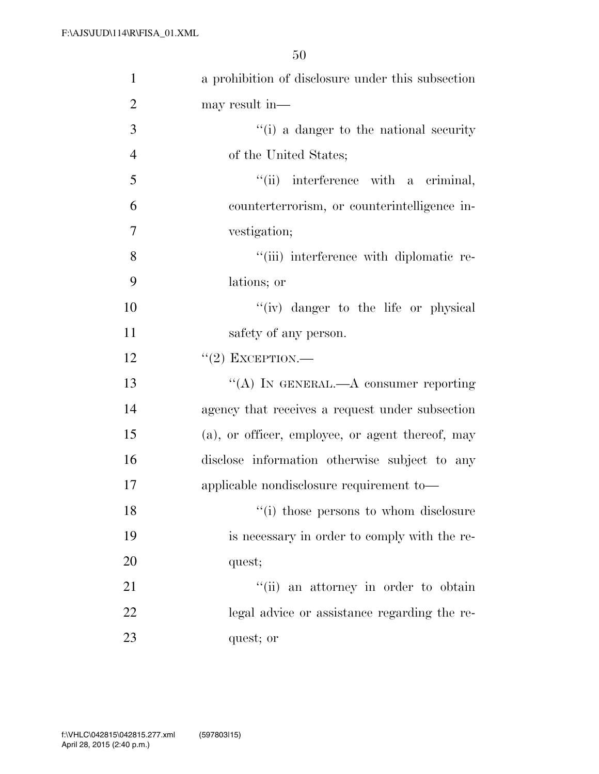| $\mathbf{1}$   | a prohibition of disclosure under this subsection |
|----------------|---------------------------------------------------|
| $\overline{2}$ | may result in-                                    |
| 3              | "(i) a danger to the national security            |
| $\overline{4}$ | of the United States;                             |
| 5              | "(ii) interference with a criminal,               |
| 6              | counterterrorism, or counterintelligence in-      |
| 7              | vestigation;                                      |
| 8              | "(iii) interference with diplomatic re-           |
| 9              | lations; or                                       |
| 10             | "(iv) danger to the life or physical              |
| 11             | safety of any person.                             |
| 12             | $``(2)$ EXCEPTION.—                               |
| 13             | "(A) IN GENERAL.—A consumer reporting             |
| 14             | agency that receives a request under subsection   |
| 15             | (a), or officer, employee, or agent thereof, may  |
| 16             | disclose information otherwise subject to any     |
| 17             | applicable nondisclosure requirement to-          |
| 18             | "(i) those persons to whom disclosure             |
| 19             | is necessary in order to comply with the re-      |
| 20             | quest;                                            |
| 21             | "(ii) an attorney in order to obtain              |
| 22             | legal advice or assistance regarding the re-      |
| 23             | quest; or                                         |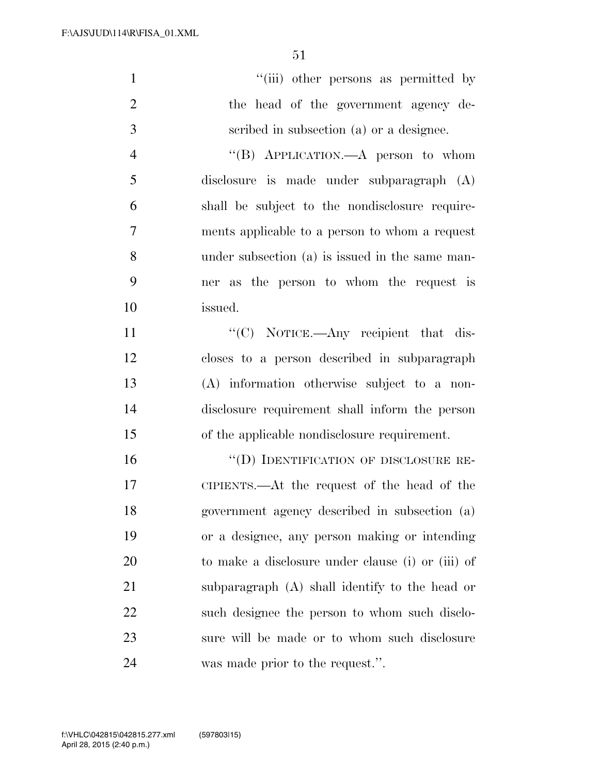| $\mathbf{1}$   | "(iii) other persons as permitted by              |
|----------------|---------------------------------------------------|
| $\overline{2}$ | the head of the government agency de-             |
| 3              | scribed in subsection (a) or a designee.          |
| $\overline{4}$ | "(B) APPLICATION.—A person to whom                |
| 5              | disclosure is made under subparagraph (A)         |
| 6              | shall be subject to the nondisclosure require-    |
| 7              | ments applicable to a person to whom a request    |
| 8              | under subsection (a) is issued in the same man-   |
| 9              | ner as the person to whom the request is          |
| 10             | issued.                                           |
| 11             | "(C) NOTICE.—Any recipient that dis-              |
| 12             | closes to a person described in subparagraph      |
| 13             | (A) information otherwise subject to a non-       |
| 14             | disclosure requirement shall inform the person    |
| 15             | of the applicable nondisclosure requirement.      |
| 16             | "(D) IDENTIFICATION OF DISCLOSURE RE-             |
| 17             | CIPIENTS.—At the request of the head of the       |
| 18             | government agency described in subsection (a)     |
| 19             | or a designee, any person making or intending     |
| 20             | to make a disclosure under clause (i) or (iii) of |
| 21             | subparagraph (A) shall identify to the head or    |
| 22             | such designee the person to whom such disclo-     |
| 23             | sure will be made or to whom such disclosure      |
| 24             | was made prior to the request.".                  |
|                |                                                   |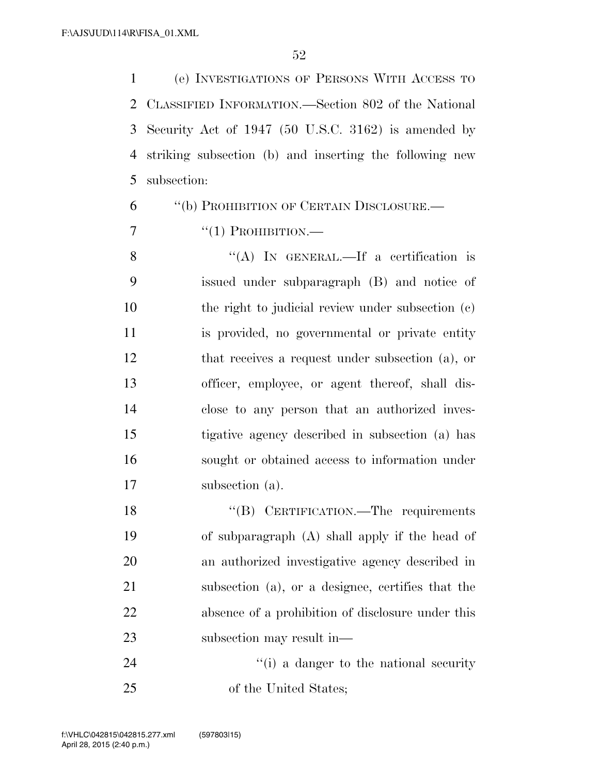(e) INVESTIGATIONS OF PERSONS WITH ACCESS TO CLASSIFIED INFORMATION.—Section 802 of the National Security Act of 1947 (50 U.S.C. 3162) is amended by striking subsection (b) and inserting the following new subsection:

''(b) PROHIBITION OF CERTAIN DISCLOSURE.—

 $\frac{1}{7}$   $\frac{1}{1}$  PROHIBITION.

8 "(A) IN GENERAL.—If a certification is issued under subparagraph (B) and notice of 10 the right to judicial review under subsection (c) is provided, no governmental or private entity that receives a request under subsection (a), or officer, employee, or agent thereof, shall dis- close to any person that an authorized inves- tigative agency described in subsection (a) has sought or obtained access to information under subsection (a).

18 "(B) CERTIFICATION.—The requirements of subparagraph (A) shall apply if the head of an authorized investigative agency described in subsection (a), or a designee, certifies that the absence of a prohibition of disclosure under this subsection may result in—

24 ''(i) a danger to the national security of the United States;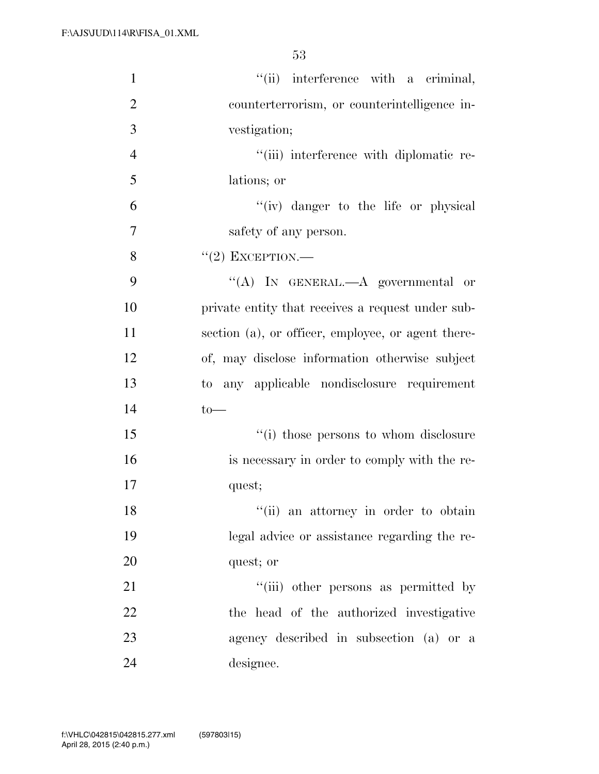| $\mathbf{1}$   | "(ii) interference with a criminal,                |
|----------------|----------------------------------------------------|
| $\overline{2}$ | counterterrorism, or counterintelligence in-       |
| 3              | vestigation;                                       |
| $\overline{4}$ | "(iii) interference with diplomatic re-            |
| 5              | lations; or                                        |
| 6              | "(iv) danger to the life or physical               |
| 7              | safety of any person.                              |
| 8              | $``(2)$ EXCEPTION.—                                |
| 9              | "(A) IN GENERAL.—A governmental or                 |
| 10             | private entity that receives a request under sub-  |
| 11             | section (a), or officer, employee, or agent there- |
| 12             | of, may disclose information otherwise subject     |
| 13             | to any applicable nondisclosure requirement        |
| 14             | $to-$                                              |
| 15             | "(i) those persons to whom disclosure              |
| 16             | is necessary in order to comply with the re-       |
| 17             | quest;                                             |
| 18             | "(ii) an attorney in order to obtain               |
| 19             | legal advice or assistance regarding the re-       |
| 20             | quest; or                                          |
| 21             | "(iii) other persons as permitted by               |
| 22             | the head of the authorized investigative           |
| 23             | agency described in subsection (a) or a            |
| 24             | designee.                                          |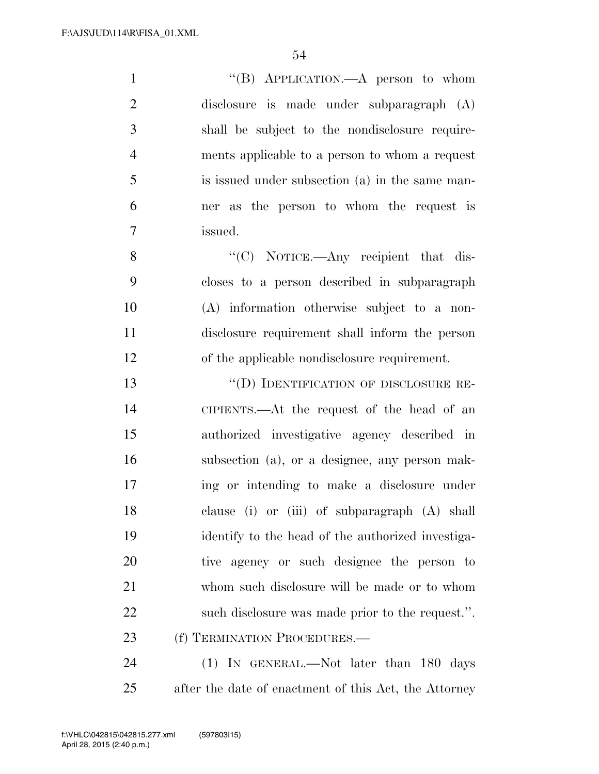1 ''(B) APPLICATION.—A person to whom disclosure is made under subparagraph (A) shall be subject to the nondisclosure require- ments applicable to a person to whom a request is issued under subsection (a) in the same man- ner as the person to whom the request is issued. 8 "'(C) NOTICE.—Any recipient that dis-

 closes to a person described in subparagraph (A) information otherwise subject to a non- disclosure requirement shall inform the person of the applicable nondisclosure requirement.

 ''(D) IDENTIFICATION OF DISCLOSURE RE- CIPIENTS.—At the request of the head of an authorized investigative agency described in subsection (a), or a designee, any person mak- ing or intending to make a disclosure under clause (i) or (iii) of subparagraph (A) shall identify to the head of the authorized investiga- tive agency or such designee the person to whom such disclosure will be made or to whom such disclosure was made prior to the request.''. 23 (f) TERMINATION PROCEDURES.—

24 (1) IN GENERAL.—Not later than 180 days after the date of enactment of this Act, the Attorney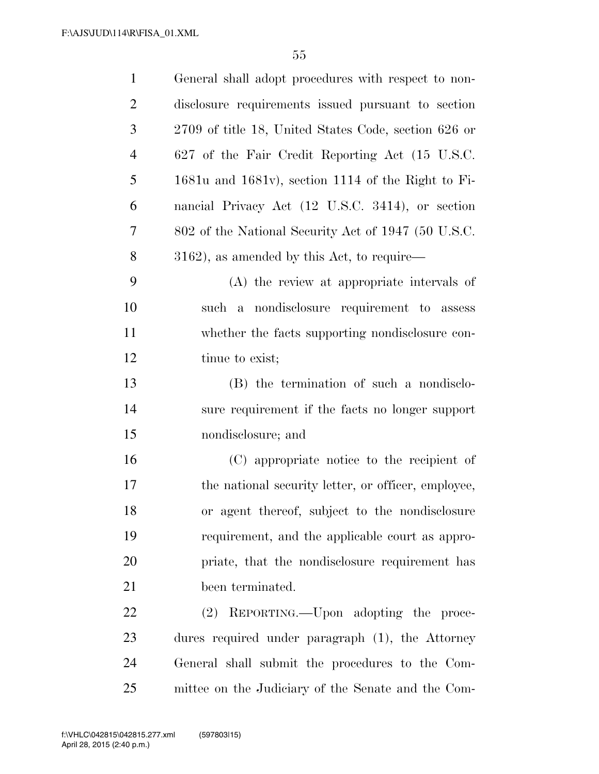| $\mathbf{1}$   | General shall adopt procedures with respect to non-    |
|----------------|--------------------------------------------------------|
| $\overline{2}$ | disclosure requirements issued pursuant to section     |
| 3              | 2709 of title 18, United States Code, section 626 or   |
| $\overline{4}$ | 627 of the Fair Credit Reporting Act (15 U.S.C.        |
| 5              | $1681u$ and $1681v$ , section 1114 of the Right to Fi- |
| 6              | nancial Privacy Act (12 U.S.C. 3414), or section       |
| 7              | 802 of the National Security Act of 1947 (50 U.S.C.    |
| 8              | $3162$ ), as amended by this Act, to require—          |
| 9              | (A) the review at appropriate intervals of             |
| 10             | such a nondisclosure requirement to assess             |
| 11             | whether the facts supporting nondisclosure con-        |
| 12             | tinue to exist;                                        |
| 13             | (B) the termination of such a nondisclo-               |
| 14             | sure requirement if the facts no longer support        |
| 15             | nondisclosure; and                                     |
| 16             | (C) appropriate notice to the recipient of             |
| 17             | the national security letter, or officer, employee,    |
| 18             | or agent thereof, subject to the nondisclosure         |
| 19             | requirement, and the applicable court as appro-        |
| 20             | priate, that the nondisclosure requirement has         |
| 21             | been terminated.                                       |
| 22             | (2) REPORTING.—Upon adopting the proce-                |
| 23             | dures required under paragraph (1), the Attorney       |
| 24             | General shall submit the procedures to the Com-        |
| 25             | mittee on the Judiciary of the Senate and the Com-     |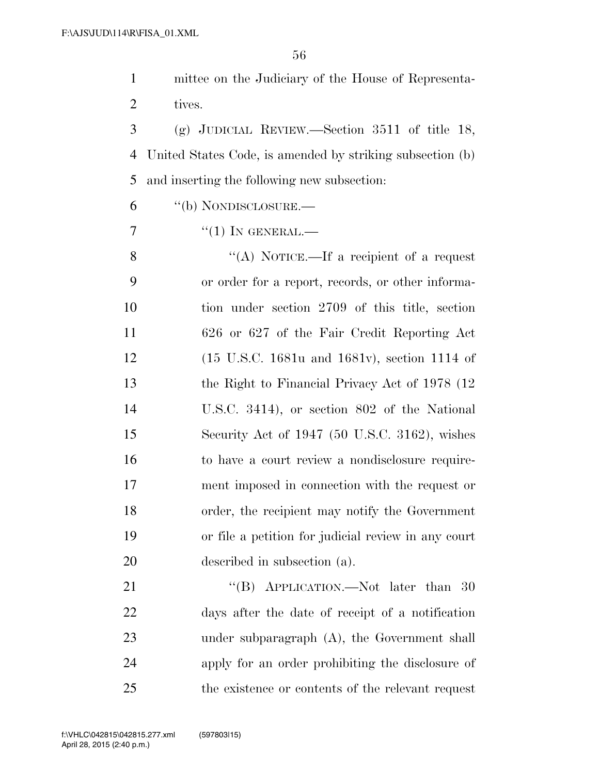mittee on the Judiciary of the House of Representa- tives. (g) JUDICIAL REVIEW.—Section 3511 of title 18, United States Code, is amended by striking subsection (b) and inserting the following new subsection: ''(b) NONDISCLOSURE.—  $\frac{7}{1}$  ''(1) In GENERAL.— 8 "(A) NOTICE.—If a recipient of a request or order for a report, records, or other informa- tion under section 2709 of this title, section 626 or 627 of the Fair Credit Reporting Act (15 U.S.C. 1681u and 1681v), section 1114 of 13 the Right to Financial Privacy Act of 1978 (12) U.S.C. 3414), or section 802 of the National Security Act of 1947 (50 U.S.C. 3162), wishes to have a court review a nondisclosure require- ment imposed in connection with the request or order, the recipient may notify the Government or file a petition for judicial review in any court described in subsection (a). 21 "(B) APPLICATION.—Not later than 30 days after the date of receipt of a notification under subparagraph (A), the Government shall apply for an order prohibiting the disclosure of the existence or contents of the relevant request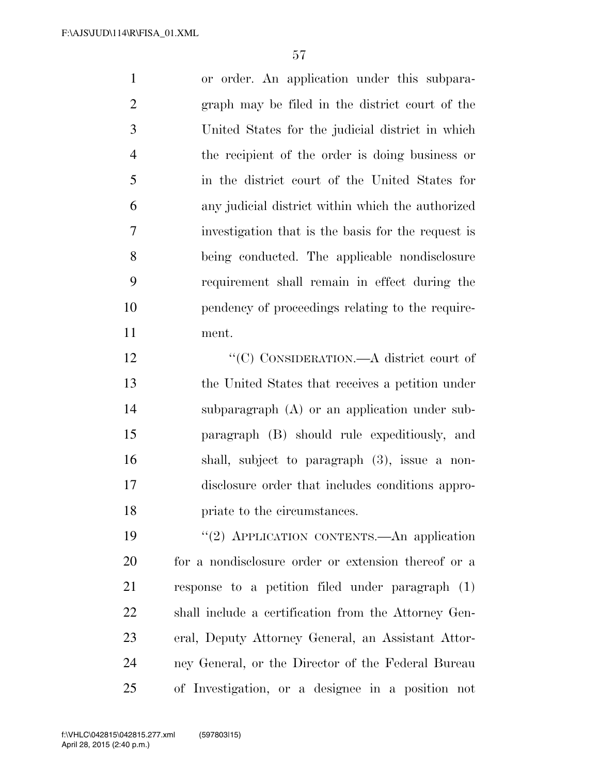or order. An application under this subpara- graph may be filed in the district court of the United States for the judicial district in which the recipient of the order is doing business or in the district court of the United States for any judicial district within which the authorized investigation that is the basis for the request is being conducted. The applicable nondisclosure requirement shall remain in effect during the pendency of proceedings relating to the require-ment.

12 "'(C) CONSIDERATION.—A district court of the United States that receives a petition under subparagraph (A) or an application under sub- paragraph (B) should rule expeditiously, and shall, subject to paragraph (3), issue a non- disclosure order that includes conditions appro-priate to the circumstances.

19 "(2) APPLICATION CONTENTS.—An application for a nondisclosure order or extension thereof or a response to a petition filed under paragraph (1) shall include a certification from the Attorney Gen- eral, Deputy Attorney General, an Assistant Attor- ney General, or the Director of the Federal Bureau of Investigation, or a designee in a position not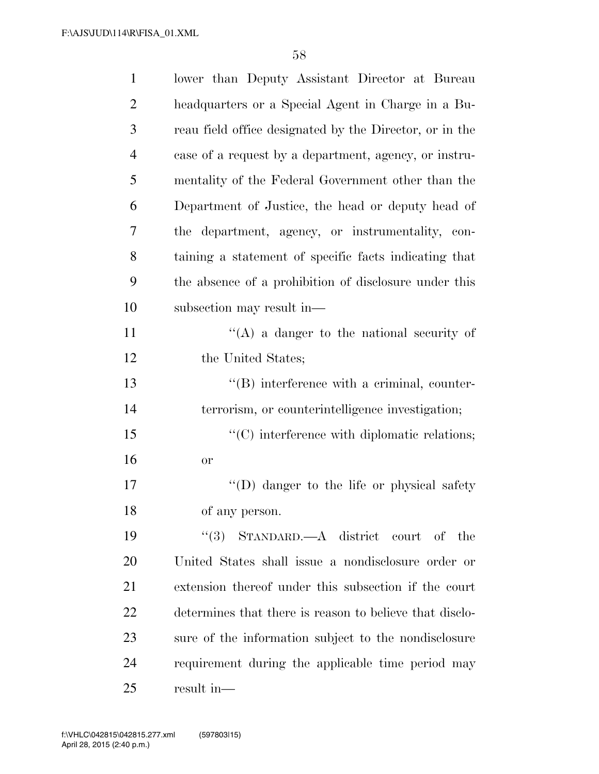| $\mathbf{1}$   | lower than Deputy Assistant Director at Bureau          |
|----------------|---------------------------------------------------------|
| $\overline{2}$ | headquarters or a Special Agent in Charge in a Bu-      |
| 3              | reau field office designated by the Director, or in the |
| $\overline{4}$ | case of a request by a department, agency, or instru-   |
| 5              | mentality of the Federal Government other than the      |
| 6              | Department of Justice, the head or deputy head of       |
| 7              | the department, agency, or instrumentality, con-        |
| 8              | taining a statement of specific facts indicating that   |
| 9              | the absence of a prohibition of disclosure under this   |
| 10             | subsection may result in—                               |
| 11             | $\lq\lq$ a danger to the national security of           |
| 12             | the United States;                                      |
| 13             | $\lq\lq (B)$ interference with a criminal, counter-     |
| 14             | terrorism, or counterintelligence investigation;        |
| 15             | $\cdot$ (C) interference with diplomatic relations;     |
| 16             | or                                                      |
| $17\,$         | $\lq\lq$ (D) danger to the life or physical safety      |
| 18             | of any person.                                          |
| 19             | "(3) STANDARD.—A district court of the                  |
| 20             | United States shall issue a nondisclosure order or      |
| 21             | extension thereof under this subsection if the court    |
| 22             | determines that there is reason to believe that disclo- |
| 23             | sure of the information subject to the nondisclosure    |
| 24             | requirement during the applicable time period may       |
| 25             | result in-                                              |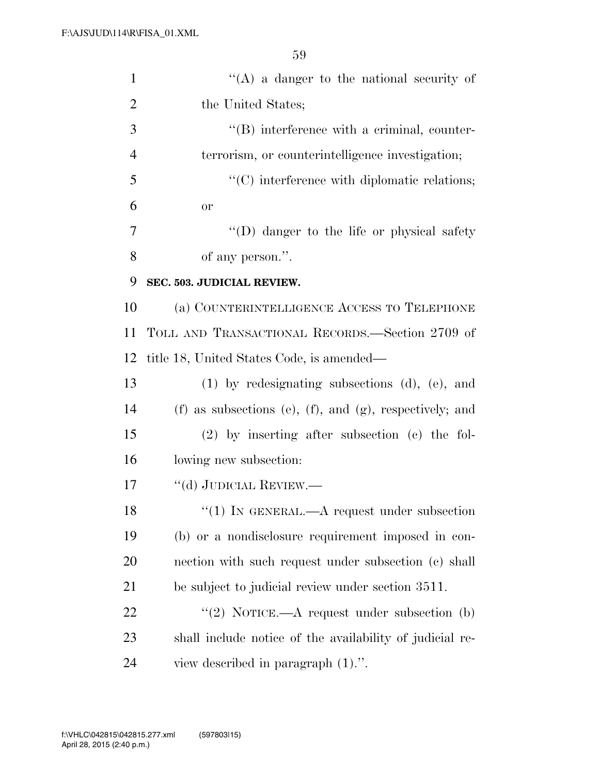| $\mathbf{1}$   | $\lq\lq(A)$ a danger to the national security of                |
|----------------|-----------------------------------------------------------------|
| $\overline{2}$ | the United States;                                              |
| 3              | $\lq\lq (B)$ interference with a criminal, counter-             |
| $\overline{4}$ | terrorism, or counterintelligence investigation;                |
| 5              | "(C) interference with diplomatic relations;                    |
| 6              | <b>or</b>                                                       |
| 7              | $\lq\lq$ (D) danger to the life or physical safety              |
| 8              | of any person.".                                                |
| 9              | SEC. 503. JUDICIAL REVIEW.                                      |
| 10             | (a) COUNTERINTELLIGENCE ACCESS TO TELEPHONE                     |
| 11             | TOLL AND TRANSACTIONAL RECORDS.—Section 2709 of                 |
| 12             | title 18, United States Code, is amended—                       |
| 13             | $(1)$ by redesignating subsections $(d)$ , $(e)$ , and          |
| 14             | $(f)$ as subsections (e), $(f)$ , and $(g)$ , respectively; and |
| 15             | $(2)$ by inserting after subsection $(e)$ the fol-              |
| 16             | lowing new subsection:                                          |
| 17             | $``$ (d) JUDICIAL REVIEW.—                                      |
| 18             | "(1) IN GENERAL.—A request under subsection                     |
| 19             | (b) or a nondisclosure requirement imposed in con-              |
| <b>20</b>      | nection with such request under subsection (c) shall            |
| 21             | be subject to judicial review under section 3511.               |
| 22             | "(2) NOTICE.—A request under subsection (b)                     |
| 23             | shall include notice of the availability of judicial re-        |
| 24             | view described in paragraph $(1)$ .".                           |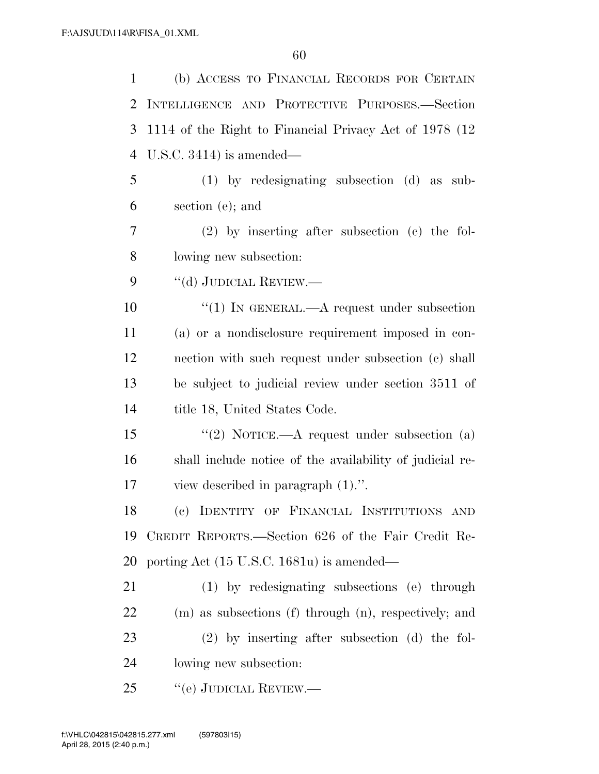| 1              | (b) ACCESS TO FINANCIAL RECORDS FOR CERTAIN              |
|----------------|----------------------------------------------------------|
| 2              | INTELLIGENCE AND PROTECTIVE PURPOSES.-Section            |
| 3              | 1114 of the Right to Financial Privacy Act of 1978 (12)  |
| $\overline{4}$ | U.S.C. $3414$ ) is amended—                              |
| 5              | $(1)$ by redesignating subsection $(d)$ as<br>sub-       |
| 6              | section (e); and                                         |
| 7              | $(2)$ by inserting after subsection $(e)$ the fol-       |
| 8              | lowing new subsection:                                   |
| 9              | "(d) JUDICIAL REVIEW.—                                   |
| 10             | "(1) IN GENERAL.—A request under subsection              |
| 11             | (a) or a nondisclosure requirement imposed in con-       |
| 12             | nection with such request under subsection (c) shall     |
| 13             | be subject to judicial review under section 3511 of      |
| 14             | title 18, United States Code.                            |
| 15             | "(2) NOTICE.—A request under subsection (a)              |
| 16             | shall include notice of the availability of judicial re- |
| 17             | view described in paragraph $(1)$ .".                    |
| 18             | (c) IDENTITY OF FINANCIAL INSTITUTIONS AND               |
| 19             | CREDIT REPORTS.—Section 626 of the Fair Credit Re-       |
| 20             | porting Act $(15 \text{ U.S.C. } 1681u)$ is amended—     |
| 21             | (1) by redesignating subsections (e) through             |
| 22             | (m) as subsections (f) through (n), respectively; and    |
| 23             | $(2)$ by inserting after subsection $(d)$ the fol-       |
| 24             | lowing new subsection:                                   |
| 25             | "(e) JUDICIAL REVIEW.—                                   |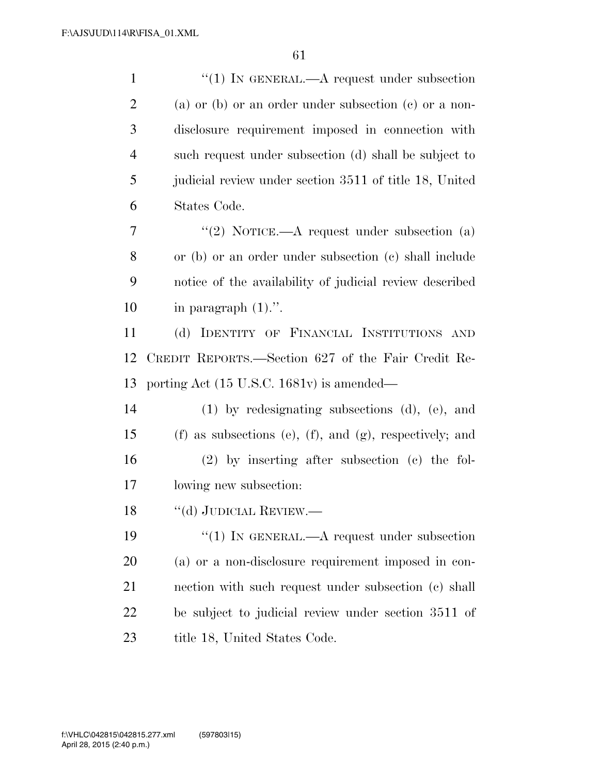| $\mathbf{1}$   | "(1) IN GENERAL.—A request under subsection                  |
|----------------|--------------------------------------------------------------|
| $\mathbf{2}$   | (a) or (b) or an order under subsection (c) or a non-        |
| 3              | disclosure requirement imposed in connection with            |
| $\overline{4}$ | such request under subsection (d) shall be subject to        |
| 5              | judicial review under section 3511 of title 18, United       |
| 6              | States Code.                                                 |
| 7              | "(2) NOTICE.—A request under subsection (a)                  |
| 8              | or (b) or an order under subsection (c) shall include        |
| 9              | notice of the availability of judicial review described      |
| 10             | in paragraph $(1)$ .".                                       |
| 11             | (d) IDENTITY OF FINANCIAL INSTITUTIONS AND                   |
| 12             | CREDIT REPORTS.—Section 627 of the Fair Credit Re-           |
| 13             | porting Act (15 U.S.C. 1681v) is amended—                    |
| 14             | $(1)$ by redesignating subsections $(d)$ , $(e)$ , and       |
| 15             | $(f)$ as subsections (e), $(f)$ , and (g), respectively; and |
| 16             | $(2)$ by inserting after subsection $(e)$ the fol-           |
| 17             | lowing new subsection:                                       |
| 18             | "(d) JUDICIAL REVIEW.—                                       |
| 19             | "(1) IN GENERAL.—A request under subsection                  |
| 20             | (a) or a non-disclosure requirement imposed in con-          |
| 21             | nection with such request under subsection (c) shall         |
| 22             | be subject to judicial review under section 3511 of          |
| 23             | title 18, United States Code.                                |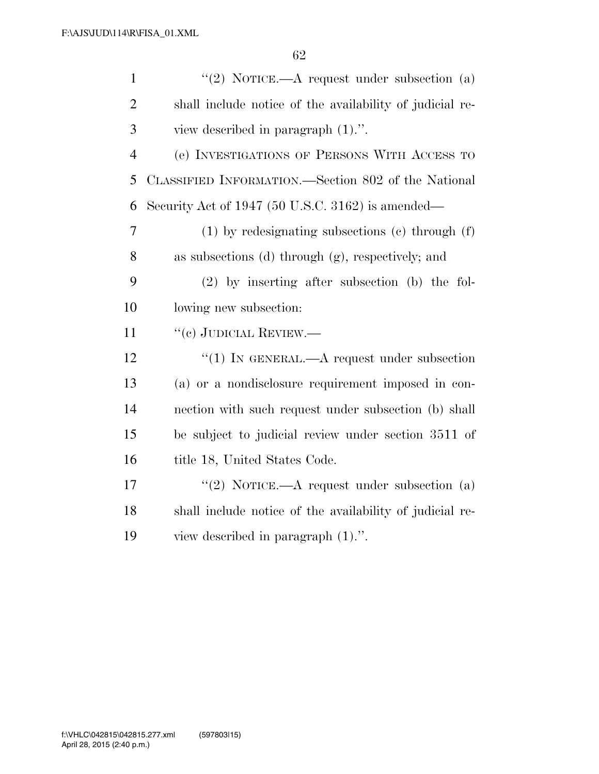| $\mathbf{1}$   | "(2) NOTICE.—A request under subsection $(a)$            |
|----------------|----------------------------------------------------------|
| $\overline{2}$ | shall include notice of the availability of judicial re- |
| 3              | view described in paragraph $(1)$ .".                    |
| $\overline{4}$ | (e) INVESTIGATIONS OF PERSONS WITH ACCESS TO             |
| 5              | CLASSIFIED INFORMATION.—Section 802 of the National      |
| 6              | Security Act of 1947 (50 U.S.C. 3162) is amended—        |
| 7              | $(1)$ by redesignating subsections $(e)$ through $(f)$   |
| 8              | as subsections (d) through (g), respectively; and        |
| 9              | $(2)$ by inserting after subsection (b) the fol-         |
| 10             | lowing new subsection:                                   |
| 11             | "(c) JUDICIAL REVIEW.—                                   |
| 12             | "(1) IN GENERAL.—A request under subsection              |
| 13             | (a) or a nondisclosure requirement imposed in con-       |
| 14             | nection with such request under subsection (b) shall     |
| 15             | be subject to judicial review under section 3511 of      |
| 16             | title 18, United States Code.                            |
| 17             | "(2) NOTICE.—A request under subsection $(a)$            |
| 18             | shall include notice of the availability of judicial re- |
| 19             | view described in paragraph $(1)$ .".                    |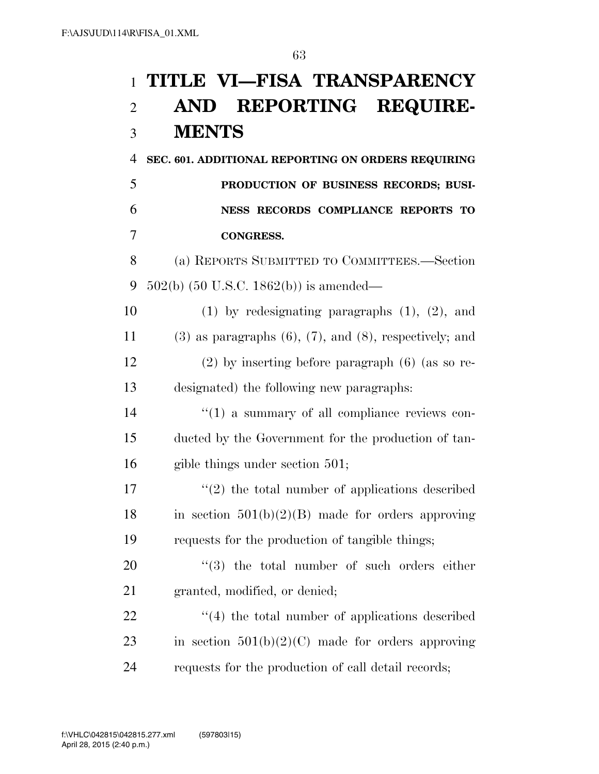## **TITLE VI—FISA TRANSPARENCY AND REPORTING REQUIRE-MENTS**

 **SEC. 601. ADDITIONAL REPORTING ON ORDERS REQUIRING PRODUCTION OF BUSINESS RECORDS; BUSI- NESS RECORDS COMPLIANCE REPORTS TO CONGRESS.** 

 (a) REPORTS SUBMITTED TO COMMITTEES.—Section 502(b) (50 U.S.C. 1862(b)) is amended—

 (1) by redesignating paragraphs (1), (2), and 11 (3) as paragraphs  $(6)$ ,  $(7)$ , and  $(8)$ , respectively; and (2) by inserting before paragraph (6) (as so re-designated) the following new paragraphs:

14  $\frac{1}{2}$  (1) a summary of all compliance reviews con- ducted by the Government for the production of tan-gible things under section 501;

17 ''(2) the total number of applications described 18 in section  $501(b)(2)(B)$  made for orders approving requests for the production of tangible things;

20  $\frac{1}{20}$  the total number of such orders either granted, modified, or denied;

22 ''(4) the total number of applications described 23 in section  $501(b)(2)(C)$  made for orders approving requests for the production of call detail records;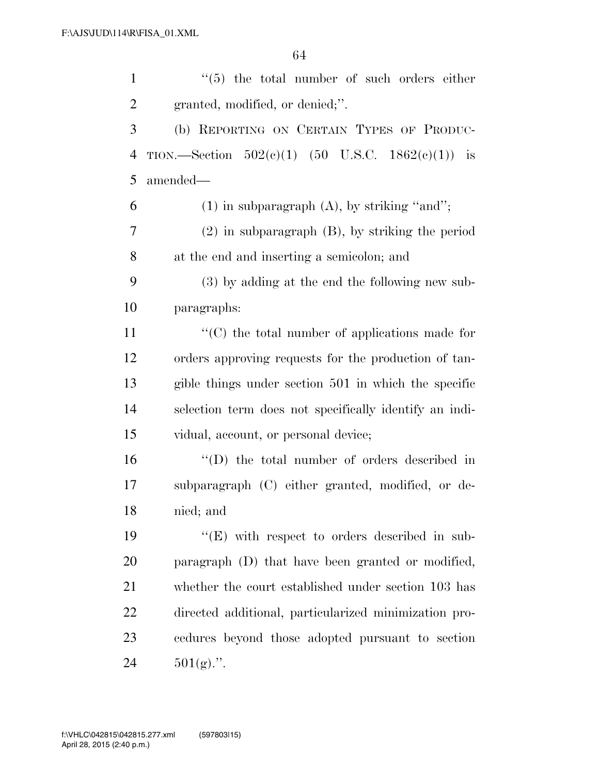| $\mathbf{1}$   | $(5)$ the total number of such orders either               |
|----------------|------------------------------------------------------------|
| $\overline{2}$ | granted, modified, or denied;".                            |
| 3              | (b) REPORTING ON CERTAIN TYPES OF PRODUC-                  |
| $\overline{4}$ | TION.—Section $502(c)(1)$ (50 U.S.C. $1862(c)(1)$ ) is     |
| 5              | amended—                                                   |
| 6              | $(1)$ in subparagraph $(A)$ , by striking "and";           |
| 7              | $(2)$ in subparagraph $(B)$ , by striking the period       |
| 8              | at the end and inserting a semicolon; and                  |
| 9              | (3) by adding at the end the following new sub-            |
| 10             | paragraphs:                                                |
| 11             | $\cdot\cdot$ (C) the total number of applications made for |
| 12             | orders approving requests for the production of tan-       |
| 13             | gible things under section 501 in which the specific       |
| 14             | selection term does not specifically identify an indi-     |
| 15             | vidual, account, or personal device;                       |
| 16             | "(D) the total number of orders described in               |
| 17             | subparagraph (C) either granted, modified, or de-          |
| 18             | nied; and                                                  |
| 19             | "(E) with respect to orders described in sub-              |
| 20             | paragraph (D) that have been granted or modified,          |
| 21             | whether the court established under section 103 has        |
| 22             | directed additional, particularized minimization pro-      |
| 23             | cedures beyond those adopted pursuant to section           |
| 24             | $501(g)$ .".                                               |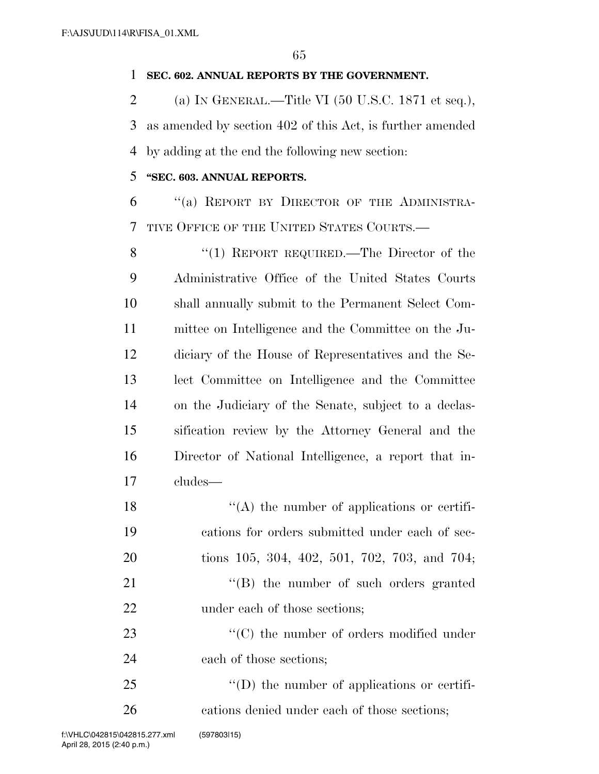## **SEC. 602. ANNUAL REPORTS BY THE GOVERNMENT.**

2 (a) IN GENERAL.—Title VI  $(50 \text{ U.S.C. } 1871 \text{ et seq.}),$  as amended by section 402 of this Act, is further amended by adding at the end the following new section:

## **''SEC. 603. ANNUAL REPORTS.**

 ''(a) REPORT BY DIRECTOR OF THE ADMINISTRA-TIVE OFFICE OF THE UNITED STATES COURTS.—

8 "(1) REPORT REQUIRED.—The Director of the Administrative Office of the United States Courts shall annually submit to the Permanent Select Com- mittee on Intelligence and the Committee on the Ju- diciary of the House of Representatives and the Se- lect Committee on Intelligence and the Committee on the Judiciary of the Senate, subject to a declas- sification review by the Attorney General and the Director of National Intelligence, a report that in-cludes—

18 ''(A) the number of applications or certifi- cations for orders submitted under each of sec- tions 105, 304, 402, 501, 702, 703, and 704; 21 ''(B) the number of such orders granted 22 under each of those sections: 23  $\cdot$  (C) the number of orders modified under each of those sections;

25  $\langle (D)$  the number of applications or certifi-cations denied under each of those sections;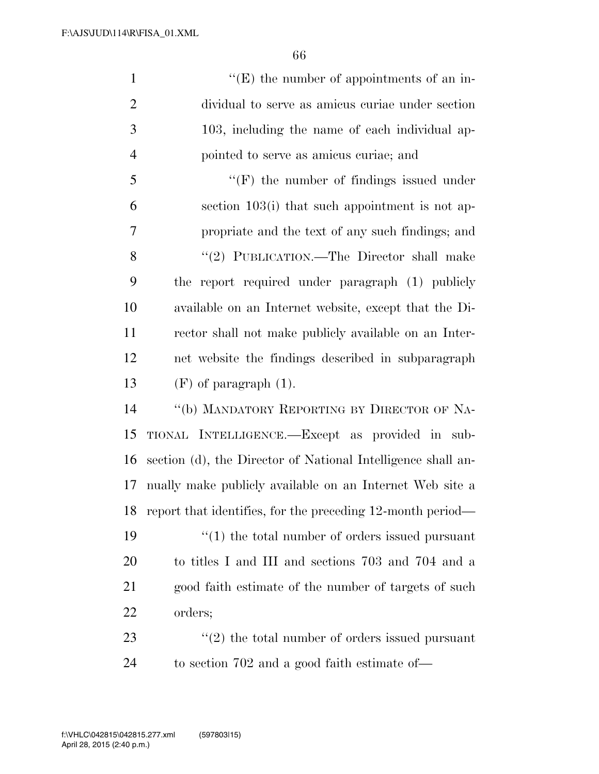1 ''(E) the number of appointments of an in- dividual to serve as amicus curiae under section 103, including the name of each individual ap- pointed to serve as amicus curiae; and ''(F) the number of findings issued under section 103(i) that such appointment is not ap- propriate and the text of any such findings; and 8 "(2) PUBLICATION.—The Director shall make the report required under paragraph (1) publicly available on an Internet website, except that the Di- rector shall not make publicly available on an Inter- net website the findings described in subparagraph  $(F)$  of paragraph  $(1)$ . ''(b) MANDATORY REPORTING BY DIRECTOR OF NA- TIONAL INTELLIGENCE.—Except as provided in sub- section (d), the Director of National Intelligence shall an- nually make publicly available on an Internet Web site a report that identifies, for the preceding 12-month period—  $\frac{1}{2}$  (1) the total number of orders issued pursuant to titles I and III and sections 703 and 704 and a

21 good faith estimate of the number of targets of such orders;

23 ''(2) the total number of orders issued pursuant to section 702 and a good faith estimate of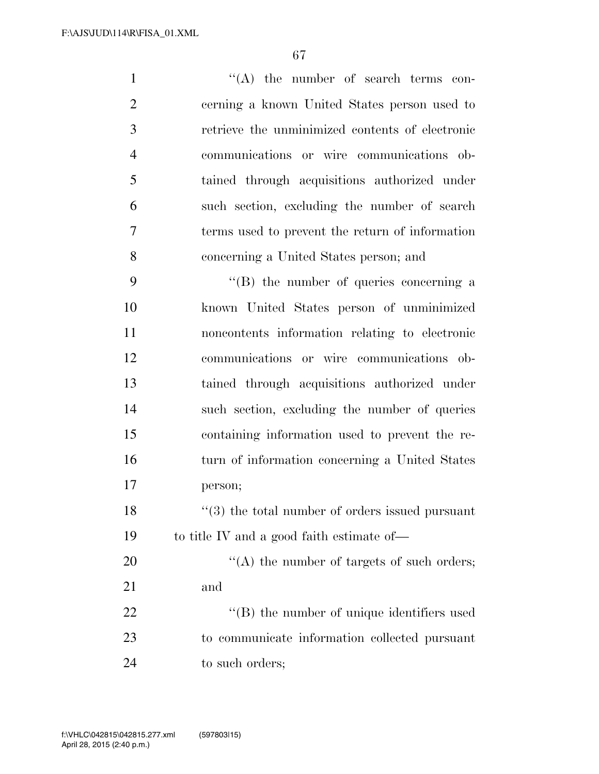1 ''(A) the number of search terms con- cerning a known United States person used to retrieve the unminimized contents of electronic communications or wire communications ob- tained through acquisitions authorized under such section, excluding the number of search terms used to prevent the return of information concerning a United States person; and

 ''(B) the number of queries concerning a known United States person of unminimized noncontents information relating to electronic communications or wire communications ob- tained through acquisitions authorized under such section, excluding the number of queries containing information used to prevent the re- turn of information concerning a United States person;

18 ''(3) the total number of orders issued pursuant to title IV and a good faith estimate of—

 $\langle (A)$  the number of targets of such orders; and  $\bullet$  (B) the number of unique identifiers used to communicate information collected pursuant

24 to such orders;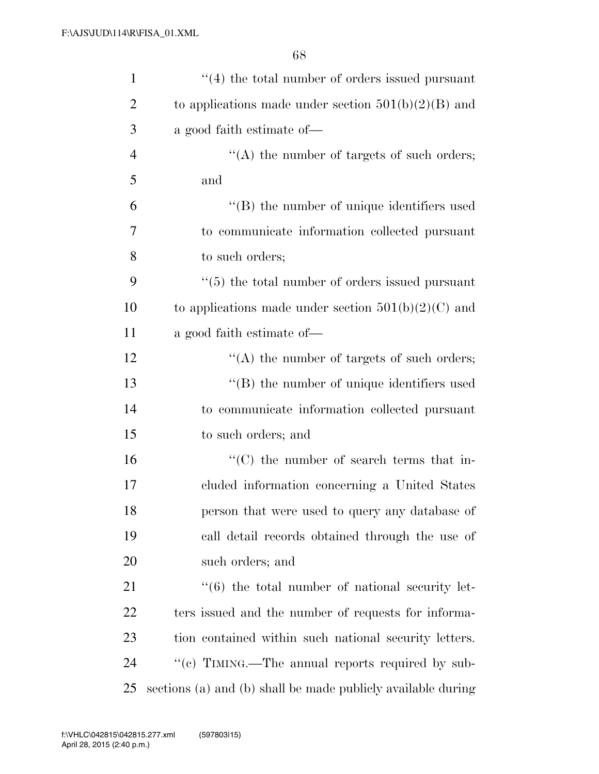| $\mathbf{1}$   | $\cdot$ (4) the total number of orders issued pursuant           |
|----------------|------------------------------------------------------------------|
| $\overline{2}$ | to applications made under section $501(b)(2)(B)$ and            |
| 3              | a good faith estimate of—                                        |
| $\overline{4}$ | $\lq\lq$ the number of targets of such orders;                   |
| 5              | and                                                              |
| 6              | "(B) the number of unique identifiers used                       |
| 7              | to communicate information collected pursuant                    |
| 8              | to such orders;                                                  |
| 9              | $\cdot\cdot$ (5) the total number of orders issued pursuant      |
| 10             | to applications made under section $501(b)(2)(C)$ and            |
| 11             | a good faith estimate of—                                        |
| 12             | $\lq\lq$ the number of targets of such orders;                   |
| 13             | $\lq\lq$ the number of unique identifiers used                   |
| 14             | to communicate information collected pursuant                    |
| 15             | to such orders; and                                              |
| 16             | $\cdot$ (C) the number of search terms that in-                  |
| 17             | cluded information concerning a United States                    |
| 18             | person that were used to query any database of                   |
| 19             | call detail records obtained through the use of                  |
| 20             | such orders; and                                                 |
| 21             | $\cdot\cdot\cdot$ (6) the total number of national security let- |
| 22             | ters issued and the number of requests for informa-              |
| 23             | tion contained within such national security letters.            |
| 24             | "(c) TIMING.—The annual reports required by sub-                 |
| 25             | sections (a) and (b) shall be made publicly available during     |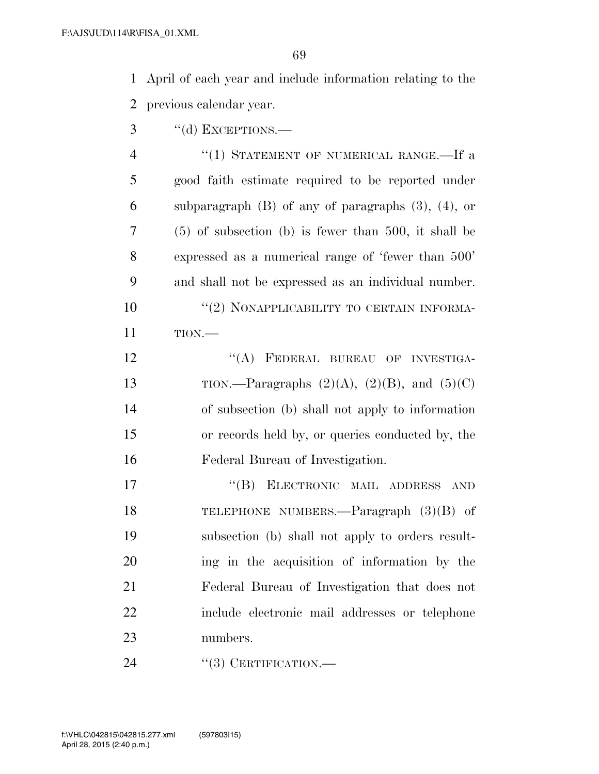April of each year and include information relating to the previous calendar year.

3 "(d) EXCEPTIONS.—

4 "(1) STATEMENT OF NUMERICAL RANGE.—If a good faith estimate required to be reported under subparagraph (B) of any of paragraphs (3), (4), or (5) of subsection (b) is fewer than 500, it shall be expressed as a numerical range of 'fewer than 500' and shall not be expressed as an individual number.  $(2)$  NONAPPLICABILITY TO CERTAIN INFORMA-TION.—

12 "(A) FEDERAL BUREAU OF INVESTIGA-13 TION.—Paragraphs  $(2)(A)$ ,  $(2)(B)$ , and  $(5)(C)$  of subsection (b) shall not apply to information or records held by, or queries conducted by, the Federal Bureau of Investigation.

 ''(B) ELECTRONIC MAIL ADDRESS AND TELEPHONE NUMBERS.—Paragraph (3)(B) of subsection (b) shall not apply to orders result- ing in the acquisition of information by the Federal Bureau of Investigation that does not include electronic mail addresses or telephone numbers.

24 "(3) CERTIFICATION.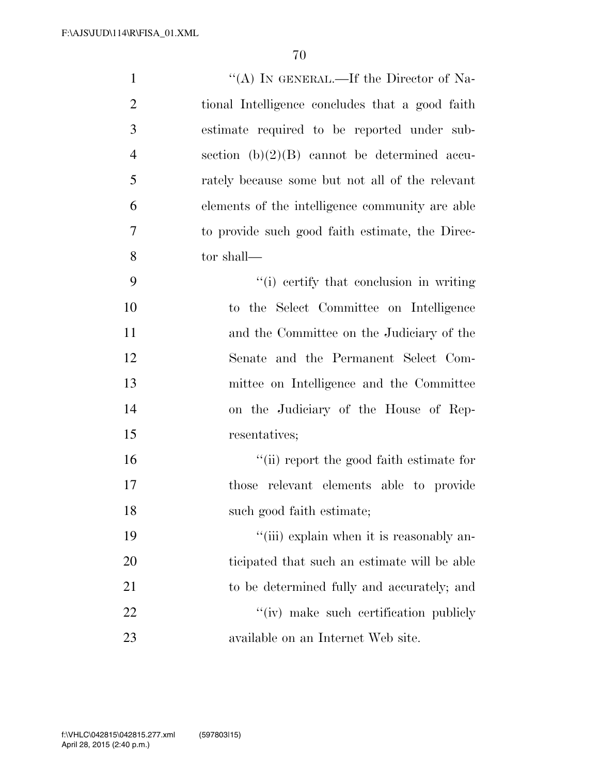| $\mathbf{1}$   | "(A) IN GENERAL.—If the Director of Na-         |
|----------------|-------------------------------------------------|
| $\overline{2}$ | tional Intelligence concludes that a good faith |
| 3              | estimate required to be reported under sub-     |
| $\overline{4}$ | section $(b)(2)(B)$ cannot be determined accu-  |
| 5              | rately because some but not all of the relevant |
| 6              | elements of the intelligence community are able |
| 7              | to provide such good faith estimate, the Direc- |
| 8              | tor shall—                                      |
| 9              | "(i) certify that conclusion in writing         |
| 10             | to the Select Committee on Intelligence         |
| 11             | and the Committee on the Judiciary of the       |
| 12             | Senate and the Permanent Select Com-            |
| 13             | mittee on Intelligence and the Committee        |
| 14             | on the Judiciary of the House of Rep-           |
| 15             | resentatives;                                   |
| 16             | "(ii) report the good faith estimate for        |
| 17             | those relevant elements able to provide         |
| 18             | such good faith estimate;                       |
| 19             | "(iii) explain when it is reasonably an-        |
| 20             | ticipated that such an estimate will be able    |
| 21             | to be determined fully and accurately; and      |
| 22             | $\lq\lq$ make such certification publicly       |
| 23             | available on an Internet Web site.              |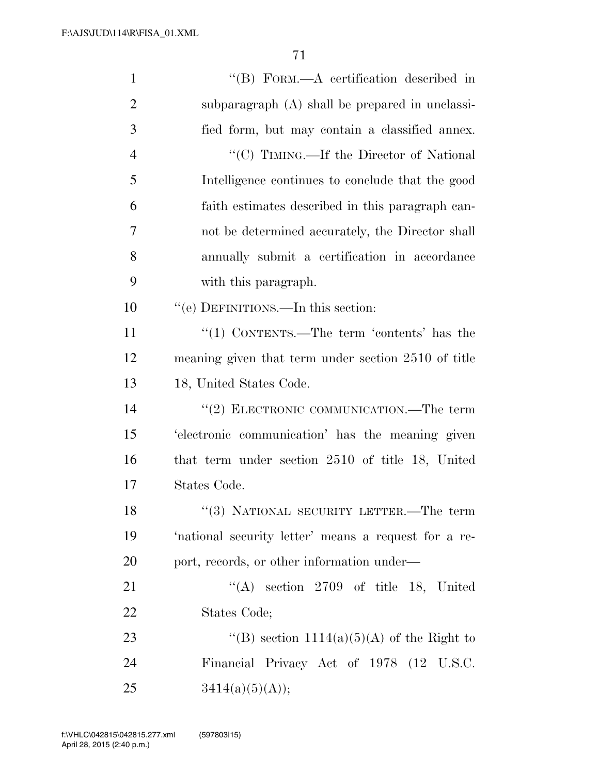| $\mathbf{1}$   | "(B) FORM.—A certification described in              |
|----------------|------------------------------------------------------|
| $\overline{2}$ | subparagraph (A) shall be prepared in unclassi-      |
| 3              | fied form, but may contain a classified annex.       |
| $\overline{4}$ | "(C) TIMING.—If the Director of National             |
| 5              | Intelligence continues to conclude that the good     |
| 6              | faith estimates described in this paragraph can-     |
| 7              | not be determined accurately, the Director shall     |
| 8              | annually submit a certification in accordance        |
| 9              | with this paragraph.                                 |
| 10             | "(e) DEFINITIONS.—In this section:                   |
| 11             | "(1) CONTENTS.—The term 'contents' has the           |
| 12             | meaning given that term under section 2510 of title  |
| 13             | 18, United States Code.                              |
| 14             | "(2) ELECTRONIC COMMUNICATION.—The term              |
| 15             | 'electronic communication' has the meaning given     |
| 16             | that term under section 2510 of title 18, United     |
| 17             | States Code.                                         |
| 18             | "(3) NATIONAL SECURITY LETTER.—The term              |
| 19             | 'national security letter' means a request for a re- |
| 20             | port, records, or other information under—           |
| 21             | "(A) section $2709$ of title 18, United              |
| 22             | States Code;                                         |
| 23             | "(B) section $1114(a)(5)(A)$ of the Right to         |
| 24             | Financial Privacy Act of 1978 (12 U.S.C.             |
| 25             | 3414(a)(5)(A));                                      |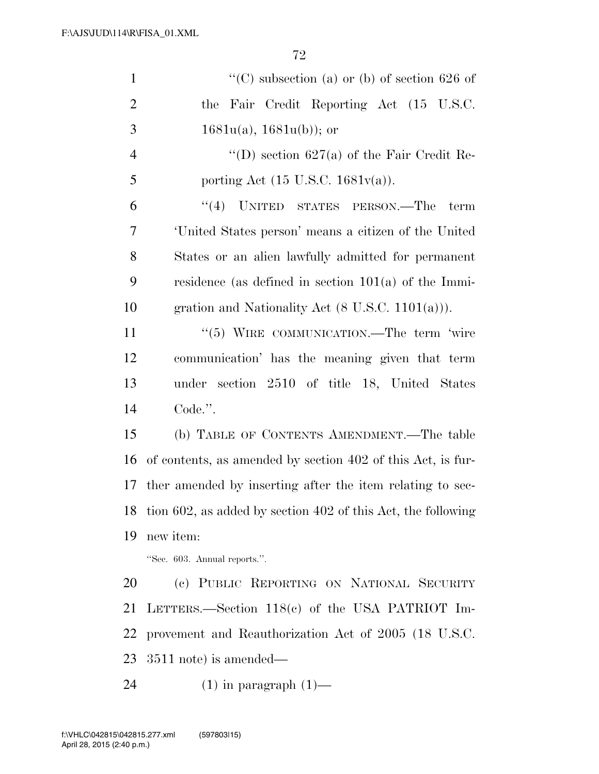| $\mathbf{1}$   | "(C) subsection (a) or (b) of section 626 of                 |
|----------------|--------------------------------------------------------------|
| $\overline{2}$ | the Fair Credit Reporting Act (15 U.S.C.                     |
| 3              | $1681u(a), 1681u(b)$ ; or                                    |
| $\overline{4}$ | "(D) section $627(a)$ of the Fair Credit Re-                 |
| 5              | porting Act $(15 \text{ U.S.C. } 1681v(a))$ .                |
| 6              | "(4) UNITED STATES PERSON.—The<br>term                       |
| 7              | United States person' means a citizen of the United          |
| 8              | States or an alien lawfully admitted for permanent           |
| 9              | residence (as defined in section $101(a)$ of the Immi-       |
| 10             | gration and Nationality Act $(8 \text{ U.S.C. } 1101(a))$ .  |
| 11             | "(5) WIRE COMMUNICATION.—The term 'wire                      |
| 12             | communication' has the meaning given that term               |
| 13             | under section 2510 of title 18, United States                |
| 14             | Code.".                                                      |
| 15             | (b) TABLE OF CONTENTS AMENDMENT.—The table                   |
| 16             | of contents, as amended by section 402 of this Act, is fur-  |
| 17             | ther amended by inserting after the item relating to sec-    |
| 18             | tion 602, as added by section 402 of this Act, the following |
| 19             | new item:                                                    |
|                | "Sec. 603. Annual reports.".                                 |
| 20             | (c) PUBLIC REPORTING ON NATIONAL SECURITY                    |
| 21             | LETTERS.—Section 118(c) of the USA PATRIOT Im-               |
| 22             | provement and Reauthorization Act of 2005 (18 U.S.C.         |
| 23             | $3511$ note) is amended—                                     |
|                |                                                              |

(1) in paragraph (1)—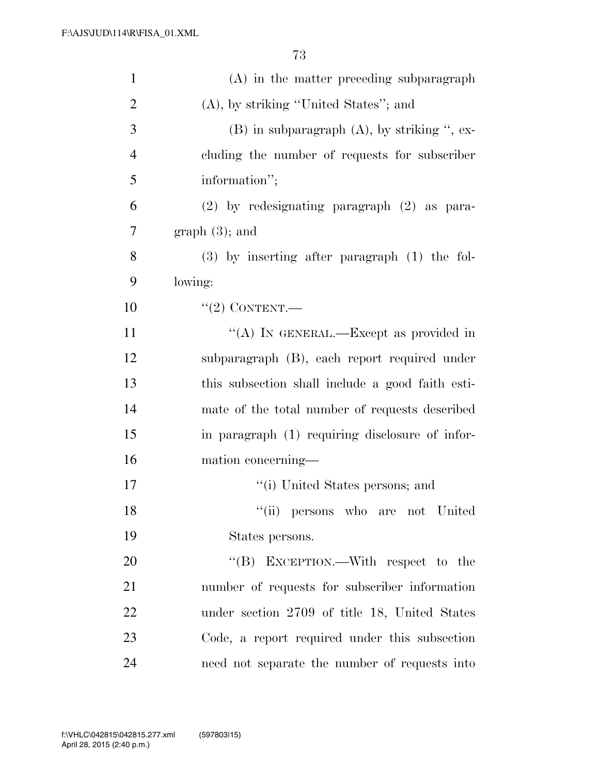| $\mathbf{1}$   | $(A)$ in the matter preceding subparagraph        |
|----------------|---------------------------------------------------|
| $\overline{2}$ | $(A)$ , by striking "United States"; and          |
| 3              | $(B)$ in subparagraph $(A)$ , by striking ", ex-  |
| $\overline{4}$ | cluding the number of requests for subscriber     |
| 5              | information";                                     |
| 6              | $(2)$ by redesignating paragraph $(2)$ as para-   |
| 7              | $graph(3)$ ; and                                  |
| 8              | $(3)$ by inserting after paragraph $(1)$ the fol- |
| 9              | lowing:                                           |
| 10             | $``(2)$ CONTENT.                                  |
| 11             | "(A) IN GENERAL.—Except as provided in            |
| 12             | subparagraph (B), each report required under      |
| 13             | this subsection shall include a good faith esti-  |
| 14             | mate of the total number of requests described    |
| 15             | in paragraph (1) requiring disclosure of infor-   |
| 16             | mation concerning-                                |
| $17\,$         | "(i) United States persons; and                   |
| 18             | "(ii) persons who are not United                  |
| 19             | States persons.                                   |
| 20             | "(B) EXCEPTION.—With respect to the               |
| 21             | number of requests for subscriber information     |
| 22             | under section 2709 of title 18, United States     |
| 23             | Code, a report required under this subsection     |
| 24             | need not separate the number of requests into     |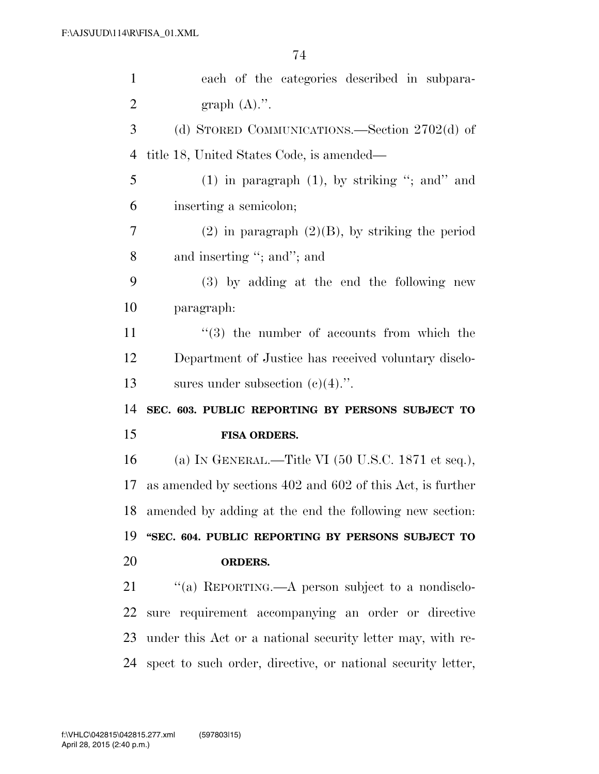| $\mathbf{1}$         | each of the categories described in subpara-                          |
|----------------------|-----------------------------------------------------------------------|
| $\overline{2}$       | graph $(A)$ .".                                                       |
| 3                    | (d) STORED COMMUNICATIONS.—Section $2702(d)$ of                       |
| $\overline{4}$       | title 18, United States Code, is amended—                             |
| 5                    | $(1)$ in paragraph $(1)$ , by striking "; and" and                    |
| 6                    | inserting a semicolon;                                                |
| 7                    | $(2)$ in paragraph $(2)(B)$ , by striking the period                  |
| 8                    | and inserting "; and"; and                                            |
| 9                    | (3) by adding at the end the following new                            |
| 10                   | paragraph:                                                            |
| 11                   | $(3)$ the number of accounts from which the                           |
| 12                   | Department of Justice has received voluntary disclo-                  |
| 13                   | sures under subsection $(e)(4)$ .".                                   |
|                      |                                                                       |
|                      | SEC. 603. PUBLIC REPORTING BY PERSONS SUBJECT TO                      |
|                      | FISA ORDERS.                                                          |
| 14<br>15<br>16       | (a) IN GENERAL.—Title VI $(50 \text{ U.S.C. } 1871 \text{ et seq.}),$ |
|                      | as amended by sections 402 and 602 of this Act, is further            |
|                      | amended by adding at the end the following new section:               |
|                      | "SEC. 604. PUBLIC REPORTING BY PERSONS SUBJECT TO                     |
| 17<br>18<br>19<br>20 | <b>ORDERS.</b>                                                        |
| 21                   | "(a) REPORTING.—A person subject to a nondisclo-                      |
| 22                   | sure requirement accompanying an order or directive                   |
| 23                   | under this Act or a national security letter may, with re-            |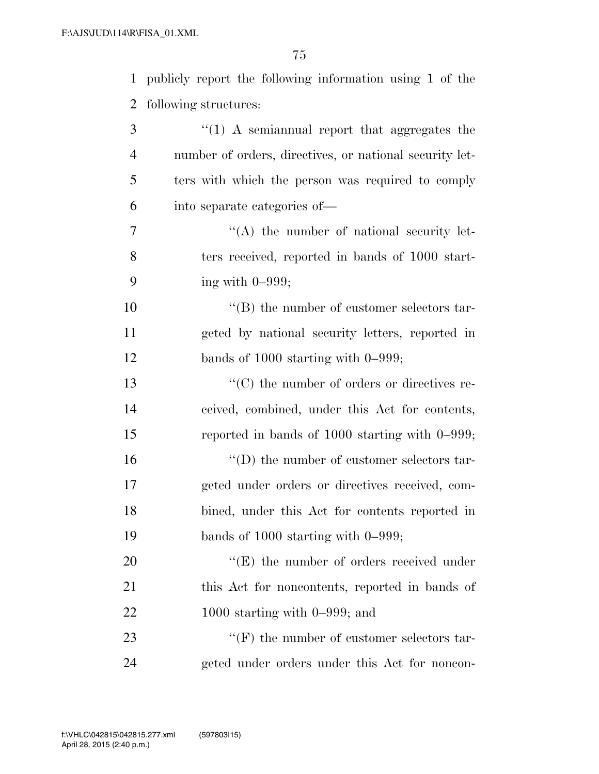1 publicly report the following information using 1 of the

| 2  | following structures:                                   |
|----|---------------------------------------------------------|
| 3  | $\lq(1)$ A semiannual report that aggregates the        |
| 4  | number of orders, directives, or national security let- |
| 5  | ters with which the person was required to comply       |
| 6  | into separate categories of—                            |
| 7  | $\lq\lq$ the number of national security let-           |
| 8  | ters received, reported in bands of 1000 start-         |
| 9  | ing with $0-999$ ;                                      |
| 10 | $\lq\lq (B)$ the number of customer selectors tar-      |
| 11 | geted by national security letters, reported in         |
| 12 | bands of $1000$ starting with $0-999$ ;                 |
| 13 | $\lq\lq$ (C) the number of orders or directives re-     |
| 14 | ceived, combined, under this Act for contents,          |
| 15 | reported in bands of $1000$ starting with $0-999$ ;     |
| 16 | $\lq\lq$ the number of customer selectors tar-          |
| 17 | geted under orders or directives received, com-         |
| 18 | bined, under this Act for contents reported in          |
| 19 | bands of $1000$ starting with $0-999$ ;                 |
| 20 | $\lq\lq(E)$ the number of orders received under         |
| 21 | this Act for noncontents, reported in bands of          |
| 22 | 1000 starting with $0-999$ ; and                        |
| 23 | $\lq\lq(F)$ the number of customer selectors tar-       |

24 geted under orders under this Act for noncon-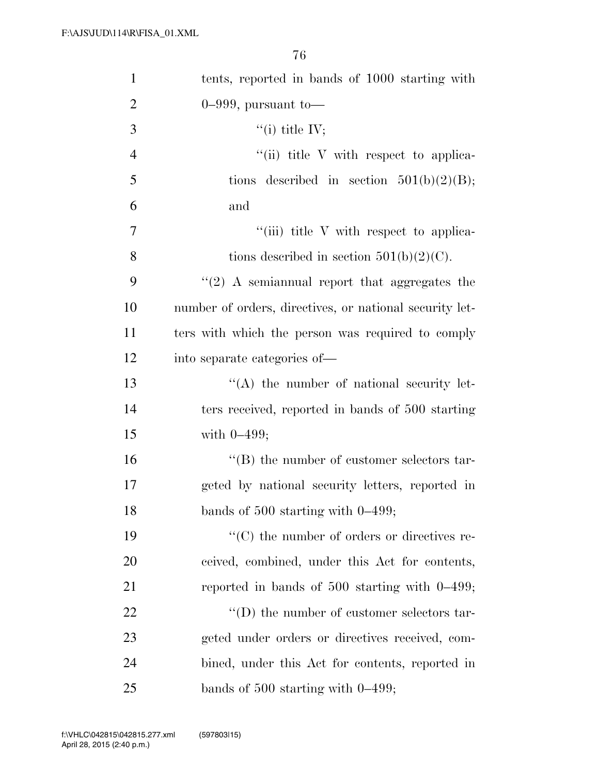| $\mathbf{1}$   | tents, reported in bands of 1000 starting with          |
|----------------|---------------------------------------------------------|
| $\overline{2}$ | $0-999$ , pursuant to-                                  |
| 3              | $``(i)$ title IV;                                       |
| $\overline{4}$ | $\lq\lq$ (ii) title V with respect to applica-          |
| 5              | described in section $501(b)(2)(B)$ ;<br>tions          |
| 6              | and                                                     |
| 7              | "(iii) title V with respect to applica-                 |
| 8              | tions described in section $501(b)(2)(C)$ .             |
| 9              | $\lq(2)$ A semiannual report that aggregates the        |
| 10             | number of orders, directives, or national security let- |
| 11             | ters with which the person was required to comply       |
| 12             | into separate categories of—                            |
| 13             | $\lq\lq$ the number of national security let-           |
| 14             | ters received, reported in bands of 500 starting        |
| 15             | with $0-499$ ;                                          |
| 16             | "(B) the number of customer selectors tar-              |
| 17             | geted by national security letters, reported in         |
| 18             | bands of $500$ starting with $0-499$ ;                  |
| 19             | $\lq\lq$ (C) the number of orders or directives re-     |
| 20             | ceived, combined, under this Act for contents,          |
| 21             | reported in bands of $500$ starting with $0-499$ ;      |
| 22             | $\lq\lq$ the number of customer selectors tar-          |
| 23             | geted under orders or directives received, com-         |
| 24             | bined, under this Act for contents, reported in         |
| 25             | bands of $500$ starting with $0-499$ ;                  |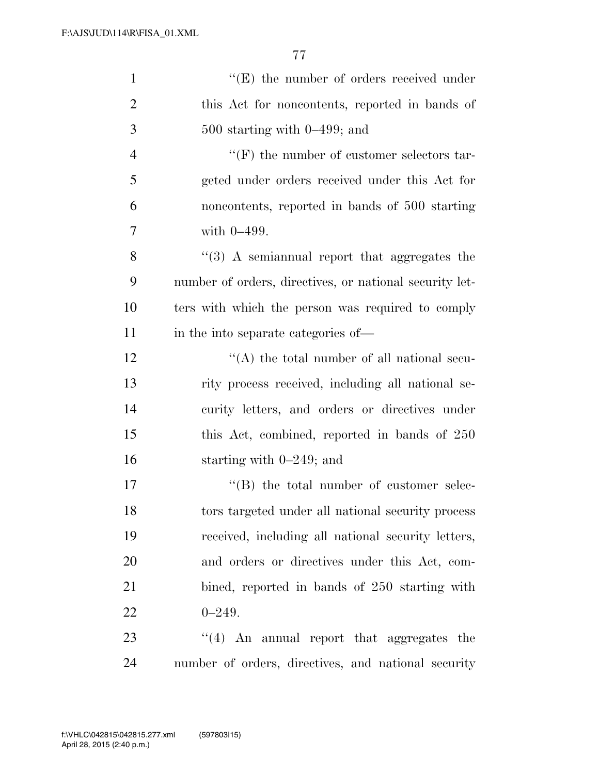| $\mathbf{1}$   | $\lq\lq(E)$ the number of orders received under         |
|----------------|---------------------------------------------------------|
| $\overline{2}$ | this Act for noncontents, reported in bands of          |
| 3              | $500$ starting with $0-499$ ; and                       |
| $\overline{4}$ | $\lq\lq(F)$ the number of customer selectors tar-       |
| 5              | geted under orders received under this Act for          |
| 6              | noncontents, reported in bands of 500 starting          |
| 7              | with $0-499$ .                                          |
| 8              | $\lq(3)$ A semiannual report that aggregates the        |
| 9              | number of orders, directives, or national security let- |
| 10             | ters with which the person was required to comply       |
| 11             | in the into separate categories of—                     |
| 12             | $\lq\lq$ the total number of all national secu-         |
| 13             | rity process received, including all national se-       |
| 14             | curity letters, and orders or directives under          |
| 15             | this Act, combined, reported in bands of 250            |
| 16             | starting with $0-249$ ; and                             |
| 17             | $\lq\lq$ the total number of customer selec-            |
| 18             | tors targeted under all national security process       |
| 19             | received, including all national security letters,      |
| 20             | and orders or directives under this Act, com-           |
| 21             | bined, reported in bands of 250 starting with           |
| 22             | $0 - 249.$                                              |
| 23             | $\cdot$ (4) An annual report that aggregates the        |
| 24             | number of orders, directives, and national security     |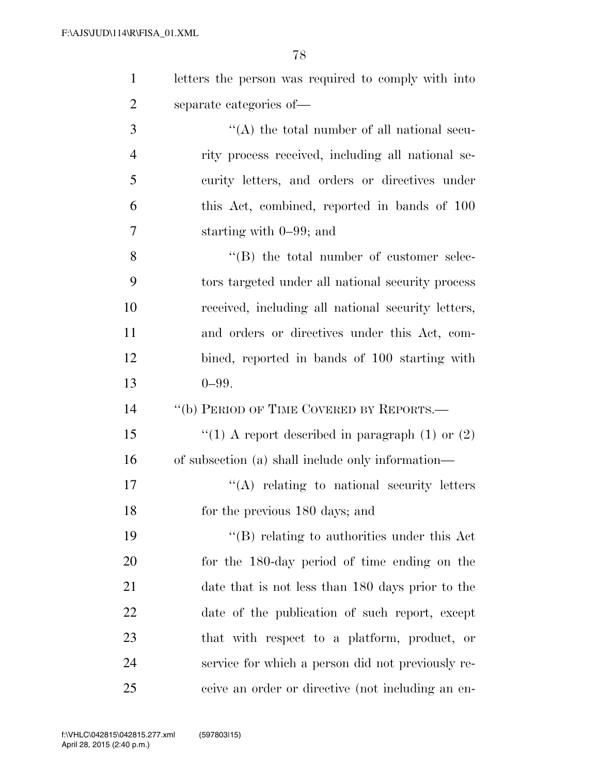| $\mathbf{1}$   | letters the person was required to comply with into |
|----------------|-----------------------------------------------------|
| $\overline{2}$ | separate categories of—                             |
| 3              | $\lq\lq$ the total number of all national secu-     |
| $\overline{4}$ | rity process received, including all national se-   |
| 5              | curity letters, and orders or directives under      |
| 6              | this Act, combined, reported in bands of 100        |
| $\overline{7}$ | starting with $0-99$ ; and                          |
| 8              | $\lq\lq$ (B) the total number of customer selec-    |
| 9              | tors targeted under all national security process   |
| 10             | received, including all national security letters,  |
| 11             | and orders or directives under this Act, com-       |
| 12             | bined, reported in bands of 100 starting with       |
| 13             | $0 - 99.$                                           |
|                |                                                     |
| 14             | "(b) PERIOD OF TIME COVERED BY REPORTS.—            |
| 15             | "(1) A report described in paragraph $(1)$ or $(2)$ |
| 16             | of subsection (a) shall include only information—   |
| 17             | $\lq\lq$ relating to national security letters      |
| 18             | for the previous 180 days; and                      |
| 19             | $\lq\lq$ relating to authorities under this Act     |
| 20             | for the 180-day period of time ending on the        |
| 21             | date that is not less than 180 days prior to the    |
| 22             | date of the publication of such report, except      |
| 23             | that with respect to a platform, product, or        |
| 24             | service for which a person did not previously re-   |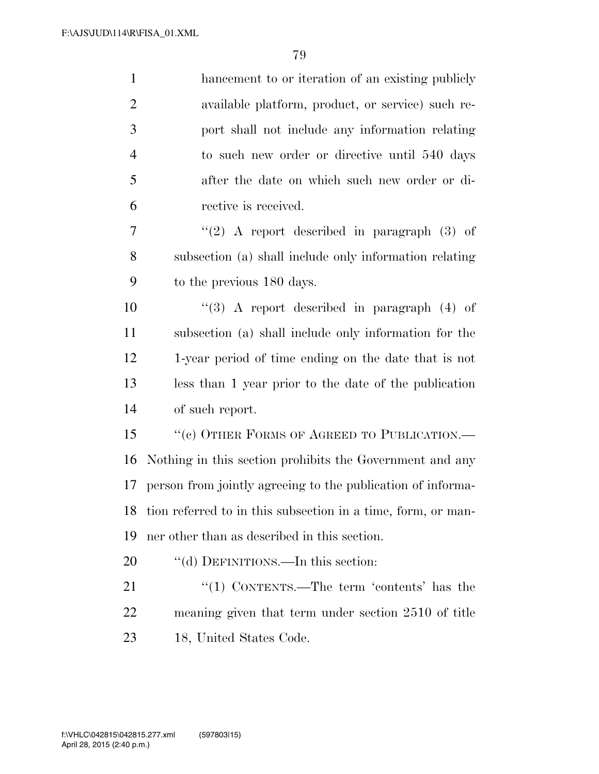| $\mathbf{1}$   | hancement to or iteration of an existing publicly            |
|----------------|--------------------------------------------------------------|
| $\overline{2}$ | available platform, product, or service) such re-            |
| 3              | port shall not include any information relating              |
| $\overline{4}$ | to such new order or directive until 540 days                |
| 5              | after the date on which such new order or di-                |
| 6              | rective is received.                                         |
| 7              | "(2) A report described in paragraph $(3)$ of                |
| 8              | subsection (a) shall include only information relating       |
| 9              | to the previous 180 days.                                    |
| 10             | $\lq(3)$ A report described in paragraph (4) of              |
| 11             | subsection (a) shall include only information for the        |
| 12             | 1-year period of time ending on the date that is not         |
| 13             | less than 1 year prior to the date of the publication        |
| 14             | of such report.                                              |
| 15             | "(c) OTHER FORMS OF AGREED TO PUBLICATION.—                  |
| 16             | Nothing in this section prohibits the Government and any     |
| 17             | person from jointly agreeing to the publication of informa-  |
| 18             | tion referred to in this subsection in a time, form, or man- |
| 19             | ner other than as described in this section.                 |
| 20             | "(d) DEFINITIONS.—In this section:                           |
| 21             | "(1) CONTENTS.—The term 'contents' has the                   |
| 22             | meaning given that term under section 2510 of title          |
| $\cap$         | 10 TT $9.1011$                                               |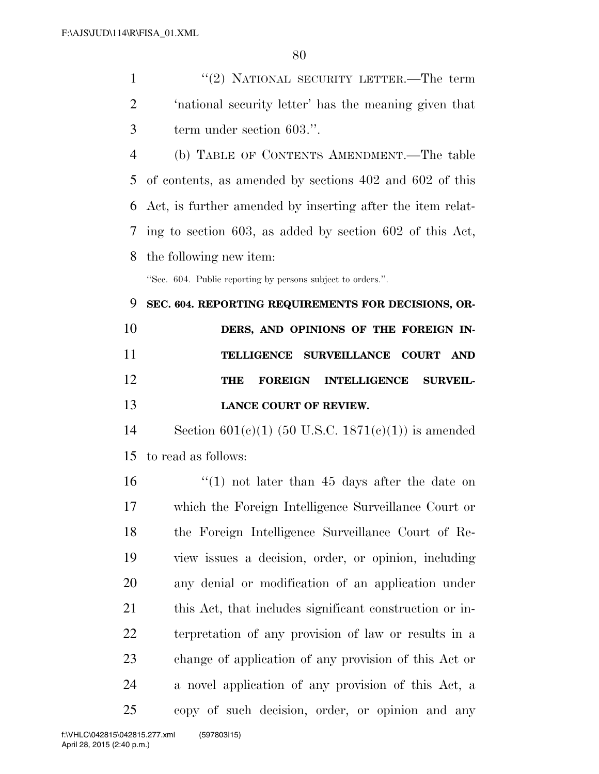1 ''(2) NATIONAL SECURITY LETTER.—The term 'national security letter' has the meaning given that term under section 603.''.

 (b) TABLE OF CONTENTS AMENDMENT.—The table of contents, as amended by sections 402 and 602 of this Act, is further amended by inserting after the item relat- ing to section 603, as added by section 602 of this Act, the following new item:

''Sec. 604. Public reporting by persons subject to orders.''.

 **SEC. 604. REPORTING REQUIREMENTS FOR DECISIONS, OR-DERS, AND OPINIONS OF THE FOREIGN IN- TELLIGENCE SURVEILLANCE COURT AND THE FOREIGN INTELLIGENCE SURVEIL-LANCE COURT OF REVIEW.** 

14 Section  $601(c)(1)$  (50 U.S.C. 1871(c)(1)) is amended to read as follows:

16 ''(1) not later than 45 days after the date on which the Foreign Intelligence Surveillance Court or the Foreign Intelligence Surveillance Court of Re- view issues a decision, order, or opinion, including any denial or modification of an application under this Act, that includes significant construction or in- terpretation of any provision of law or results in a change of application of any provision of this Act or a novel application of any provision of this Act, a copy of such decision, order, or opinion and any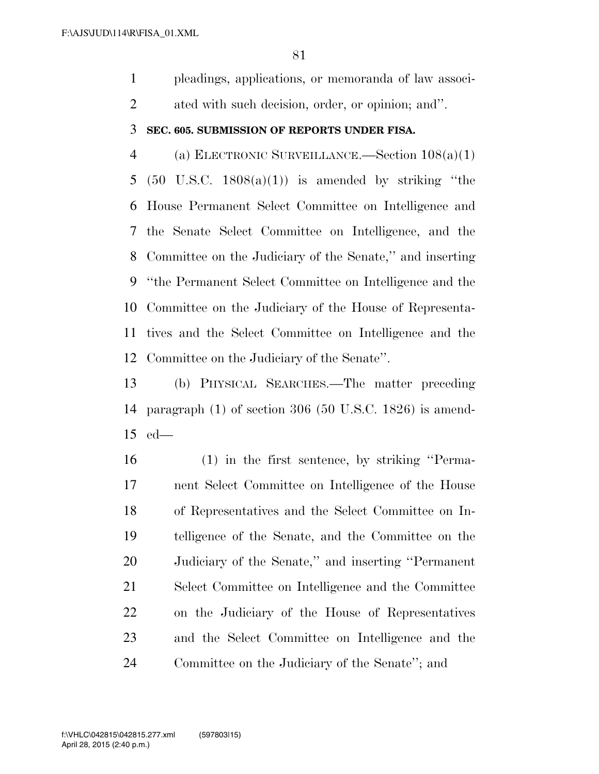pleadings, applications, or memoranda of law associ-ated with such decision, order, or opinion; and''.

## **SEC. 605. SUBMISSION OF REPORTS UNDER FISA.**

 (a) ELECTRONIC SURVEILLANCE.—Section 108(a)(1) 5 (50 U.S.C.  $1808(a)(1)$ ) is amended by striking "the House Permanent Select Committee on Intelligence and the Senate Select Committee on Intelligence, and the Committee on the Judiciary of the Senate,'' and inserting ''the Permanent Select Committee on Intelligence and the Committee on the Judiciary of the House of Representa- tives and the Select Committee on Intelligence and the Committee on the Judiciary of the Senate''.

 (b) PHYSICAL SEARCHES.—The matter preceding paragraph (1) of section 306 (50 U.S.C. 1826) is amend-ed—

 (1) in the first sentence, by striking ''Perma- nent Select Committee on Intelligence of the House of Representatives and the Select Committee on In- telligence of the Senate, and the Committee on the Judiciary of the Senate,'' and inserting ''Permanent Select Committee on Intelligence and the Committee on the Judiciary of the House of Representatives and the Select Committee on Intelligence and the Committee on the Judiciary of the Senate''; and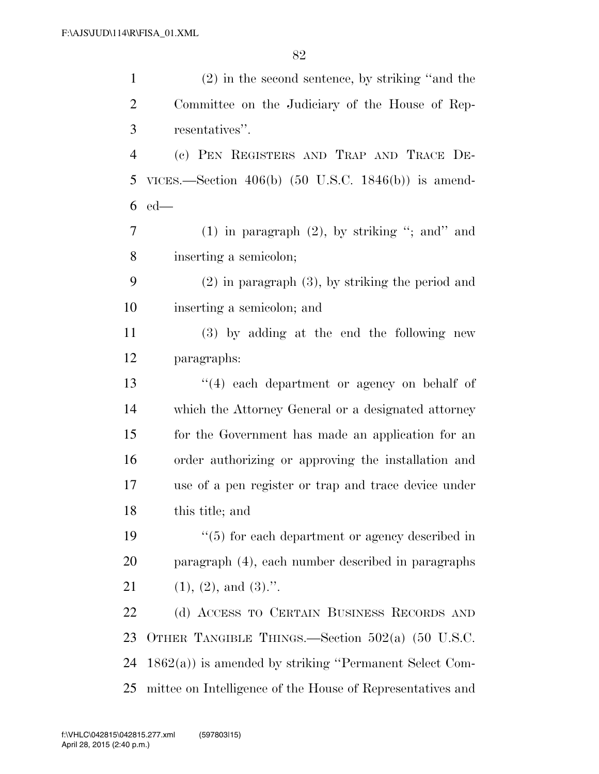| $\mathbf{1}$   | $(2)$ in the second sentence, by striking "and the         |
|----------------|------------------------------------------------------------|
| 2              | Committee on the Judiciary of the House of Rep-            |
| 3              | resentatives".                                             |
| $\overline{4}$ | (c) PEN REGISTERS AND TRAP AND TRACE DE-                   |
| 5              | VICES.—Section $406(b)$ (50 U.S.C. 1846(b)) is amend-      |
| 6              | $ed$ —                                                     |
| 7              | $(1)$ in paragraph $(2)$ , by striking "; and" and         |
| 8              | inserting a semicolon;                                     |
| 9              | $(2)$ in paragraph $(3)$ , by striking the period and      |
| 10             | inserting a semicolon; and                                 |
| 11             | (3) by adding at the end the following new                 |
| 12             | paragraphs:                                                |
| 13             | $(4)$ each department or agency on behalf of               |
| 14             | which the Attorney General or a designated attorney        |
| 15             | for the Government has made an application for an          |
| 16             | order authorizing or approving the installation and        |
| 17             | use of a pen register or trap and trace device under       |
| 18             | this title; and                                            |
| 19             | $\cdot$ (5) for each department or agency described in     |
| 20             | paragraph (4), each number described in paragraphs         |
| 21             | $(1), (2),$ and $(3)$ .".                                  |
| 22             | (d) ACCESS TO CERTAIN BUSINESS RECORDS AND                 |
| 23             | OTHER TANGIBLE THINGS.—Section $502(a)$ (50 U.S.C.         |
| 24             | $1862(a)$ ) is amended by striking "Permanent Select Com-  |
| 25             | mittee on Intelligence of the House of Representatives and |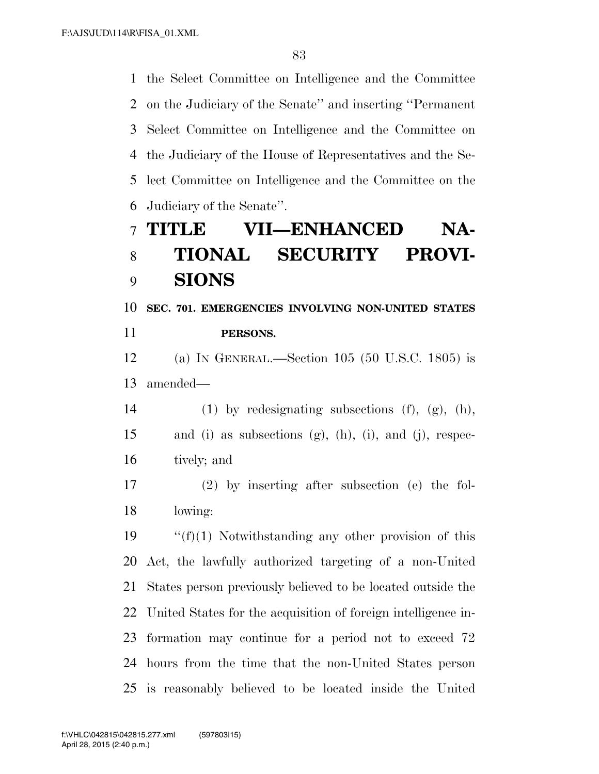the Select Committee on Intelligence and the Committee on the Judiciary of the Senate'' and inserting ''Permanent Select Committee on Intelligence and the Committee on the Judiciary of the House of Representatives and the Se- lect Committee on Intelligence and the Committee on the Judiciary of the Senate''.

## **TITLE VII—ENHANCED NA- TIONAL SECURITY PROVI-SIONS**

 **SEC. 701. EMERGENCIES INVOLVING NON-UNITED STATES PERSONS.** 

 (a) IN GENERAL.—Section 105 (50 U.S.C. 1805) is amended—

14 (1) by redesignating subsections  $(f)$ ,  $(g)$ ,  $(h)$ , and (i) as subsections (g), (h), (i), and (j), respec-tively; and

 (2) by inserting after subsection (e) the fol-lowing:

 $\frac{f'(f)}{1}$  Notwithstanding any other provision of this Act, the lawfully authorized targeting of a non-United States person previously believed to be located outside the United States for the acquisition of foreign intelligence in- formation may continue for a period not to exceed 72 hours from the time that the non-United States person is reasonably believed to be located inside the United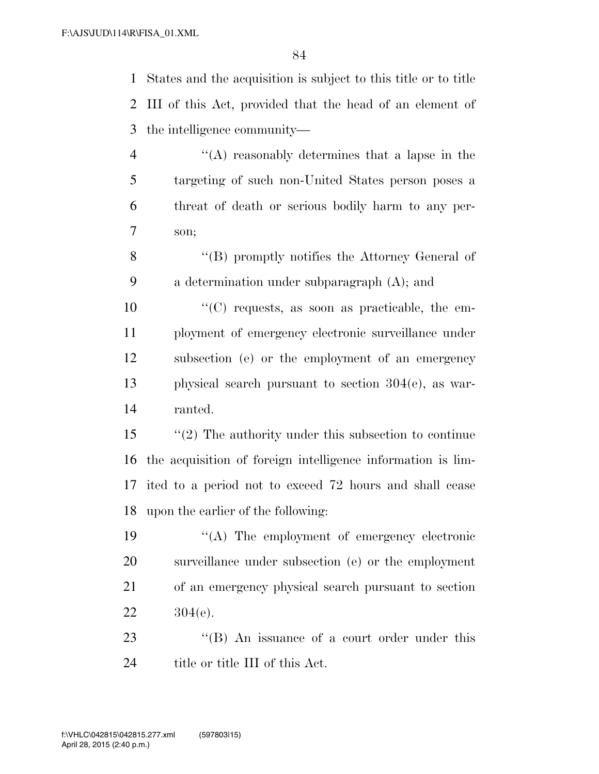States and the acquisition is subject to this title or to title III of this Act, provided that the head of an element of the intelligence community—

- ''(A) reasonably determines that a lapse in the targeting of such non-United States person poses a threat of death or serious bodily harm to any per-son;
- ''(B) promptly notifies the Attorney General of a determination under subparagraph (A); and
- ''(C) requests, as soon as practicable, the em- ployment of emergency electronic surveillance under subsection (e) or the employment of an emergency physical search pursuant to section 304(e), as war-ranted.
- ''(2) The authority under this subsection to continue the acquisition of foreign intelligence information is lim- ited to a period not to exceed 72 hours and shall cease upon the earlier of the following:
- ''(A) The employment of emergency electronic surveillance under subsection (e) or the employment of an emergency physical search pursuant to section 304(e).
- 23 "(B) An issuance of a court order under this 24 title or title III of this Act.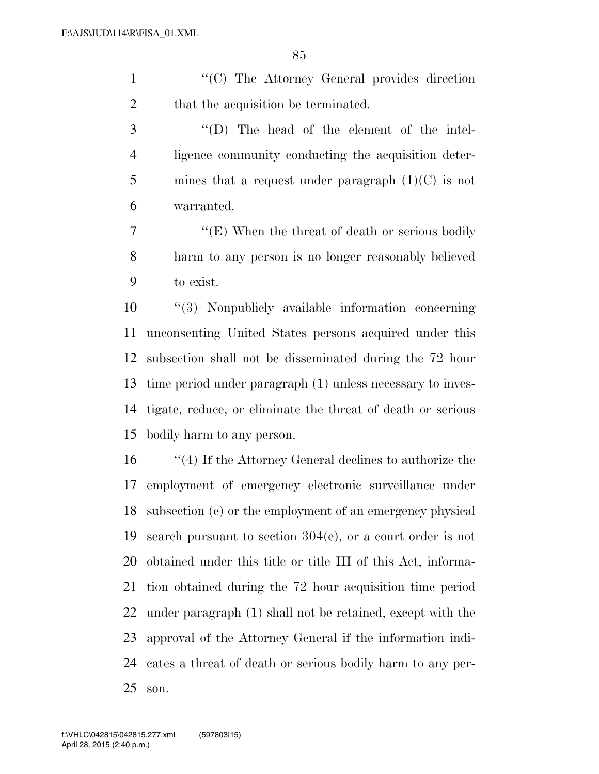1 "'(C) The Attorney General provides direction 2 that the acquisition be terminated.

 ''(D) The head of the element of the intel- ligence community conducting the acquisition deter-5 mines that a request under paragraph  $(1)(C)$  is not warranted.

7 ''(E) When the threat of death or serious bodily harm to any person is no longer reasonably believed to exist.

 ''(3) Nonpublicly available information concerning unconsenting United States persons acquired under this subsection shall not be disseminated during the 72 hour time period under paragraph (1) unless necessary to inves- tigate, reduce, or eliminate the threat of death or serious bodily harm to any person.

 ''(4) If the Attorney General declines to authorize the employment of emergency electronic surveillance under subsection (e) or the employment of an emergency physical search pursuant to section 304(e), or a court order is not obtained under this title or title III of this Act, informa- tion obtained during the 72 hour acquisition time period under paragraph (1) shall not be retained, except with the approval of the Attorney General if the information indi- cates a threat of death or serious bodily harm to any per-son.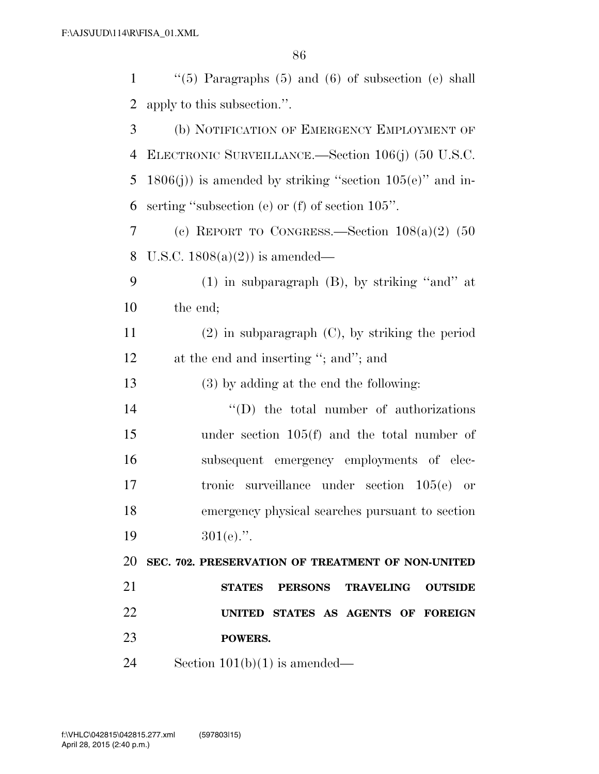$\frac{1}{1}$  (5) Paragraphs (5) and (6) of subsection (e) shall apply to this subsection.''. (b) NOTIFICATION OF EMERGENCY EMPLOYMENT OF ELECTRONIC SURVEILLANCE.—Section 106(j) (50 U.S.C. 5 1806(j)) is amended by striking "section  $105(e)$ " and in- serting ''subsection (e) or (f) of section 105''. (c) REPORT TO CONGRESS.—Section 108(a)(2) (50 U.S.C. 1808(a)(2)) is amended— (1) in subparagraph (B), by striking ''and'' at the end; (2) in subparagraph (C), by striking the period 12 at the end and inserting "; and"; and (3) by adding at the end the following:  $\text{``(D)}$  the total number of authorizations under section 105(f) and the total number of subsequent emergency employments of elec- tronic surveillance under section 105(e) or emergency physical searches pursuant to section  $301(e).$ ". **SEC. 702. PRESERVATION OF TREATMENT OF NON-UNITED STATES PERSONS TRAVELING OUTSIDE UNITED STATES AS AGENTS OF FOREIGN POWERS.** 

24 Section  $101(b)(1)$  is amended—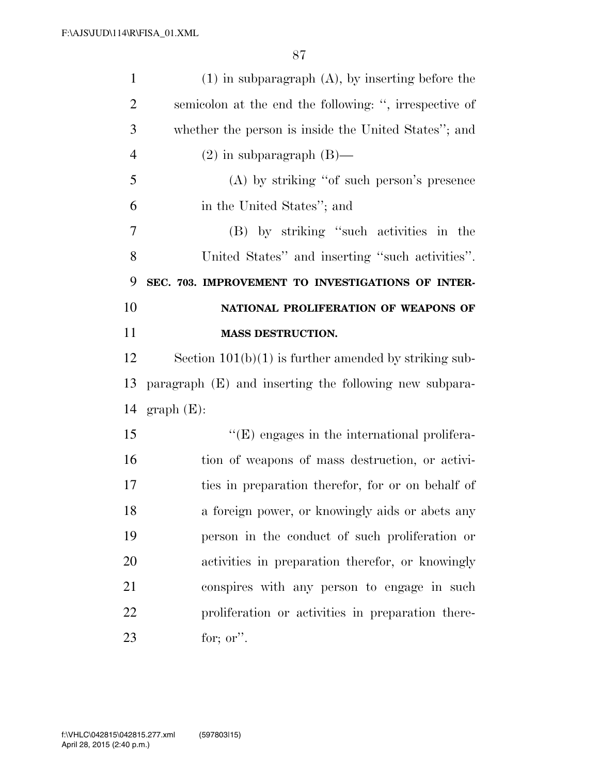| $\mathbf{1}$   | $(1)$ in subparagraph $(A)$ , by inserting before the   |
|----------------|---------------------------------------------------------|
| $\overline{2}$ | semicolon at the end the following: ", irrespective of  |
| 3              | whether the person is inside the United States"; and    |
| $\overline{4}$ | $(2)$ in subparagraph $(B)$ —                           |
| 5              | $(A)$ by striking "of such person's presence            |
| 6              | in the United States"; and                              |
| 7              | (B) by striking "such activities in the                 |
| 8              | United States" and inserting "such activities".         |
| 9              | SEC. 703. IMPROVEMENT TO INVESTIGATIONS OF INTER-       |
| 10             | NATIONAL PROLIFERATION OF WEAPONS OF                    |
| 11             | <b>MASS DESTRUCTION.</b>                                |
| 12             | Section $101(b)(1)$ is further amended by striking sub- |
| 13             | paragraph (E) and inserting the following new subpara-  |
| 14             | $graph(E)$ :                                            |
| 15             | $\lq\lq(E)$ engages in the international prolifera-     |
| 16             | tion of weapons of mass destruction, or activi-         |
| 17             | ties in preparation therefor, for or on behalf of       |
| 18             | a foreign power, or knowingly aids or abets any         |
| 19             | person in the conduct of such proliferation or          |
| 20             | activities in preparation therefor, or knowingly        |
| 21             | conspires with any person to engage in such             |
| 22             | proliferation or activities in preparation there-       |
| 23             | for; or".                                               |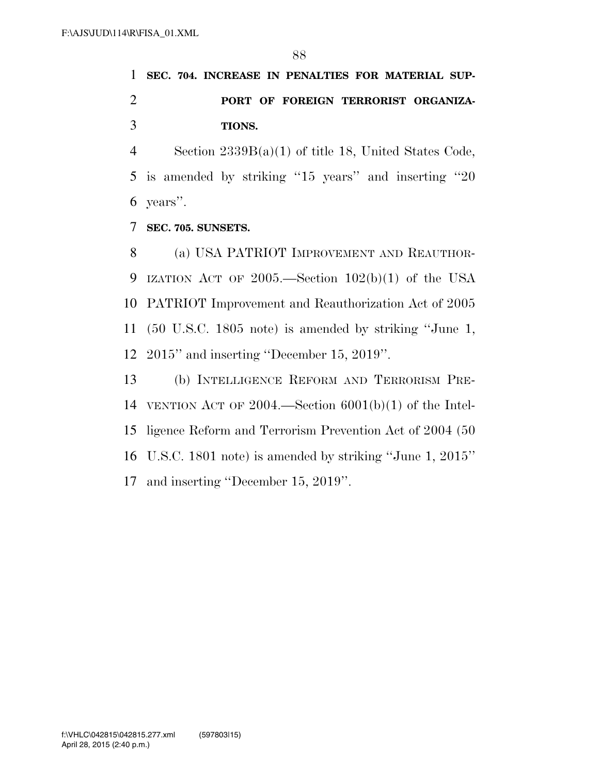**SEC. 704. INCREASE IN PENALTIES FOR MATERIAL SUP- PORT OF FOREIGN TERRORIST ORGANIZA-TIONS.** 

 Section 2339B(a)(1) of title 18, United States Code, is amended by striking ''15 years'' and inserting ''20 years''.

**SEC. 705. SUNSETS.** 

8 (a) USA PATRIOT IMPROVEMENT AND REAUTHOR- IZATION ACT OF 2005.—Section 102(b)(1) of the USA PATRIOT Improvement and Reauthorization Act of 2005 (50 U.S.C. 1805 note) is amended by striking ''June 1, 2015'' and inserting ''December 15, 2019''.

 (b) INTELLIGENCE REFORM AND TERRORISM PRE- VENTION ACT OF 2004.—Section 6001(b)(1) of the Intel- ligence Reform and Terrorism Prevention Act of 2004 (50 U.S.C. 1801 note) is amended by striking ''June 1, 2015'' and inserting ''December 15, 2019''.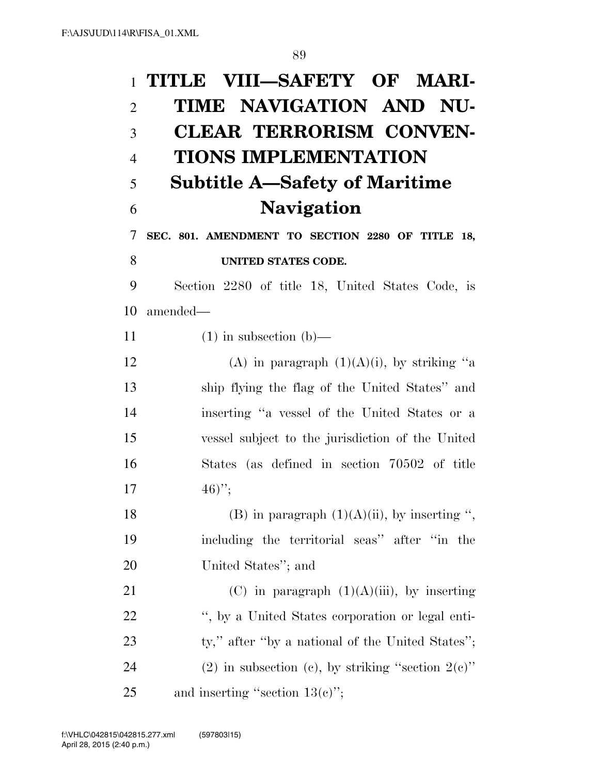## **TITLE VIII—SAFETY OF MARI- TIME NAVIGATION AND NU- CLEAR TERRORISM CONVEN- TIONS IMPLEMENTATION Subtitle A—Safety of Maritime Navigation SEC. 801. AMENDMENT TO SECTION 2280 OF TITLE 18, UNITED STATES CODE.**  Section 2280 of title 18, United States Code, is amended— 11  $(1)$  in subsection  $(b)$ — 12 (A) in paragraph  $(1)(A)(i)$ , by striking "a ship flying the flag of the United States'' and inserting ''a vessel of the United States or a vessel subject to the jurisdiction of the United States (as defined in section 70502 of title  $17 \t\t\t 46$ <sup>"</sup>; 18 (B) in paragraph  $(1)(A)(ii)$ , by inserting ", including the territorial seas'' after ''in the United States''; and 21 (C) in paragraph  $(1)(A)(iii)$ , by inserting '', by a United States corporation or legal enti-23 ty," after "by a national of the United States"; 24 (2) in subsection (c), by striking "section  $2(e)$ " 25 and inserting "section  $13(e)$ ";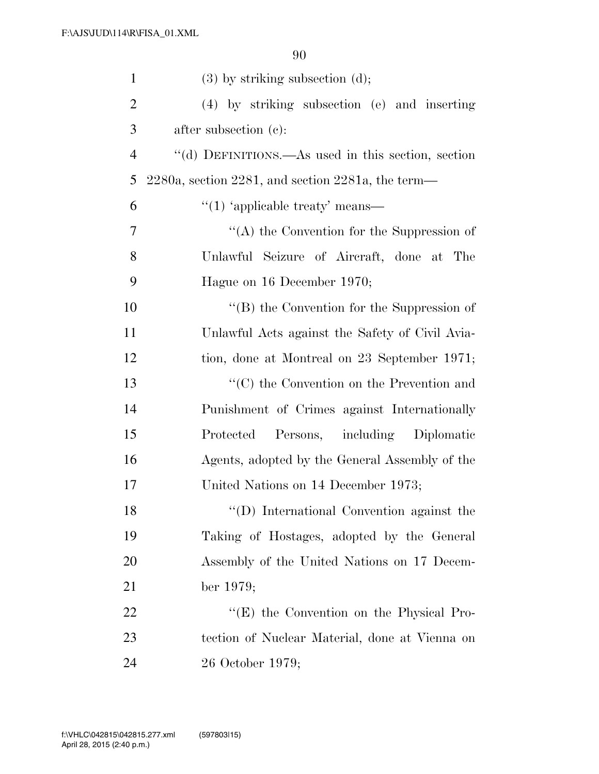| $\mathbf{1}$   | $(3)$ by striking subsection $(d)$ ;                       |
|----------------|------------------------------------------------------------|
| $\overline{2}$ | (4) by striking subsection (e) and inserting               |
| 3              | after subsection (c):                                      |
| $\overline{4}$ | "(d) DEFINITIONS.—As used in this section, section         |
| 5              | $2280a$ , section $2281$ , and section $2281a$ , the term— |
| 6              | $\lq(1)$ 'applicable treaty' means—                        |
| 7              | "(A) the Convention for the Suppression of                 |
| 8              | Unlawful Seizure of Aircraft, done at The                  |
| 9              | Hague on 16 December 1970;                                 |
| 10             | $\lq\lq$ the Convention for the Suppression of             |
| 11             | Unlawful Acts against the Safety of Civil Avia-            |
| 12             | tion, done at Montreal on 23 September 1971;               |
| 13             | $\cdot\cdot$ (C) the Convention on the Prevention and      |
| 14             | Punishment of Crimes against Internationally               |
| 15             | Persons, including Diplomatic<br>Protected                 |
| 16             | Agents, adopted by the General Assembly of the             |
| 17             | United Nations on 14 December 1973;                        |
| 18             | "(D) International Convention against the                  |
| 19             | Taking of Hostages, adopted by the General                 |
| 20             | Assembly of the United Nations on 17 Decem-                |
| 21             | ber 1979;                                                  |
| 22             | "(E) the Convention on the Physical Pro-                   |
| 23             | tection of Nuclear Material, done at Vienna on             |
| 24             | 26 October 1979;                                           |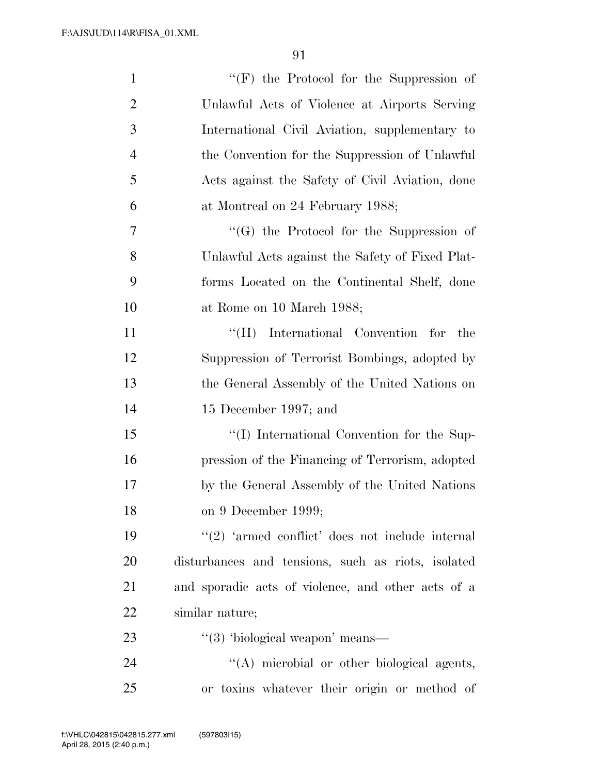| $\mathbf{1}$   | "(F) the Protocol for the Suppression of            |
|----------------|-----------------------------------------------------|
| $\overline{2}$ | Unlawful Acts of Violence at Airports Serving       |
| 3              | International Civil Aviation, supplementary to      |
| $\overline{4}$ | the Convention for the Suppression of Unlawful      |
| 5              | Acts against the Safety of Civil Aviation, done     |
| 6              | at Montreal on 24 February 1988;                    |
| 7              | $\lq\lq(G)$ the Protocol for the Suppression of     |
| 8              | Unlawful Acts against the Safety of Fixed Plat-     |
| 9              | forms Located on the Continental Shelf, done        |
| 10             | at Rome on 10 March 1988;                           |
| 11             | "(H) International Convention for<br>the            |
| 12             | Suppression of Terrorist Bombings, adopted by       |
| 13             | the General Assembly of the United Nations on       |
| 14             | 15 December 1997; and                               |
| 15             | "(I) International Convention for the Sup-          |
| 16             | pression of the Financing of Terrorism, adopted     |
| 17             | by the General Assembly of the United Nations       |
| 18             | on 9 December 1999;                                 |
| 19             | $\lq(2)$ 'armed conflict' does not include internal |
| 20             | disturbances and tensions, such as riots, isolated  |
| 21             | and sporadic acts of violence, and other acts of a  |
| 22             | similar nature;                                     |
| 23             | $\lq(3)$ 'biological weapon' means—                 |
| 24             | "(A) microbial or other biological agents,          |
| 25             | or toxins whatever their origin or method of        |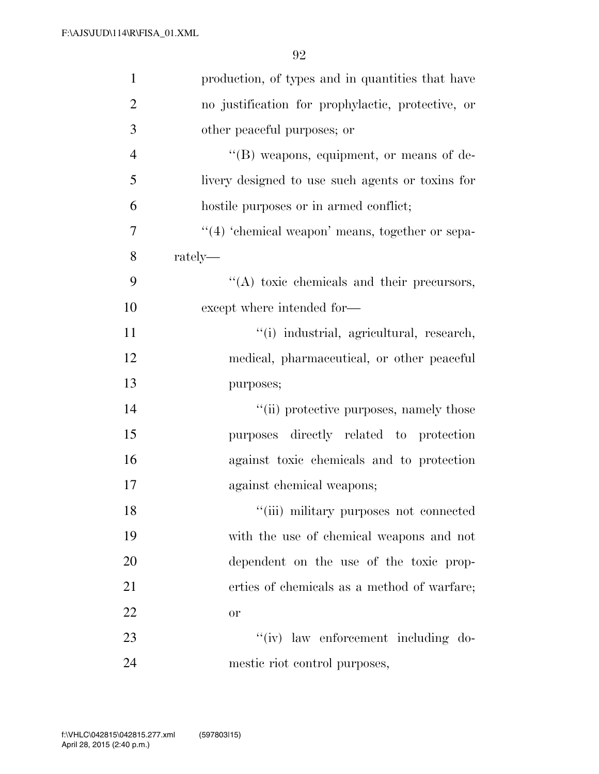| $\mathbf{1}$   | production, of types and in quantities that have    |
|----------------|-----------------------------------------------------|
| $\overline{2}$ | no justification for prophylactic, protective, or   |
| 3              | other peaceful purposes; or                         |
| $\overline{4}$ | "(B) weapons, equipment, or means of de-            |
| 5              | livery designed to use such agents or toxins for    |
| 6              | hostile purposes or in armed conflict;              |
| $\overline{7}$ | $\lq(4)$ 'chemical weapon' means, together or sepa- |
| 8              | $rately$ —                                          |
| 9              | "(A) toxic chemicals and their precursors,          |
| 10             | except where intended for-                          |
| 11             | "(i) industrial, agricultural, research,            |
| 12             | medical, pharmaceutical, or other peaceful          |
| 13             | purposes;                                           |
| 14             | "(ii) protective purposes, namely those             |
| 15             | purposes directly related to protection             |
| 16             | against toxic chemicals and to protection           |
| 17             | against chemical weapons;                           |
| 18             | "(iii) military purposes not connected              |
| 19             | with the use of chemical weapons and not            |
| 20             | dependent on the use of the toxic prop-             |
| 21             | erties of chemicals as a method of warfare;         |
| 22             | or                                                  |
| 23             | "(iv) law enforcement including do-                 |
| 24             | mestic riot control purposes,                       |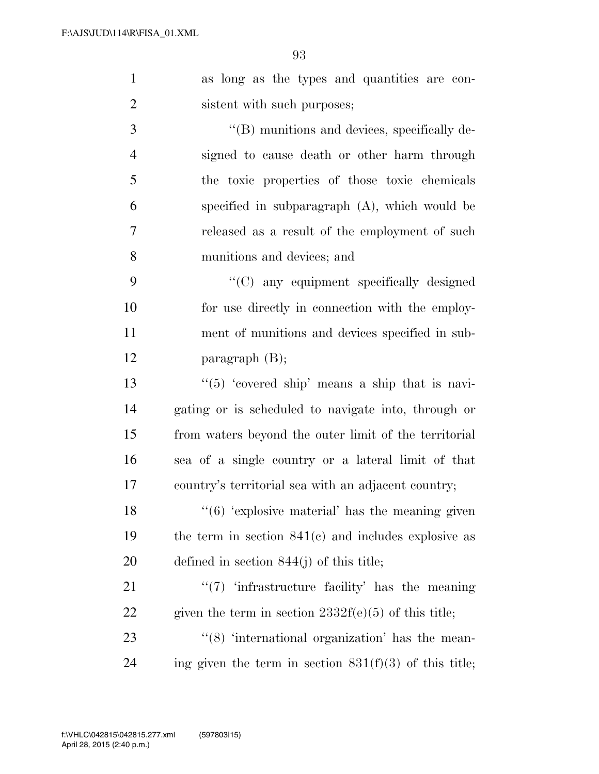as long as the types and quantities are con-2 sistent with such purposes;

 $\langle$  (B) munitions and devices, specifically de- signed to cause death or other harm through the toxic properties of those toxic chemicals specified in subparagraph (A), which would be released as a result of the employment of such munitions and devices; and

 ''(C) any equipment specifically designed for use directly in connection with the employ- ment of munitions and devices specified in sub-paragraph (B);

 $\frac{13}{2}$   $\frac{13}{2}$   $\frac{13}{2}$   $\frac{13}{2}$   $\frac{13}{2}$   $\frac{13}{2}$   $\frac{13}{2}$   $\frac{13}{2}$   $\frac{13}{2}$   $\frac{13}{2}$   $\frac{13}{2}$   $\frac{13}{2}$   $\frac{13}{2}$   $\frac{13}{2}$   $\frac{13}{2}$   $\frac{13}{2}$   $\frac{13}{2}$   $\frac{13}{2}$   $\frac{13}{2}$   $\frac{13}{2}$  gating or is scheduled to navigate into, through or from waters beyond the outer limit of the territorial sea of a single country or a lateral limit of that country's territorial sea with an adjacent country;

18  $\frac{16}{6}$  'explosive material' has the meaning given the term in section 841(c) and includes explosive as defined in section 844(j) of this title;

21  $\frac{1}{2}$   $\frac{1}{2}$   $\frac{1}{2}$  infrastructure facility' has the meaning 22 given the term in section  $2332f(e)(5)$  of this title;

23 ''(8) 'international organization' has the mean-24 ing given the term in section  $831(f)(3)$  of this title;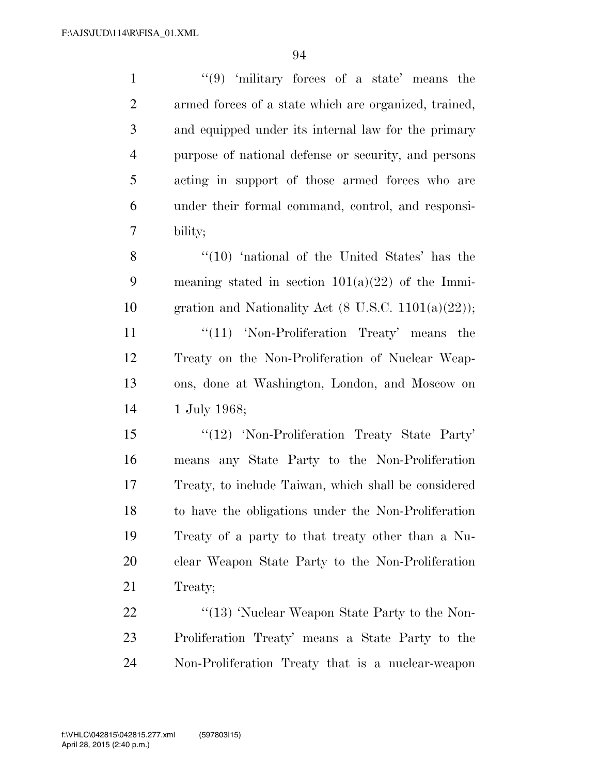| $\mathbf{1}$   | $(9)$ 'military forces of a state' means the                   |
|----------------|----------------------------------------------------------------|
| $\overline{2}$ | armed forces of a state which are organized, trained,          |
| 3              | and equipped under its internal law for the primary            |
| $\overline{4}$ | purpose of national defense or security, and persons           |
| 5              | acting in support of those armed forces who are                |
| 6              | under their formal command, control, and responsi-             |
| 7              | bility;                                                        |
| 8              | $\cdot$ (10) 'national of the United States' has the           |
| 9              | meaning stated in section $101(a)(22)$ of the Immi-            |
| 10             | gration and Nationality Act $(8 \text{ U.S.C. } 1101(a)(22));$ |
| 11             | $\lq(11)$ 'Non-Proliferation Treaty' means the                 |
| 12             | Treaty on the Non-Proliferation of Nuclear Weap-               |
| 13             | ons, done at Washington, London, and Moscow on                 |
| 14             | 1 July 1968;                                                   |
| 15             | "(12) 'Non-Proliferation Treaty State Party'                   |
| 16             | means any State Party to the Non-Proliferation                 |
| 17             | Treaty, to include Taiwan, which shall be considered           |
| 18             | to have the obligations under the Non-Proliferation            |
| 19             | Treaty of a party to that treaty other than a Nu-              |
| 20             | clear Weapon State Party to the Non-Proliferation              |
| 21             | Treaty;                                                        |
| 22             | "(13) 'Nuclear Weapon State Party to the Non-                  |
| 23             | Proliferation Treaty' means a State Party to the               |
| 24             | Non-Proliferation Treaty that is a nuclear-weapon              |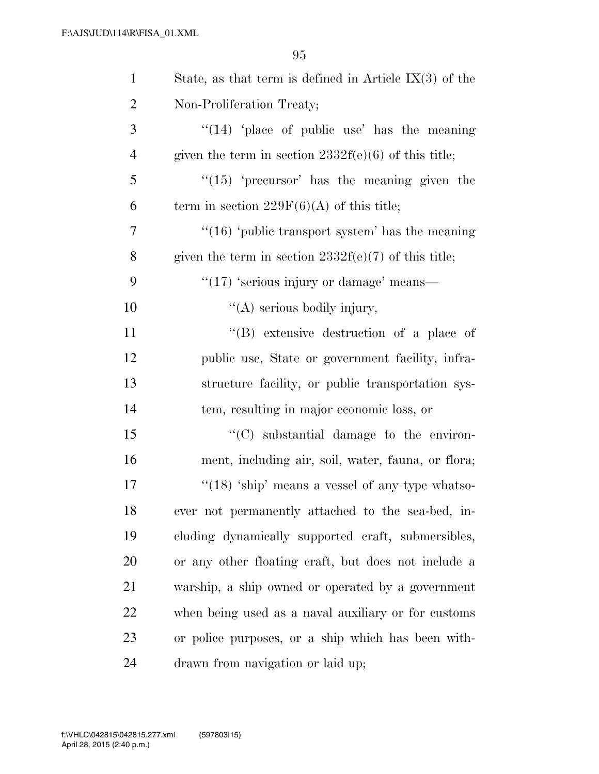| $\mathbf{1}$   | State, as that term is defined in Article $IX(3)$ of the |
|----------------|----------------------------------------------------------|
| $\overline{2}$ | Non-Proliferation Treaty;                                |
| 3              | " $(14)$ 'place of public use' has the meaning           |
| $\overline{4}$ | given the term in section $2332f(e)(6)$ of this title;   |
| 5              | $\lq(15)$ 'precursor' has the meaning given the          |
| 6              | term in section $229F(6)(A)$ of this title;              |
| 7              | " $(16)$ 'public transport system' has the meaning       |
| 8              | given the term in section $2332f(e)(7)$ of this title;   |
| 9              | $\lq(17)$ 'serious injury or damage' means—              |
| 10             | "(A) serious bodily injury,                              |
| 11             | "(B) extensive destruction of a place of                 |
| 12             | public use, State or government facility, infra-         |
| 13             | structure facility, or public transportation sys-        |
| 14             | tem, resulting in major economic loss, or                |
| 15             | "(C) substantial damage to the environ-                  |
| 16             | ment, including air, soil, water, fauna, or flora;       |
| 17             | " $(18)$ 'ship' means a vessel of any type whatso-       |
| 18             | ever not permanently attached to the sea-bed, in-        |
| 19             | cluding dynamically supported craft, submersibles,       |
| 20             | or any other floating craft, but does not include a      |
| 21             | warship, a ship owned or operated by a government        |
| 22             | when being used as a naval auxiliary or for customs      |
| 23             | or police purposes, or a ship which has been with-       |
| 24             | drawn from navigation or laid up;                        |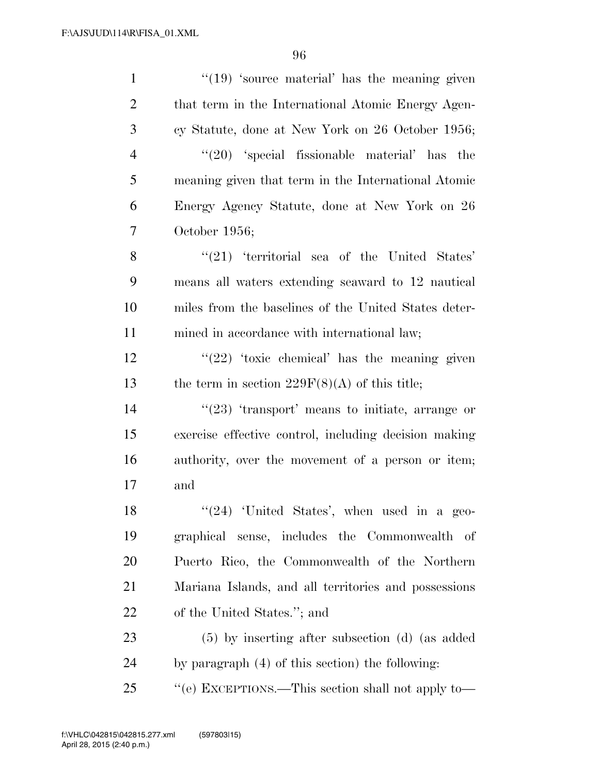| $\mathbf{1}$   | $\lq(19)$ 'source material' has the meaning given     |
|----------------|-------------------------------------------------------|
| $\overline{2}$ | that term in the International Atomic Energy Agen-    |
| 3              | cy Statute, done at New York on 26 October 1956;      |
| $\overline{4}$ | $(20)$ 'special fissionable material' has the         |
| 5              | meaning given that term in the International Atomic   |
| 6              | Energy Agency Statute, done at New York on 26         |
| 7              | October $1956$ ;                                      |
| 8              | $\lq(21)$ 'territorial sea of the United States'      |
| 9              | means all waters extending seaward to 12 nautical     |
| 10             | miles from the baselines of the United States deter-  |
| 11             | mined in accordance with international law;           |
| 12             | $\lq(22)$ 'toxic chemical' has the meaning given      |
| 13             | the term in section $229F(8)(A)$ of this title;       |
| 14             | $\lq(23)$ 'transport' means to initiate, arrange or   |
| 15             | exercise effective control, including decision making |
| 16             | authority, over the movement of a person or item;     |
| 17             | and                                                   |
| 18             | "(24) 'United States', when used in a geo-            |
| 19             | graphical sense, includes the Commonwealth of         |
| <b>20</b>      | Puerto Rico, the Commonwealth of the Northern         |
| 21             | Mariana Islands, and all territories and possessions  |
| 22             | of the United States."; and                           |
| 23             | $(5)$ by inserting after subsection (d) (as added     |
| 24             | by paragraph (4) of this section) the following:      |
| 25             | "(e) EXCEPTIONS.—This section shall not apply to—     |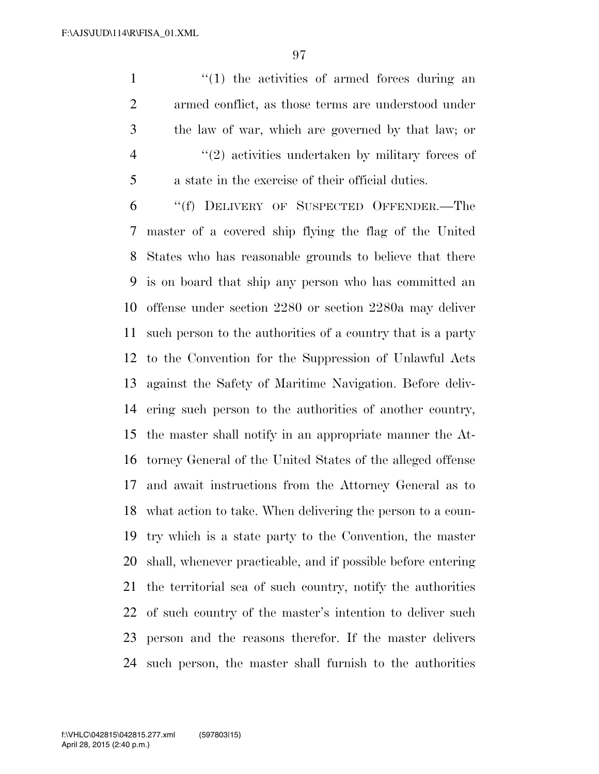$\frac{1}{1}$  the activities of armed forces during an armed conflict, as those terms are understood under the law of war, which are governed by that law; or ''(2) activities undertaken by military forces of a state in the exercise of their official duties.

 ''(f) DELIVERY OF SUSPECTED OFFENDER.—The master of a covered ship flying the flag of the United States who has reasonable grounds to believe that there is on board that ship any person who has committed an offense under section 2280 or section 2280a may deliver such person to the authorities of a country that is a party to the Convention for the Suppression of Unlawful Acts against the Safety of Maritime Navigation. Before deliv- ering such person to the authorities of another country, the master shall notify in an appropriate manner the At- torney General of the United States of the alleged offense and await instructions from the Attorney General as to what action to take. When delivering the person to a coun- try which is a state party to the Convention, the master shall, whenever practicable, and if possible before entering the territorial sea of such country, notify the authorities of such country of the master's intention to deliver such person and the reasons therefor. If the master delivers such person, the master shall furnish to the authorities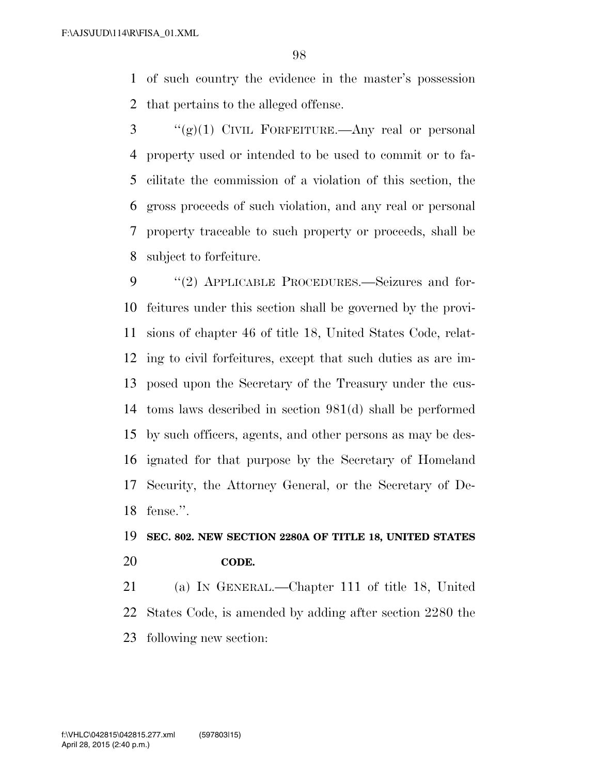of such country the evidence in the master's possession that pertains to the alleged offense.

 ''(g)(1) CIVIL FORFEITURE.—Any real or personal property used or intended to be used to commit or to fa- cilitate the commission of a violation of this section, the gross proceeds of such violation, and any real or personal property traceable to such property or proceeds, shall be subject to forfeiture.

9 "(2) APPLICABLE PROCEDURES.—Seizures and for- feitures under this section shall be governed by the provi- sions of chapter 46 of title 18, United States Code, relat- ing to civil forfeitures, except that such duties as are im- posed upon the Secretary of the Treasury under the cus- toms laws described in section 981(d) shall be performed by such officers, agents, and other persons as may be des- ignated for that purpose by the Secretary of Homeland Security, the Attorney General, or the Secretary of De-fense.''.

## **SEC. 802. NEW SECTION 2280A OF TITLE 18, UNITED STATES CODE.**

 (a) IN GENERAL.—Chapter 111 of title 18, United States Code, is amended by adding after section 2280 the following new section: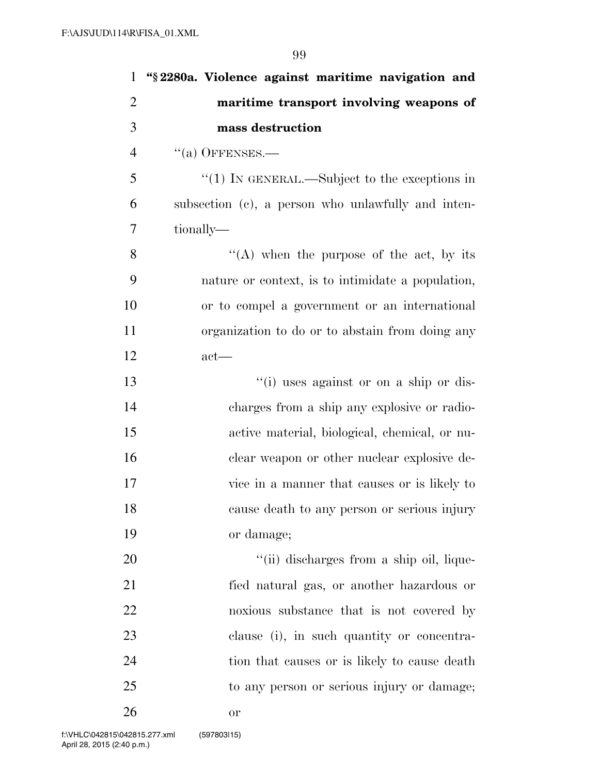| $\mathbf{1}$   | "§2280a. Violence against maritime navigation and        |
|----------------|----------------------------------------------------------|
| $\overline{2}$ | maritime transport involving weapons of                  |
| 3              | mass destruction                                         |
| $\overline{4}$ | $``(a)$ OFFENSES.—                                       |
| 5              | $\cdot\cdot(1)$ In GENERAL.—Subject to the exceptions in |
| 6              | subsection (c), a person who unlawfully and inten-       |
| 7              | tionally—                                                |
| 8              | "(A) when the purpose of the act, by its                 |
| 9              | nature or context, is to intimidate a population,        |
| 10             | or to compel a government or an international            |
| 11             | organization to do or to abstain from doing any          |
| 12             | $act$ —                                                  |
| 13             | "(i) uses against or on a ship or dis-                   |
| 14             | charges from a ship any explosive or radio-              |
| 15             | active material, biological, chemical, or nu-            |
| 16             | clear weapon or other nuclear explosive de-              |
| 17             | vice in a manner that causes or is likely to             |
| 18             | cause death to any person or serious injury              |
| 19             | or damage;                                               |
| 20             | "(ii) discharges from a ship oil, lique-                 |
| 21             | fied natural gas, or another hazardous or                |
| 22             | noxious substance that is not covered by                 |
| 23             | clause (i), in such quantity or concentra-               |
| 24             | tion that causes or is likely to cause death             |
| 25             | to any person or serious injury or damage;               |
| 26             | 0r                                                       |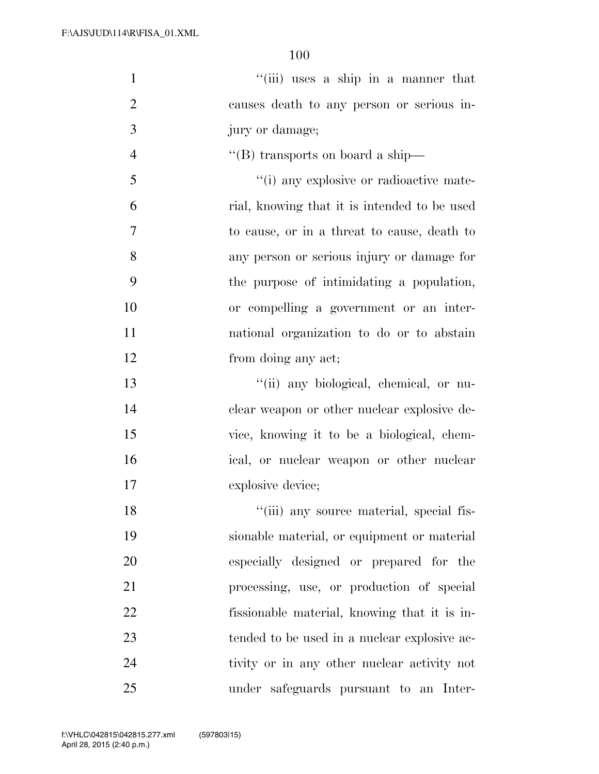| $\mathbf{1}$   | "(iii) uses a ship in a manner that          |
|----------------|----------------------------------------------|
| $\overline{2}$ | causes death to any person or serious in-    |
| 3              | jury or damage;                              |
| $\overline{4}$ | "(B) transports on board a ship-             |
| 5              | "(i) any explosive or radioactive mate-      |
| 6              | rial, knowing that it is intended to be used |
| $\overline{7}$ | to cause, or in a threat to cause, death to  |
| 8              | any person or serious injury or damage for   |
| 9              | the purpose of intimidating a population,    |
| 10             | or compelling a government or an inter-      |
| 11             | national organization to do or to abstain    |
| 12             | from doing any act;                          |
| 13             | "(ii) any biological, chemical, or nu-       |
| 14             | clear weapon or other nuclear explosive de-  |
| 15             | vice, knowing it to be a biological, chem-   |
| 16             | ical, or nuclear weapon or other nuclear     |
| 17             | explosive device;                            |
| 18             | "(iii) any source material, special fis-     |
| 19             | sionable material, or equipment or material  |
| 20             | especially designed or prepared for the      |
| 21             | processing, use, or production of special    |
| 22             | fissionable material, knowing that it is in- |
| 23             | tended to be used in a nuclear explosive ac- |
| 24             | tivity or in any other nuclear activity not  |
| 25             | under safeguards pursuant to an Inter-       |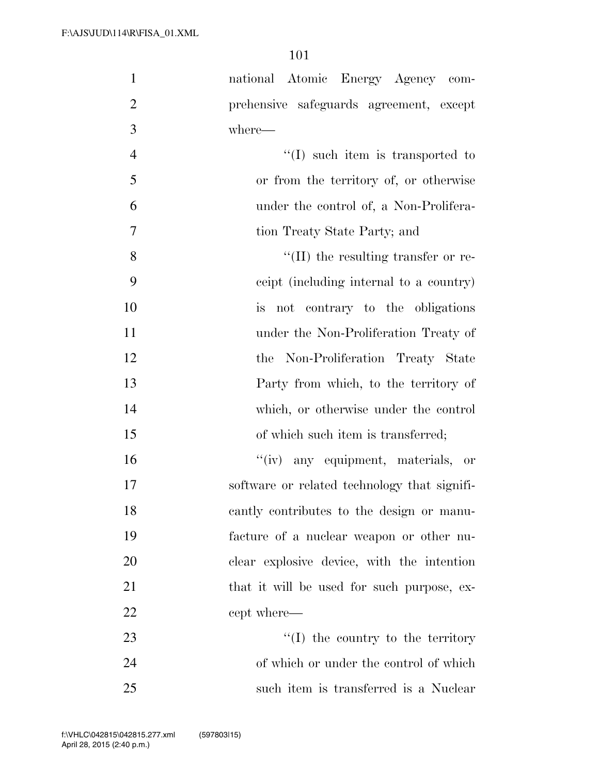| $\mathbf{1}$   | national Atomic Energy Agency com-           |
|----------------|----------------------------------------------|
| $\overline{2}$ | prehensive safeguards agreement, except      |
| 3              | where-                                       |
| $\overline{4}$ | $\lq\lq$ such item is transported to         |
| 5              | or from the territory of, or otherwise       |
| 6              | under the control of, a Non-Prolifera-       |
| 7              | tion Treaty State Party; and                 |
| 8              | $\lq\lq$ (II) the resulting transfer or re-  |
| 9              | ceipt (including internal to a country)      |
| 10             | is not contrary to the obligations           |
| 11             | under the Non-Proliferation Treaty of        |
| 12             | the Non-Proliferation Treaty State           |
| 13             | Party from which, to the territory of        |
| 14             | which, or otherwise under the control        |
| 15             | of which such item is transferred;           |
| 16             | "(iv) any equipment, materials, or           |
| 17             | software or related technology that signifi- |
| 18             | cantly contributes to the design or manu-    |
| 19             | facture of a nuclear weapon or other nu-     |
| 20             | clear explosive device, with the intention   |
| 21             | that it will be used for such purpose, ex-   |
| 22             | cept where—                                  |
| 23             | $\lq\lq$ the country to the territory        |
| 24             | of which or under the control of which       |
| 25             | such item is transferred is a Nuclear        |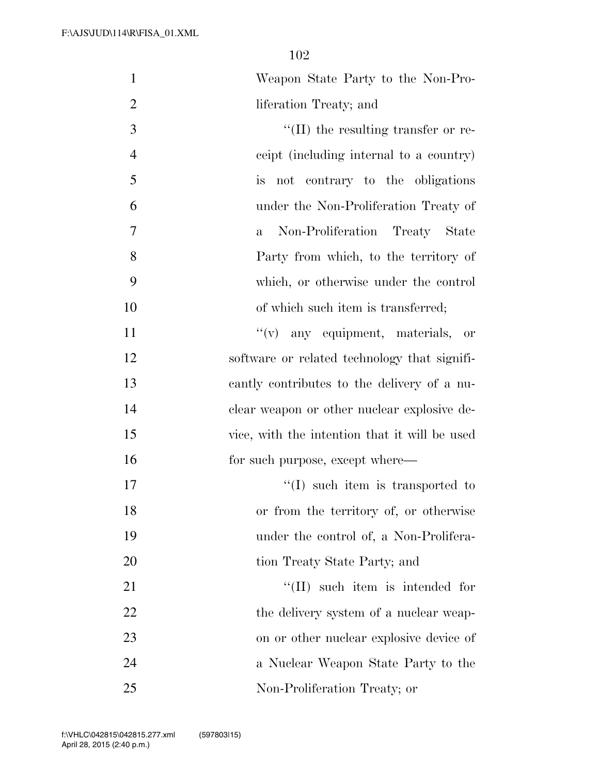| $\mathbf{1}$   | Weapon State Party to the Non-Pro-             |
|----------------|------------------------------------------------|
| $\mathfrak{2}$ | liferation Treaty; and                         |
| 3              | $\lq\lq$ (II) the resulting transfer or re-    |
| $\overline{4}$ | ceipt (including internal to a country)        |
| 5              | not contrary to the obligations<br><i>is</i>   |
| 6              | under the Non-Proliferation Treaty of          |
| $\tau$         | Non-Proliferation Treaty State<br>$\mathbf{a}$ |
| $8\,$          | Party from which, to the territory of          |
| 9              | which, or otherwise under the control          |
| 10             | of which such item is transferred;             |
| 11             | $f'(v)$ any equipment, materials,<br>- or      |
| 12             | software or related technology that signifi-   |
| 13             | cantly contributes to the delivery of a nu-    |
| 14             | clear weapon or other nuclear explosive de-    |
| 15             | vice, with the intention that it will be used  |
| 16             | for such purpose, except where—                |
| 17             | $\lq\lq$ such item is transported to           |
| 18             | or from the territory of, or otherwise         |
| 19             | under the control of, a Non-Prolifera-         |
| 20             | tion Treaty State Party; and                   |
| 21             | $\lq\lq$ (II) such item is intended for        |
| 22             | the delivery system of a nuclear weap-         |
| 23             | on or other nuclear explosive device of        |
| 24             | a Nuclear Weapon State Party to the            |
| 25             | Non-Proliferation Treaty; or                   |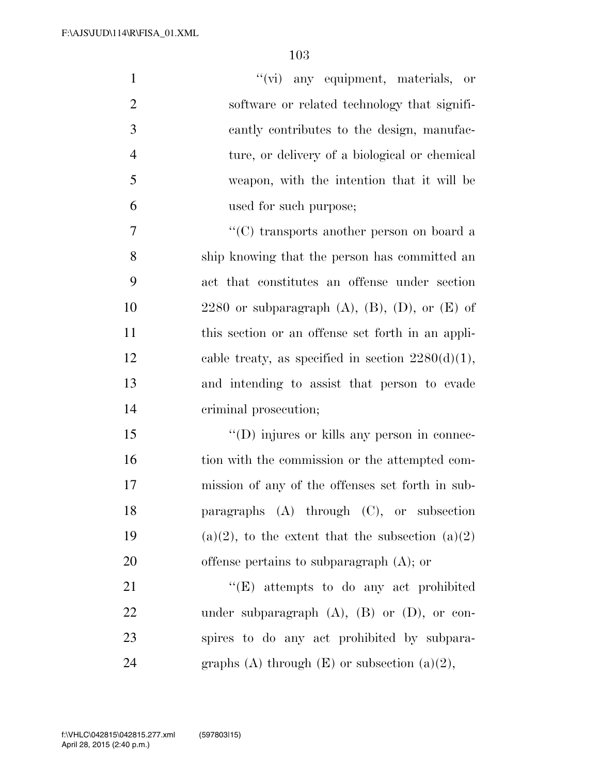| $\mathbf{1}$   | "(vi) any equipment, materials, or                             |
|----------------|----------------------------------------------------------------|
| $\overline{2}$ | software or related technology that signifi-                   |
| 3              | cantly contributes to the design, manufac-                     |
| $\overline{4}$ | ture, or delivery of a biological or chemical                  |
| 5              | weapon, with the intention that it will be                     |
| 6              | used for such purpose;                                         |
| $\overline{7}$ | $\lq\lq$ <sup>*</sup> (C) transports another person on board a |
| 8              | ship knowing that the person has committed an                  |
| 9              | act that constitutes an offense under section                  |
| 10             | 2280 or subparagraph $(A)$ , $(B)$ , $(D)$ , or $(E)$ of       |
| 11             | this section or an offense set forth in an appli-              |
| 12             | cable treaty, as specified in section $2280(d)(1)$ ,           |
| 13             | and intending to assist that person to evade                   |
| 14             | criminal prosecution;                                          |
| 15             | $\lq\lq$ (D) injures or kills any person in connec-            |
| 16             | tion with the commission or the attempted com-                 |
| 17             | mission of any of the offenses set forth in sub-               |
| 18             | paragraphs $(A)$ through $(C)$ , or subsection                 |
| 19             | $(a)(2)$ , to the extent that the subsection $(a)(2)$          |
| 20             | offense pertains to subparagraph $(A)$ ; or                    |
| 21             | "(E) attempts to do any act prohibited                         |
| 22             | under subparagraph $(A)$ , $(B)$ or $(D)$ , or con-            |
| 23             | spires to do any act prohibited by subpara-                    |
| 24             | graphs (A) through $(E)$ or subsection $(a)(2)$ ,              |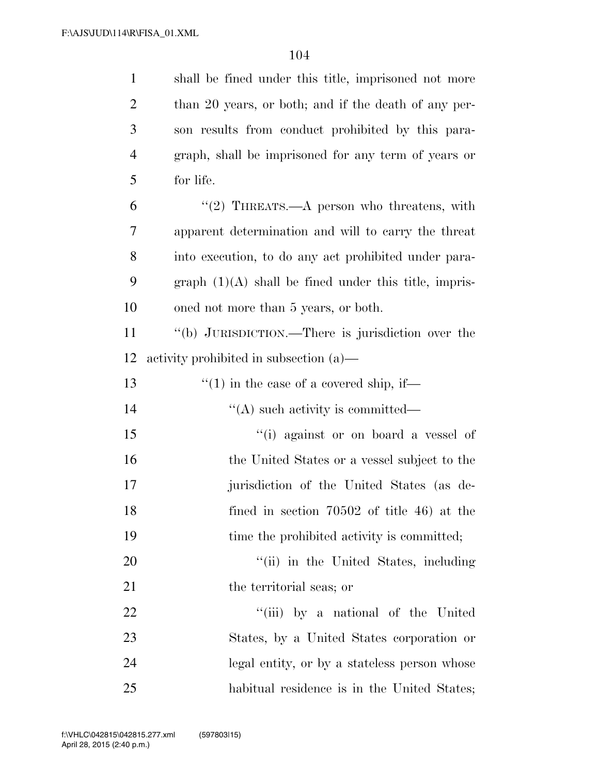| $\mathbf{1}$   | shall be fined under this title, imprisoned not more    |
|----------------|---------------------------------------------------------|
| $\overline{2}$ | than 20 years, or both; and if the death of any per-    |
| 3              | son results from conduct prohibited by this para-       |
| $\overline{4}$ | graph, shall be imprisoned for any term of years or     |
| 5              | for life.                                               |
| 6              | "(2) THREATS.—A person who threatens, with              |
| 7              | apparent determination and will to carry the threat     |
| $8\,$          | into execution, to do any act prohibited under para-    |
| 9              | $graph (1)(A) shall be fired under this title, impris-$ |
| 10             | oned not more than 5 years, or both.                    |
| 11             | "(b) JURISDICTION.—There is jurisdiction over the       |
| 12             | activity prohibited in subsection $(a)$ —               |
| 13             | $\cdot\cdot\cdot(1)$ in the case of a covered ship, if— |
| 14             | $\lq\lq$ such activity is committed—                    |
| 15             | "(i) against or on board a vessel of                    |
| 16             | the United States or a vessel subject to the            |
| 17             | jurisdiction of the United States (as de-               |
| 18             | fined in section $70502$ of title 46) at the            |
| 19             | time the prohibited activity is committed;              |
| 20             | "(ii) in the United States, including                   |
| 21             | the territorial seas; or                                |
| 22             | "(iii) by a national of the United                      |
| 23             | States, by a United States corporation or               |
| 24             | legal entity, or by a stateless person whose            |
| 25             | habitual residence is in the United States;             |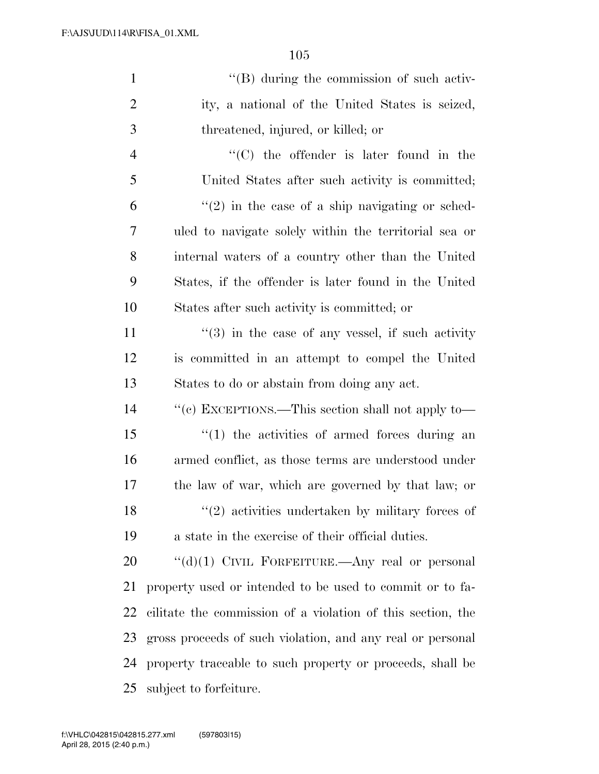| $\mathbf{1}$   | $\lq\lq (B)$ during the commission of such activ-                |
|----------------|------------------------------------------------------------------|
| $\overline{2}$ | ity, a national of the United States is seized,                  |
| 3              | threatened, injured, or killed; or                               |
| $\overline{4}$ | "(C) the offender is later found in the                          |
| 5              | United States after such activity is committed;                  |
| 6              | $f'(2)$ in the case of a ship navigating or sched-               |
| 7              | uled to navigate solely within the territorial sea or            |
| 8              | internal waters of a country other than the United               |
| 9              | States, if the offender is later found in the United             |
| 10             | States after such activity is committed; or                      |
| 11             | $\cdot\cdot\cdot(3)$ in the case of any vessel, if such activity |
| 12             | is committed in an attempt to compel the United                  |
| 13             | States to do or abstain from doing any act.                      |
| 14             | "(c) EXCEPTIONS.—This section shall not apply to—                |
| 15             | $\lq(1)$ the activities of armed forces during an                |
| 16             | armed conflict, as those terms are understood under              |
| 17             | the law of war, which are governed by that law; or               |
| 18             | $\lq(2)$ activities undertaken by military forces of             |
| 19             | a state in the exercise of their official duties.                |
| 20             | " $(d)(1)$ CIVIL FORFEITURE.—Any real or personal                |
| 21             | property used or intended to be used to commit or to fa-         |
|                |                                                                  |

 cilitate the commission of a violation of this section, the gross proceeds of such violation, and any real or personal property traceable to such property or proceeds, shall be subject to forfeiture.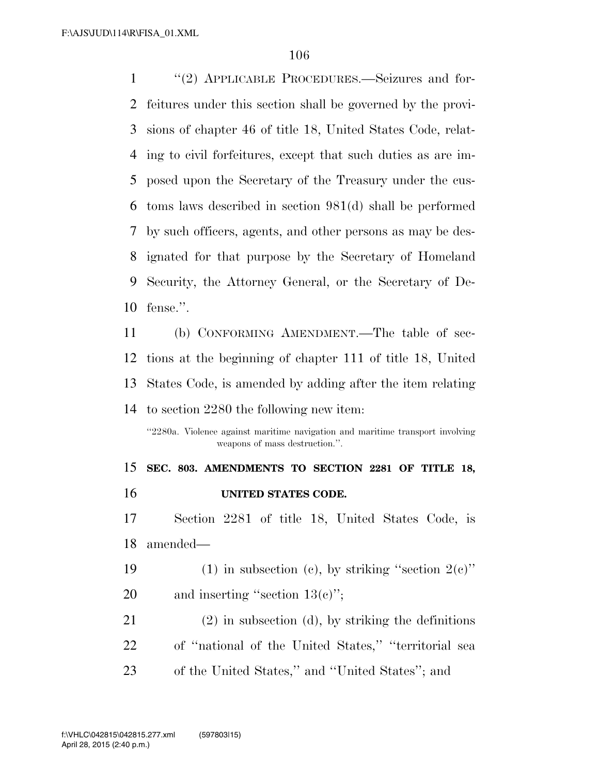''(2) APPLICABLE PROCEDURES.—Seizures and for- feitures under this section shall be governed by the provi- sions of chapter 46 of title 18, United States Code, relat- ing to civil forfeitures, except that such duties as are im- posed upon the Secretary of the Treasury under the cus- toms laws described in section 981(d) shall be performed by such officers, agents, and other persons as may be des- ignated for that purpose by the Secretary of Homeland Security, the Attorney General, or the Secretary of De-fense.''.

 (b) CONFORMING AMENDMENT.—The table of sec- tions at the beginning of chapter 111 of title 18, United States Code, is amended by adding after the item relating to section 2280 the following new item:

''2280a. Violence against maritime navigation and maritime transport involving weapons of mass destruction.''.

 **SEC. 803. AMENDMENTS TO SECTION 2281 OF TITLE 18, UNITED STATES CODE.** 

 Section 2281 of title 18, United States Code, is amended—

19 (1) in subsection (c), by striking "section  $2(e)$ " 20 and inserting "section  $13(e)$ ";

 (2) in subsection (d), by striking the definitions of ''national of the United States,'' ''territorial sea of the United States,'' and ''United States''; and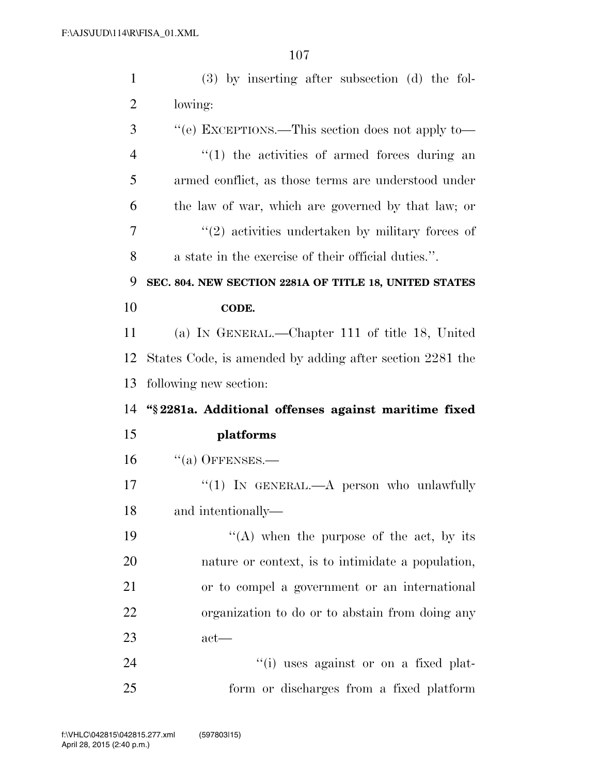| $\mathbf{1}$   | (3) by inserting after subsection (d) the fol-           |
|----------------|----------------------------------------------------------|
| $\overline{2}$ | lowing:                                                  |
| 3              | "(e) EXCEPTIONS.—This section does not apply to—         |
| $\overline{4}$ | $\lq(1)$ the activities of armed forces during an        |
| 5              | armed conflict, as those terms are understood under      |
| 6              | the law of war, which are governed by that law; or       |
| 7              | $\lq(2)$ activities undertaken by military forces of     |
| 8              | a state in the exercise of their official duties.".      |
| 9              | SEC. 804. NEW SECTION 2281A OF TITLE 18, UNITED STATES   |
| 10             | CODE.                                                    |
| 11             | (a) IN GENERAL.—Chapter 111 of title 18, United          |
| 12             | States Code, is amended by adding after section 2281 the |
|                |                                                          |
| 13             | following new section:                                   |
| 14             | "§ 2281a. Additional offenses against maritime fixed     |
| 15             | platforms                                                |
| 16             | $``(a)$ OFFENSES.—                                       |
| 17             | "(1) IN GENERAL.—A person who unlawfully                 |
| 18             | and intentionally-                                       |
| 19             | "(A) when the purpose of the act, by its                 |
| 20             | nature or context, is to intimidate a population,        |
| 21             | or to compel a government or an international            |
| 22             | organization to do or to abstain from doing any          |
| 23             | $act$ —                                                  |
| 24             | "(i) uses against or on a fixed plat-                    |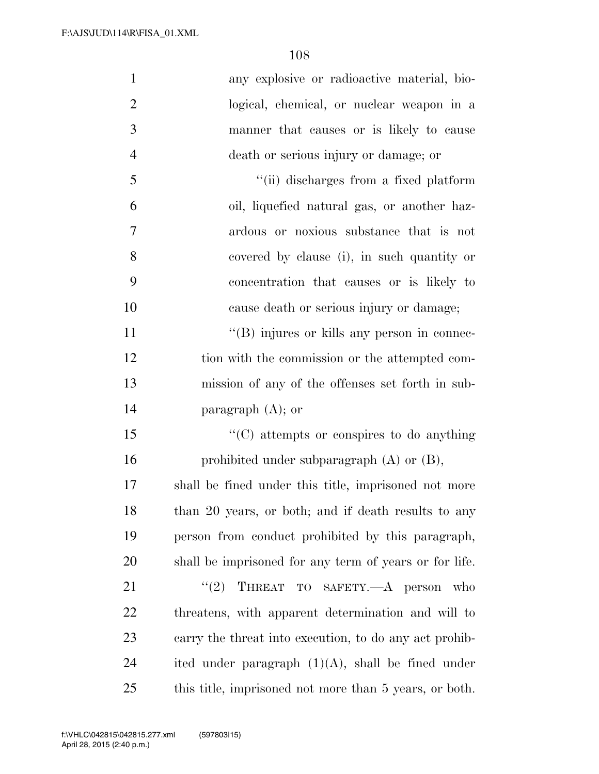| $\mathbf{1}$   | any explosive or radioactive material, bio-            |
|----------------|--------------------------------------------------------|
| $\overline{2}$ | logical, chemical, or nuclear weapon in a              |
| 3              | manner that causes or is likely to cause               |
| $\overline{4}$ | death or serious injury or damage; or                  |
| 5              | "(ii) discharges from a fixed platform                 |
| 6              | oil, liquefied natural gas, or another haz-            |
| 7              | ardous or noxious substance that is not                |
| 8              | covered by clause (i), in such quantity or             |
| 9              | concentration that causes or is likely to              |
| 10             | cause death or serious injury or damage;               |
| 11             | $\lq\lq$ (B) injures or kills any person in connec-    |
| 12             | tion with the commission or the attempted com-         |
| 13             | mission of any of the offenses set forth in sub-       |
| 14             | paragraph $(A)$ ; or                                   |
| 15             | $\cdot\cdot$ (C) attempts or conspires to do anything  |
| 16             | prohibited under subparagraph $(A)$ or $(B)$ ,         |
| 17             | shall be fined under this title, imprisoned not more   |
| 18             | than 20 years, or both; and if death results to any    |
| 19             | person from conduct prohibited by this paragraph,      |
| 20             | shall be imprisoned for any term of years or for life. |
| 21             | THREAT TO SAFETY.- A person<br>(2)<br>- who            |
| 22             | threatens, with apparent determination and will to     |
| 23             | carry the threat into execution, to do any act prohib- |
| 24             | ited under paragraph $(1)(A)$ , shall be fined under   |
| 25             | this title, imprisoned not more than 5 years, or both. |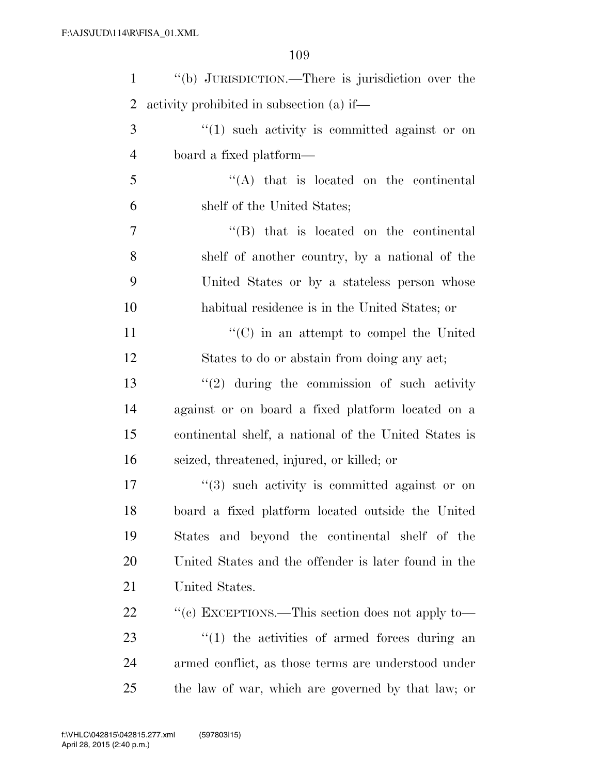| $\mathbf{1}$   | "(b) JURISDICTION.—There is jurisdiction over the         |
|----------------|-----------------------------------------------------------|
| 2              | activity prohibited in subsection (a) if—                 |
| 3              | $\cdot$ (1) such activity is committed against or on      |
| $\overline{4}$ | board a fixed platform—                                   |
| 5              | $\lq\lq$ that is located on the continental               |
| 6              | shelf of the United States;                               |
| 7              | $\lq\lq$ that is located on the continental               |
| 8              | shelf of another country, by a national of the            |
| 9              | United States or by a stateless person whose              |
| 10             | habitual residence is in the United States; or            |
| 11             | $\cdot\cdot$ (C) in an attempt to compel the United       |
| 12             | States to do or abstain from doing any act;               |
| 13             | $\lq(2)$ during the commission of such activity           |
| 14             | against or on board a fixed platform located on a         |
| 15             | continental shelf, a national of the United States is     |
| 16             | seized, threatened, injured, or killed; or                |
| 17             | $\cdot\cdot$ (3) such activity is committed against or on |
| 18             | board a fixed platform located outside the United         |
| 19             | States and beyond the continental shelf of the            |
| 20             | United States and the offender is later found in the      |
| 21             | United States.                                            |
| <u>22</u>      | "(c) EXCEPTIONS.—This section does not apply to—          |
| 23             | $\lq(1)$ the activities of armed forces during an         |
| 24             | armed conflict, as those terms are understood under       |
| 25             | the law of war, which are governed by that law; or        |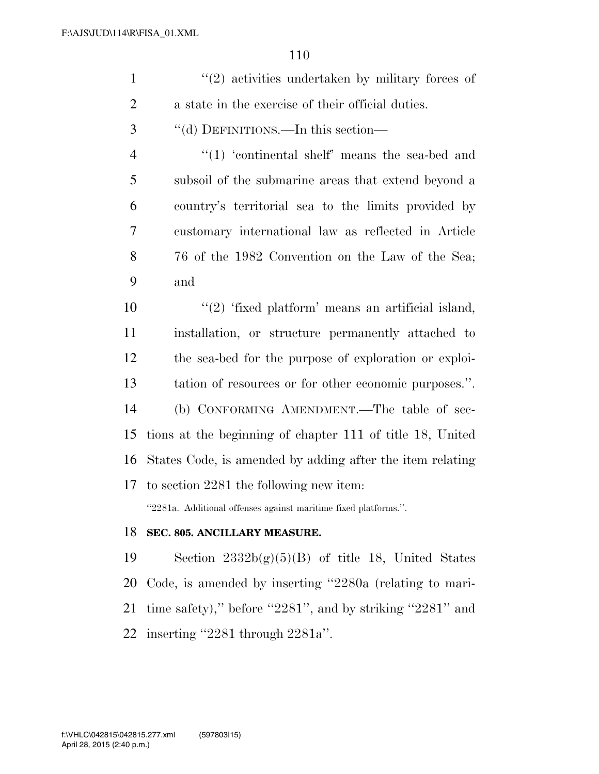|   | $\lq(2)$ activities undertaken by military forces of |
|---|------------------------------------------------------|
| 2 | a state in the exercise of their official duties.    |
| 3 | "(d) DEFINITIONS.—In this section—                   |
| 4 | $\lq(1)$ 'continental shelf' means the sea-bed and   |
| 5 | subsoil of the submarine areas that extend beyond a  |
| 6 | country's territorial sea to the limits provided by  |
| 7 | customary international law as reflected in Article  |

 76 of the 1982 Convention on the Law of the Sea; and

 $\frac{u(2)}{dx}$  'fixed platform' means an artificial island, installation, or structure permanently attached to the sea-bed for the purpose of exploration or exploi- tation of resources or for other economic purposes.''. (b) CONFORMING AMENDMENT.—The table of sec- tions at the beginning of chapter 111 of title 18, United States Code, is amended by adding after the item relating to section 2281 the following new item:

''2281a. Additional offenses against maritime fixed platforms.''.

## **SEC. 805. ANCILLARY MEASURE.**

19 Section  $2332b(g)(5)(B)$  of title 18, United States Code, is amended by inserting ''2280a (relating to mari- time safety),'' before ''2281'', and by striking ''2281'' and inserting ''2281 through 2281a''.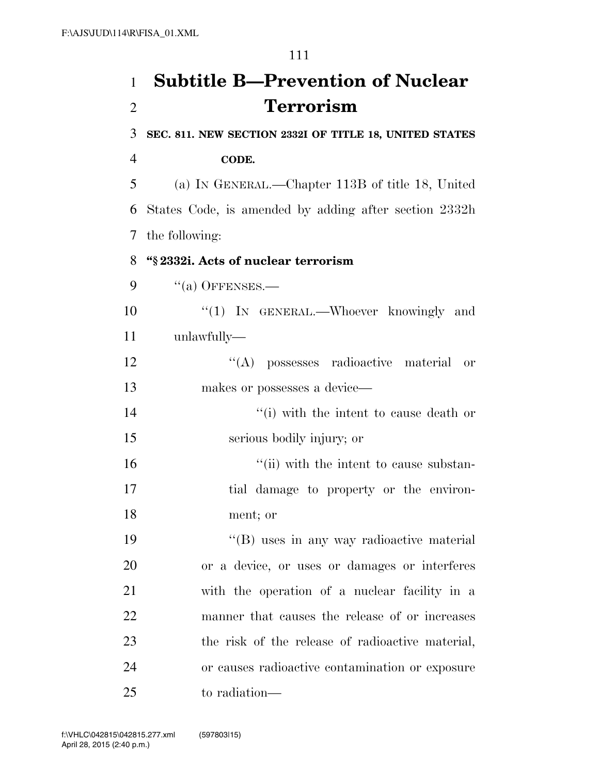## **Subtitle B—Prevention of Nuclear Terrorism**

**SEC. 811. NEW SECTION 2332I OF TITLE 18, UNITED STATES** 

## **CODE.**

 (a) IN GENERAL.—Chapter 113B of title 18, United States Code, is amended by adding after section 2332h the following:

## **''§ 2332i. Acts of nuclear terrorism**

"(a) OFFENSES.—

10 "(1) IN GENERAL.—Whoever knowingly and unlawfully—

 ''(A) possesses radioactive material or 13 makes or possesses a device—

14 ''(i) with the intent to cause death or serious bodily injury; or

16  $\frac{1}{10}$  with the intent to cause substan- tial damage to property or the environ-ment; or

19 ''(B) uses in any way radioactive material or a device, or uses or damages or interferes with the operation of a nuclear facility in a manner that causes the release of or increases the risk of the release of radioactive material, or causes radioactive contamination or exposure to radiation—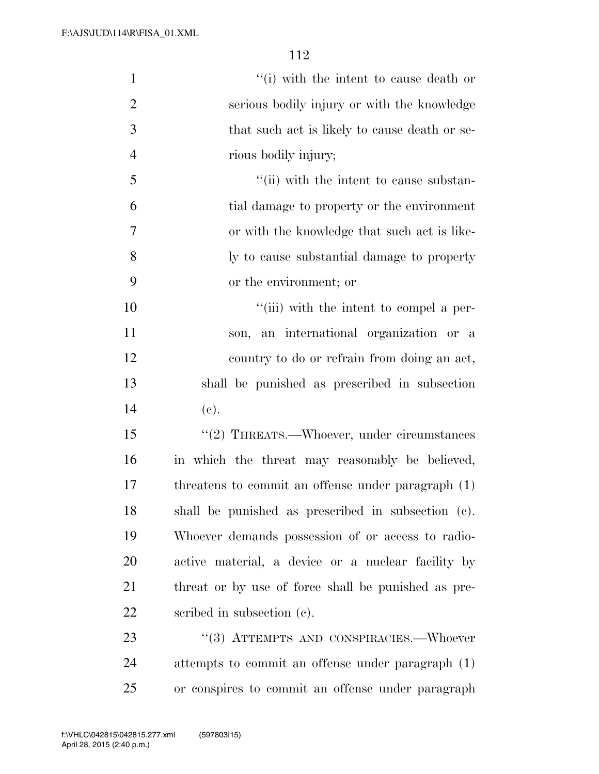| $\mathbf{1}$   | "(i) with the intent to cause death or              |
|----------------|-----------------------------------------------------|
| $\overline{2}$ | serious bodily injury or with the knowledge         |
| 3              | that such act is likely to cause death or se-       |
| $\overline{4}$ | rious bodily injury;                                |
| 5              | "(ii) with the intent to cause substan-             |
| 6              | tial damage to property or the environment          |
| 7              | or with the knowledge that such act is like-        |
| 8              | ly to cause substantial damage to property          |
| 9              | or the environment; or                              |
| 10             | "(iii) with the intent to compel a per-             |
| 11             | son, an international organization or a             |
| 12             | country to do or refrain from doing an act,         |
| 13             | shall be punished as prescribed in subsection       |
| 14             | (e).                                                |
| 15             | "(2) THREATS.—Whoever, under circumstances          |
| 16             | in which the threat may reasonably be believed,     |
| 17             | threatens to commit an offense under paragraph (1)  |
| 18             | shall be punished as prescribed in subsection (c).  |
| 19             | Whoever demands possession of or access to radio-   |
| 20             | active material, a device or a nuclear facility by  |
| 21             | threat or by use of force shall be punished as pre- |
| 22             | scribed in subsection (c).                          |
| 23             | "(3) ATTEMPTS AND CONSPIRACIES.—Whoever             |
| 24             | attempts to commit an offense under paragraph (1)   |
| 25             | or conspires to commit an offense under paragraph   |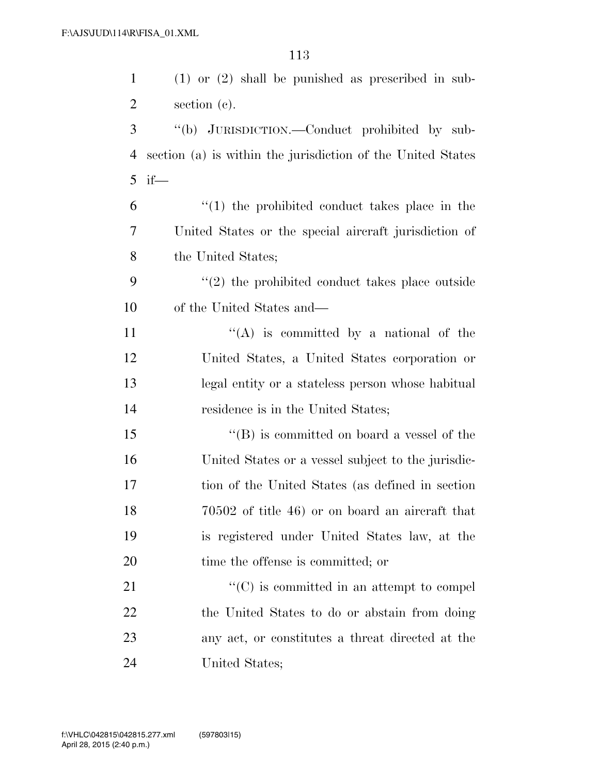| $\mathbf{1}$   | $(1)$ or $(2)$ shall be punished as prescribed in sub-          |
|----------------|-----------------------------------------------------------------|
| $\overline{2}$ | section $(c)$ .                                                 |
| 3              | "(b) JURISDICTION.—Conduct prohibited by sub-                   |
| 4              | section (a) is within the jurisdiction of the United States     |
| 5              | $if$ —                                                          |
| 6              | $\lq(1)$ the prohibited conduct takes place in the              |
| 7              | United States or the special aircraft jurisdiction of           |
| 8              | the United States;                                              |
| 9              | $\cdot\cdot\cdot(2)$ the prohibited conduct takes place outside |
| 10             | of the United States and—                                       |
| 11             | $\lq\lq$ is committed by a national of the                      |
| 12             | United States, a United States corporation or                   |
| 13             | legal entity or a stateless person whose habitual               |
| 14             | residence is in the United States;                              |
| 15             | $\lq\lq (B)$ is committed on board a vessel of the              |
| 16             | United States or a vessel subject to the jurisdic-              |
| 17             | tion of the United States (as defined in section                |
| 18             | 70502 of title 46) or on board an aircraft that                 |
| 19             | is registered under United States law, at the                   |
| 20             | time the offense is committed; or                               |
| 21             | $\lq\lq$ (C) is committed in an attempt to compel               |
| 22             | the United States to do or abstain from doing                   |
| 23             | any act, or constitutes a threat directed at the                |
| 24             | United States;                                                  |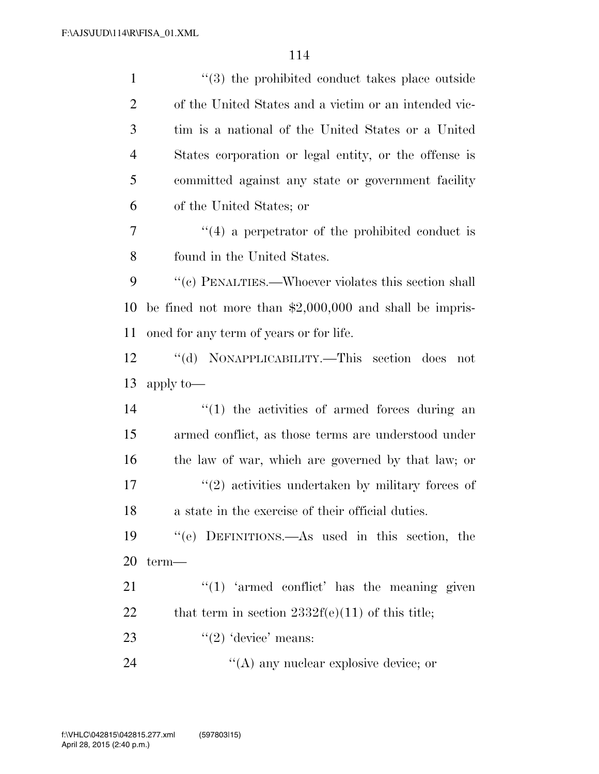1 ''(3) the prohibited conduct takes place outside of the United States and a victim or an intended vic- tim is a national of the United States or a United States corporation or legal entity, or the offense is committed against any state or government facility of the United States; or ''(4) a perpetrator of the prohibited conduct is found in the United States.  $\%$  (c) PENALTIES.—Whoever violates this section shall be fined not more than \$2,000,000 and shall be impris- oned for any term of years or for life. ''(d) NONAPPLICABILITY.—This section does not apply to—  $\frac{1}{2}$  (1) the activities of armed forces during an armed conflict, as those terms are understood under the law of war, which are governed by that law; or 17 ''(2) activities undertaken by military forces of a state in the exercise of their official duties. ''(e) DEFINITIONS.—As used in this section, the term— "(1) 'armed conflict' has the meaning given 22 that term in section  $2332f(e)(11)$  of this title;  $\frac{((2) \text{ 'device' means:}}{}$ 24 ''(A) any nuclear explosive device; or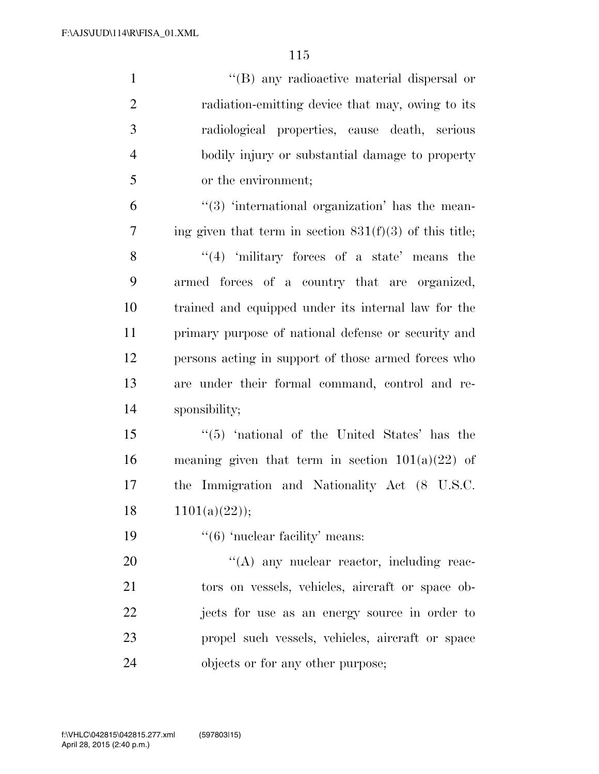| $\mathbf{1}$   | "(B) any radioactive material dispersal or                             |
|----------------|------------------------------------------------------------------------|
| $\overline{2}$ | radiation-emitting device that may, owing to its                       |
| 3              | radiological properties, cause death, serious                          |
| $\overline{4}$ | bodily injury or substantial damage to property                        |
| 5              | or the environment;                                                    |
| 6              | $\cdot\cdot$ (3) $\cdot\cdot$ international organization has the mean- |
| $\tau$         | ing given that term in section $831(f)(3)$ of this title;              |
| 8              | $(4)$ 'military forces of a state' means the                           |
| 9              | armed forces of a country that are organized,                          |
| 10             | trained and equipped under its internal law for the                    |
| 11             | primary purpose of national defense or security and                    |
| 12             | persons acting in support of those armed forces who                    |
| 13             | are under their formal command, control and re-                        |
| 14             | sponsibility;                                                          |
| 15             | "(5) 'national of the United States' has the                           |
| 16             | meaning given that term in section $101(a)(22)$ of                     |
| 17             | the Immigration and Nationality Act (8 U.S.C.                          |
| 18             | 1101(a)(22));                                                          |
| 19             | $\cdot\cdot$ (6) 'nuclear facility' means:                             |
| 20             | $\lq\lq$ any nuclear reactor, including reac-                          |
| 21             | tors on vessels, vehicles, aircraft or space ob-                       |
| 22             | jects for use as an energy source in order to                          |
| 23             | propel such vessels, vehicles, aircraft or space                       |
| 24             | objects or for any other purpose;                                      |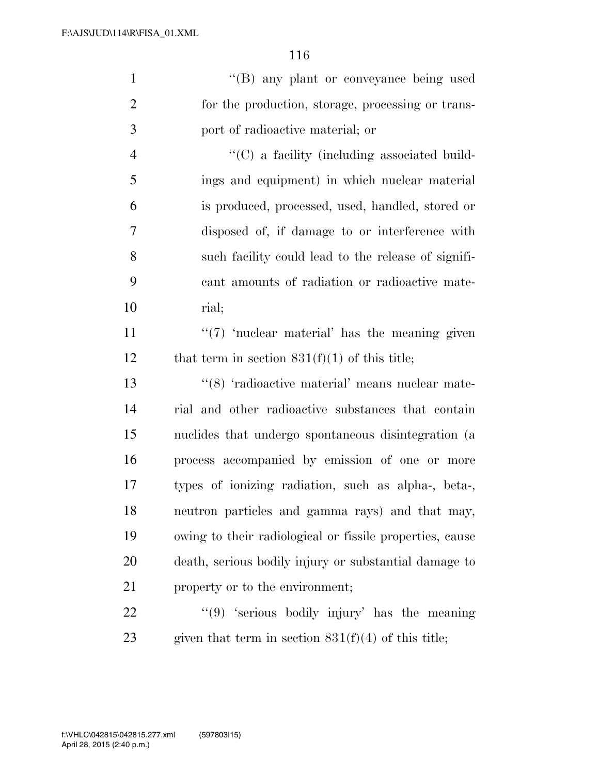| $\mathbf{1}$   | "(B) any plant or conveyance being used                  |
|----------------|----------------------------------------------------------|
| $\overline{2}$ | for the production, storage, processing or trans-        |
| 3              | port of radioactive material; or                         |
| $\overline{4}$ | $\lq\lq$ (C) a facility (including associated build-     |
| 5              | ings and equipment) in which nuclear material            |
| 6              | is produced, processed, used, handled, stored or         |
| 7              | disposed of, if damage to or interference with           |
| 8              | such facility could lead to the release of signifi-      |
| 9              | cant amounts of radiation or radioactive mate-           |
| 10             | rial;                                                    |
| 11             | $\lq(7)$ 'nuclear material' has the meaning given        |
| 12             | that term in section $831(f)(1)$ of this title;          |
| 13             | "(8) 'radioactive material' means nuclear mate-          |
| 14             | rial and other radioactive substances that contain       |
| 15             | nuclides that undergo spontaneous disintegration (a      |
| 16             | process accompanied by emission of one or more           |
| 17             | types of ionizing radiation, such as alpha-, beta-,      |
| 18             | neutron particles and gamma rays) and that may,          |
| 19             | owing to their radiological or fissile properties, cause |
| 20             | death, serious bodily injury or substantial damage to    |
| 21             | property or to the environment;                          |

22 ''(9) 'serious bodily injury' has the meaning 23 given that term in section  $831(f)(4)$  of this title;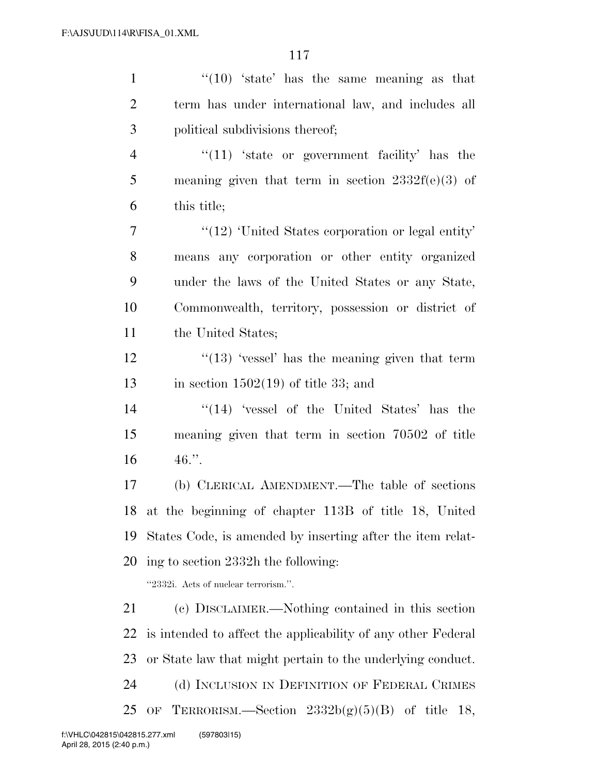| $\cdot$ (10) 'state' has the same meaning as that            |
|--------------------------------------------------------------|
| term has under international law, and includes all           |
| political subdivisions thereof;                              |
| $\lq(11)$ 'state or government facility' has the             |
| meaning given that term in section $2332f(e)(3)$ of          |
| this title;                                                  |
| $"$ (12) 'United States corporation or legal entity'         |
| means any corporation or other entity organized              |
| under the laws of the United States or any State,            |
| Commonwealth, territory, possession or district of           |
| the United States;                                           |
| $\lq(13)$ 'vessel' has the meaning given that term           |
| in section $1502(19)$ of title 33; and                       |
| $\cdot$ (14) $\cdot$ vessel of the United States' has the    |
| meaning given that term in section 70502 of title            |
| $46.$ ".                                                     |
| (b) CLERICAL AMENDMENT.—The table of sections                |
| 18 at the beginning of chapter 113B of title 18, United      |
| States Code, is amended by inserting after the item relat-   |
| ing to section 2332h the following:                          |
| "2332i. Acts of nuclear terrorism.".                         |
| (c) DISCLAIMER.—Nothing contained in this section            |
| is intended to affect the applicability of any other Federal |
| or State law that might pertain to the underlying conduct.   |
| (d) INCLUSION IN DEFINITION OF FEDERAL CRIMES                |
| TERRORISM.—Section $2332b(g)(5)(B)$ of title 18,<br>OF       |
|                                                              |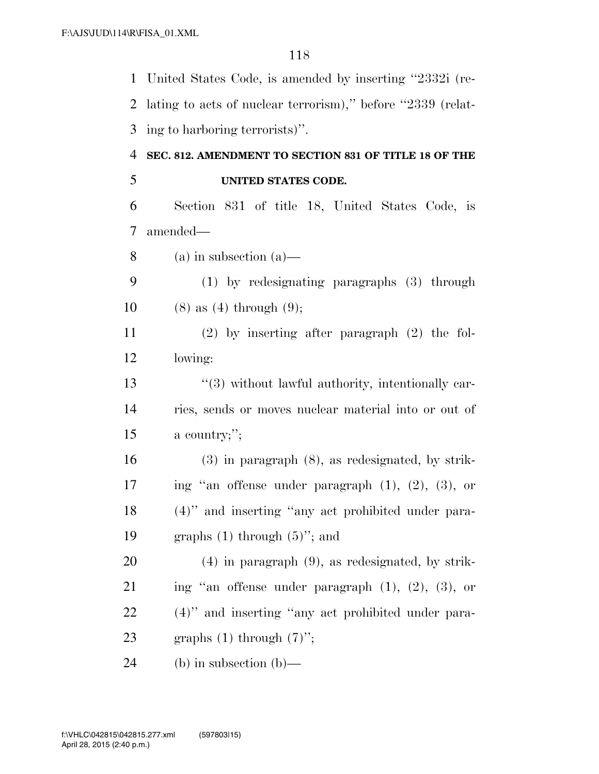United States Code, is amended by inserting ''2332i (re- lating to acts of nuclear terrorism),'' before ''2339 (relat- ing to harboring terrorists)''. **SEC. 812. AMENDMENT TO SECTION 831 OF TITLE 18 OF THE UNITED STATES CODE.**  Section 831 of title 18, United States Code, is amended— (a) in subsection (a)— (1) by redesignating paragraphs (3) through 10 (8) as (4) through (9); (2) by inserting after paragraph (2) the fol- lowing: 13 ''(3) without lawful authority, intentionally car- ries, sends or moves nuclear material into or out of a country;''; (3) in paragraph (8), as redesignated, by strik- ing ''an offense under paragraph (1), (2), (3), or (4)'' and inserting ''any act prohibited under para-19 graphs  $(1)$  through  $(5)$ "; and (4) in paragraph (9), as redesignated, by strik- ing ''an offense under paragraph (1), (2), (3), or (4)'' and inserting ''any act prohibited under para-23 graphs  $(1)$  through  $(7)$ "; (b) in subsection (b)—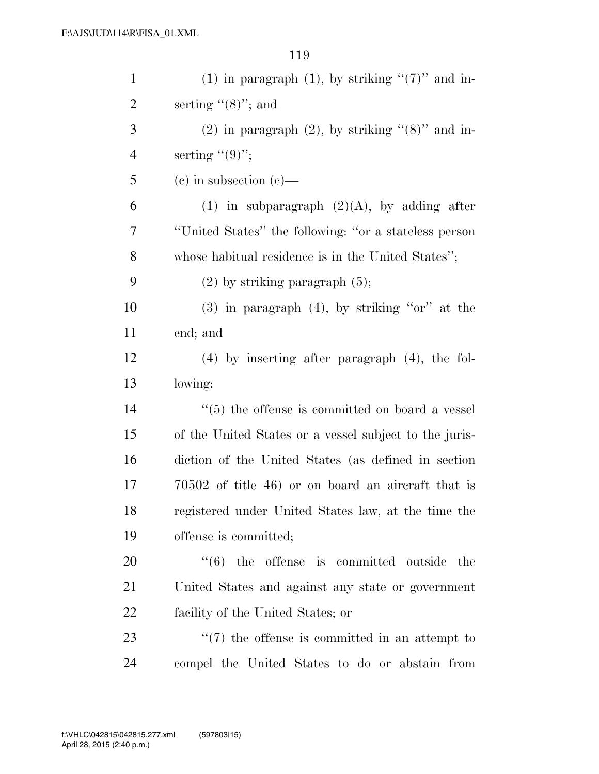| $\mathbf{1}$ | (1) in paragraph (1), by striking " $(7)$ " and in-      |
|--------------|----------------------------------------------------------|
| 2            | serting $(8)$ "; and                                     |
| 3            | $(2)$ in paragraph $(2)$ , by striking " $(8)$ " and in- |
| 4            | serting $((9)$ ";                                        |
| 5            | $(e)$ in subsection $(e)$ —                              |
| 6            | (1) in subparagraph $(2)(A)$ , by adding after           |
| 7            | "United States" the following: "or a stateless person    |
| 8            | whose habitual residence is in the United States";       |
| 9            | $(2)$ by striking paragraph $(5)$ ;                      |
| 10           | $(3)$ in paragraph $(4)$ , by striking "or" at the       |
| 11           | end; and                                                 |
| 12           | $(4)$ by inserting after paragraph $(4)$ , the fol-      |
| 13           | lowing:                                                  |
| 14           | $\cdot$ (5) the offense is committed on board a vessel   |
| 15           | of the United States or a vessel subject to the juris-   |
| 16           | diction of the United States (as defined in section      |
| 17           | $70502$ of title 46) or on board an aircraft that is     |
| 18           | registered under United States law, at the time the      |
| 19           | offense is committed;                                    |
| 20           | $(6)$ the offense is committed outside<br>the            |
| 21           | United States and against any state or government        |
| 22           | facility of the United States; or                        |
| 23           | $\lq(7)$ the offense is committed in an attempt to       |
| 24           | compel the United States to do or abstain from           |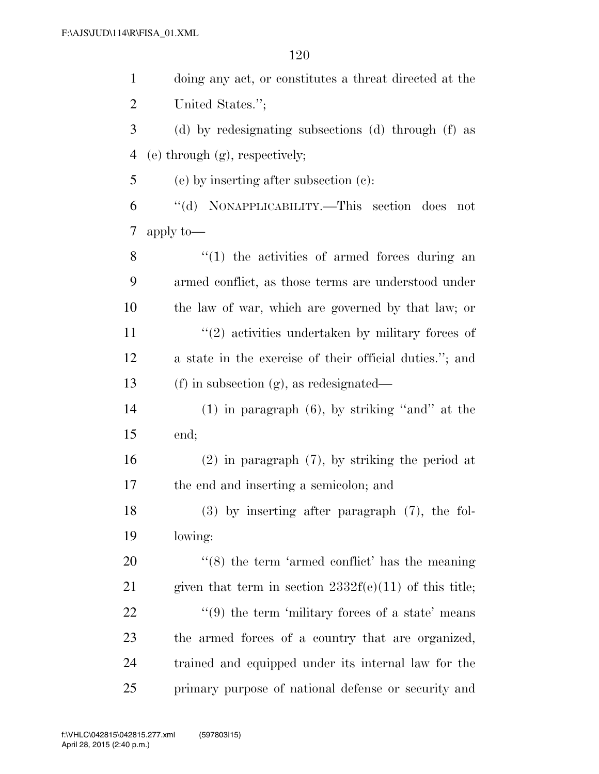| $\mathbf{1}$   | doing any act, or constitutes a threat directed at the           |
|----------------|------------------------------------------------------------------|
| $\overline{2}$ | United States.";                                                 |
| 3              | (d) by redesignating subsections (d) through (f) as              |
| 4              | $(e)$ through $(g)$ , respectively;                              |
| 5              | $(e)$ by inserting after subsection $(e)$ :                      |
| 6              | "(d) NONAPPLICABILITY.—This section does<br>not                  |
| 7              | apply to-                                                        |
| 8              | $"(1)$ the activities of armed forces during an                  |
| 9              | armed conflict, as those terms are understood under              |
| 10             | the law of war, which are governed by that law; or               |
| 11             | $\lq(2)$ activities undertaken by military forces of             |
| 12             | a state in the exercise of their official duties."; and          |
| 13             | $(f)$ in subsection $(g)$ , as redesignated—                     |
| 14             | $(1)$ in paragraph $(6)$ , by striking "and" at the              |
| 15             | end;                                                             |
| 16             | $(2)$ in paragraph $(7)$ , by striking the period at             |
| 17             | the end and inserting a semicolon; and                           |
| 18             | $(3)$ by inserting after paragraph $(7)$ , the fol-              |
| 19             | lowing:                                                          |
| 20             | $\cdot$ (8) the term 'armed conflict' has the meaning            |
| 21             | given that term in section $2332f(e)(11)$ of this title;         |
| 22             | $\cdot\cdot\cdot(9)$ the term 'military forces of a state' means |
| 23             | the armed forces of a country that are organized,                |
| 24             | trained and equipped under its internal law for the              |
| 25             | primary purpose of national defense or security and              |